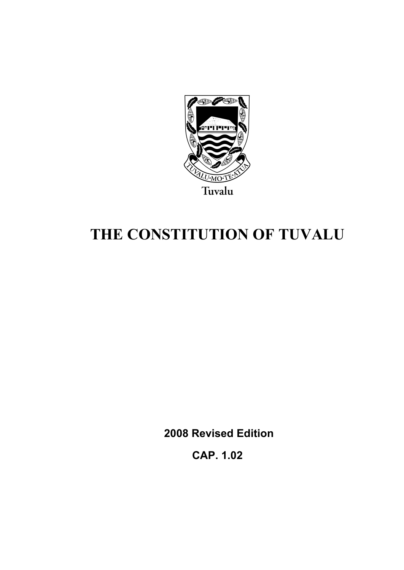

# **THE CONSTITUTION OF TUVALU**

 **2008 Revised Edition** 

**CAP. 1.02**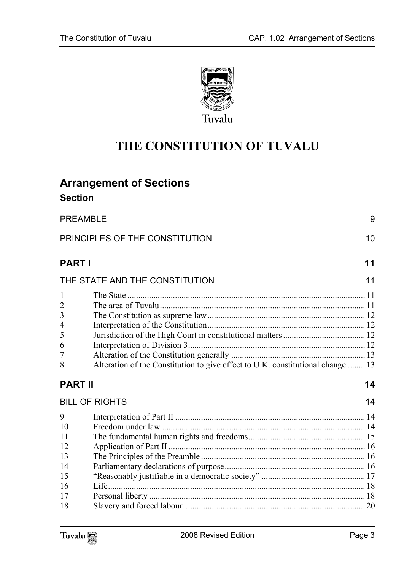

# **THE CONSTITUTION OF TUVALU**

# **Arrange[ment of Sections](#page-9-0)**

| <b>Section</b>                                    |                                                                                 |    |
|---------------------------------------------------|---------------------------------------------------------------------------------|----|
|                                                   | <b>PREAMBLE</b>                                                                 | 9  |
|                                                   | PRINCIPLES OF THE CONSTITUTION                                                  | 10 |
| <b>PART I</b>                                     |                                                                                 | 11 |
|                                                   | THE STATE AND THE CONSTITUTION                                                  | 11 |
| 1<br>$\overline{2}$<br>3<br>4<br>5<br>6<br>7<br>8 | Alteration of the Constitution to give effect to U.K. constitutional change  13 |    |
| <b>PART II</b>                                    |                                                                                 | 14 |
|                                                   | <b>BILL OF RIGHTS</b>                                                           | 14 |
| 9                                                 |                                                                                 |    |
| 10                                                |                                                                                 |    |
| 11<br>12                                          |                                                                                 |    |
| 13                                                |                                                                                 |    |
| 14                                                |                                                                                 |    |
| 15                                                |                                                                                 |    |
| 16                                                |                                                                                 |    |
| 17                                                |                                                                                 |    |
| 18                                                |                                                                                 |    |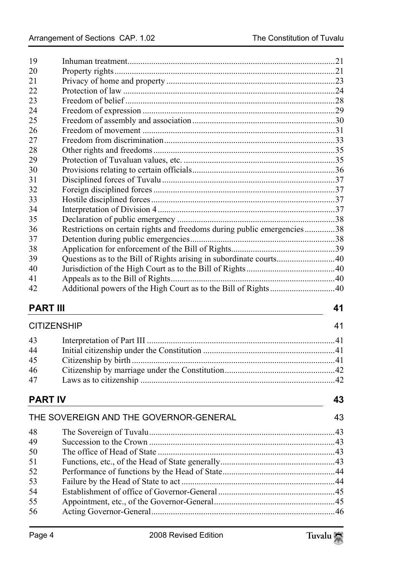| 19                 |                                                                         |    |
|--------------------|-------------------------------------------------------------------------|----|
| 20                 |                                                                         |    |
| 21                 |                                                                         |    |
| 22                 |                                                                         |    |
| 23                 |                                                                         |    |
| 24                 |                                                                         |    |
| 25                 |                                                                         |    |
| 26                 |                                                                         |    |
| 27                 |                                                                         |    |
| 28                 |                                                                         |    |
| 29                 |                                                                         |    |
| 30                 |                                                                         |    |
| 31                 |                                                                         |    |
| 32                 |                                                                         |    |
| 33                 |                                                                         |    |
| 34                 |                                                                         |    |
| 35                 |                                                                         |    |
| 36                 | Restrictions on certain rights and freedoms during public emergencies38 |    |
| 37                 |                                                                         |    |
| 38                 |                                                                         |    |
| 39                 | Questions as to the Bill of Rights arising in subordinate courts40      |    |
| 40                 |                                                                         |    |
| 41                 |                                                                         |    |
| 42                 |                                                                         |    |
|                    |                                                                         |    |
| <b>PART III</b>    |                                                                         | 41 |
| <b>CITIZENSHIP</b> |                                                                         | 41 |
| 43                 |                                                                         |    |
| 44                 |                                                                         |    |
| 45                 |                                                                         |    |
| 46                 |                                                                         |    |
| 47                 |                                                                         |    |
|                    |                                                                         |    |
| <b>PART IV</b>     |                                                                         | 43 |
|                    | THE SOVEREIGN AND THE GOVERNOR-GENERAL                                  | 43 |
| 48                 |                                                                         |    |
| 49                 |                                                                         |    |
| 50                 |                                                                         |    |
| 51                 |                                                                         |    |
| 52                 |                                                                         |    |
|                    |                                                                         |    |
| 53                 |                                                                         |    |
| 54                 |                                                                         |    |
| 55                 |                                                                         |    |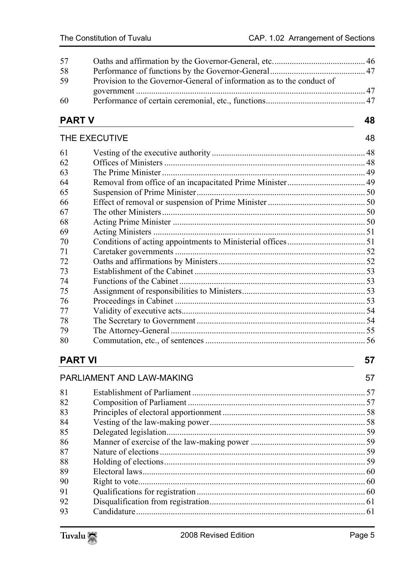| 57             |                                                                       |    |
|----------------|-----------------------------------------------------------------------|----|
| 58             |                                                                       |    |
| 59             | Provision to the Governor-General of information as to the conduct of |    |
|                |                                                                       |    |
| 60             |                                                                       |    |
| <b>PART V</b>  |                                                                       | 48 |
|                | THE EXECUTIVE                                                         | 48 |
| 61             |                                                                       |    |
| 62             |                                                                       |    |
| 63             |                                                                       |    |
| 64             |                                                                       |    |
| 65             |                                                                       |    |
| 66             |                                                                       |    |
| 67             |                                                                       |    |
| 68             |                                                                       |    |
| 69             |                                                                       |    |
| 70             |                                                                       |    |
| 71             |                                                                       |    |
| 72             |                                                                       |    |
| 73             |                                                                       |    |
| 74             |                                                                       |    |
| 75             |                                                                       |    |
| 76             |                                                                       |    |
| 77             |                                                                       |    |
| 78             |                                                                       |    |
| 79             |                                                                       |    |
| 80             |                                                                       |    |
| <b>PART VI</b> |                                                                       | 57 |
|                | PARLIAMENT AND LAW-MAKING                                             | 57 |
| 81             |                                                                       |    |
| 82             |                                                                       |    |
| 83             |                                                                       |    |
| 84             |                                                                       |    |
| 85             |                                                                       |    |
| 86             |                                                                       |    |
| 87             |                                                                       |    |
| 88             |                                                                       |    |
| 89             |                                                                       |    |
| 90             |                                                                       |    |
| 91             |                                                                       |    |
| 92             |                                                                       |    |
| 93             |                                                                       |    |
|                |                                                                       |    |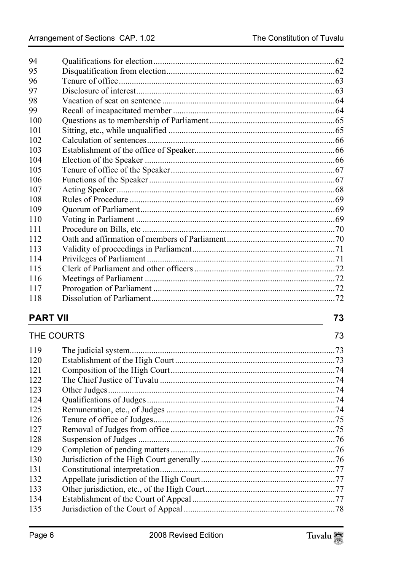| 94  |  |
|-----|--|
| 95  |  |
| 96  |  |
| 97  |  |
| 98  |  |
| 99  |  |
| 100 |  |
| 101 |  |
| 102 |  |
| 103 |  |
| 104 |  |
| 105 |  |
| 106 |  |
| 107 |  |
| 108 |  |
| 109 |  |
| 110 |  |
| 111 |  |
| 112 |  |
| 113 |  |
| 114 |  |
| 115 |  |
| 116 |  |
| 117 |  |
| 118 |  |

## **PART VII**

# 73

| THE COURTS | 73 |
|------------|----|
| 119        |    |
| 120        |    |
| 121        |    |
| 122        |    |
| 123        |    |
| 124        |    |
| 125        |    |
| 126        |    |
| 127        |    |
| 128        |    |
| 129        |    |
| 130        |    |
| 131        |    |
| 132        |    |
| 133        |    |
| 134        |    |
| 135        |    |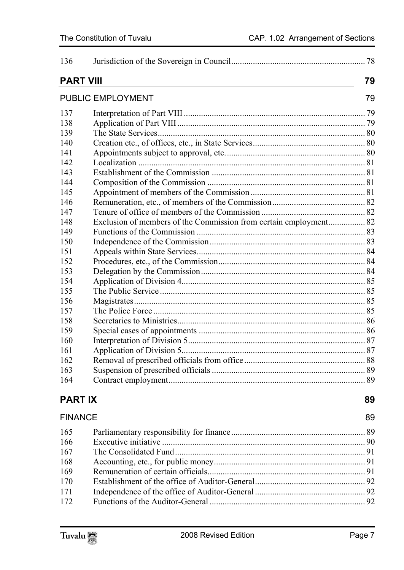| 136              |                          |    |
|------------------|--------------------------|----|
| <b>PART VIII</b> |                          | 79 |
|                  | <b>PUBLIC EMPLOYMENT</b> | 79 |
| 137              |                          |    |
| 138              |                          |    |
| 139              |                          |    |
| 140              |                          |    |
| 141              |                          |    |
| 142              |                          |    |
| 143              |                          |    |
| 144              |                          |    |
| 145              |                          |    |
| 146              |                          |    |
| 147              |                          |    |
| 148              |                          |    |
| 149              |                          |    |
| 150              |                          |    |
| 151              |                          |    |
| 152              |                          |    |
| 153              |                          |    |
| 154              |                          |    |
| 155              |                          |    |
| 156              |                          |    |
| 157              |                          |    |
| 158              |                          |    |
| 159              |                          |    |
| 160              |                          |    |
| 161              |                          |    |
| 162              |                          |    |
| 163              |                          |    |
| 164              |                          |    |
| <b>PART IX</b>   |                          | 89 |
| <b>FINANCE</b>   |                          | 89 |
| 165              |                          |    |
| 166              |                          |    |
| 167              |                          |    |
| 168              |                          |    |
| 169              |                          |    |
| 170              |                          |    |
| 171              |                          |    |
| 172              |                          |    |
|                  |                          |    |

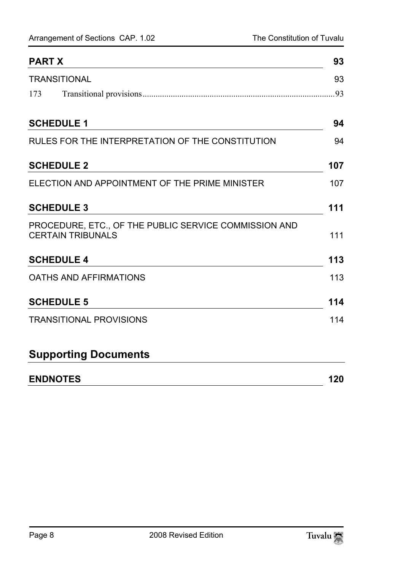| <b>PART X</b>                                                                     |     |
|-----------------------------------------------------------------------------------|-----|
| <b>TRANSITIONAL</b>                                                               |     |
| 173                                                                               |     |
| <b>SCHEDULE 1</b>                                                                 |     |
| RULES FOR THE INTERPRETATION OF THE CONSTITUTION                                  |     |
| <b>SCHEDULE 2</b>                                                                 | 107 |
| ELECTION AND APPOINTMENT OF THE PRIME MINISTER                                    | 107 |
| <b>SCHEDULE 3</b>                                                                 | 111 |
| PROCEDURE, ETC., OF THE PUBLIC SERVICE COMMISSION AND<br><b>CERTAIN TRIBUNALS</b> | 111 |
| <b>SCHEDULE 4</b>                                                                 | 113 |
| OATHS AND AFFIRMATIONS                                                            | 113 |
| <b>SCHEDULE 5</b>                                                                 | 114 |
|                                                                                   | 114 |

# **Supporting Documents**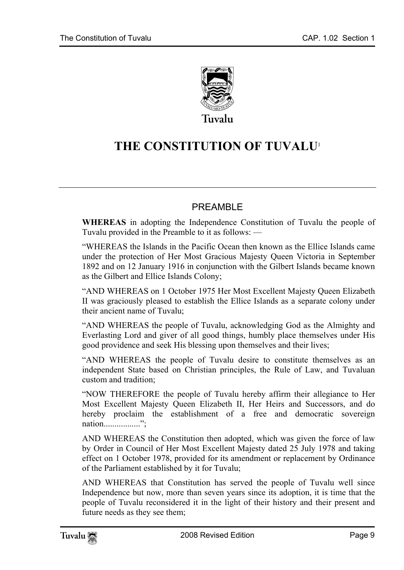

# **THE CONSTITUTION OF TUVALU**<sup>1</sup>

## PREAMBLE

**WHEREAS** in adopting the Independence Constitution of Tuvalu the people of Tuvalu provided in the Preamble to it as follows: —

"WHEREAS the Islands in the Pacific Ocean then known as the Ellice Islands came under the protection of Her Most Gracious Majesty Queen Victoria in September 1892 and on 12 January 1916 in conjunction with the Gilbert Islands became known as the Gilbert and Ellice Islands Colony;

"AND WHEREAS on 1 October 1975 Her Most Excellent Majesty Queen Elizabeth II was graciously pleased to establish the Ellice Islands as a separate colony under their ancient name of Tuvalu;

"AND WHEREAS the people of Tuvalu, acknowledging God as the Almighty and Everlasting Lord and giver of all good things, humbly place themselves under His good providence and seek His blessing upon themselves and their lives;

"AND WHEREAS the people of Tuvalu desire to constitute themselves as an independent State based on Christian principles, the Rule of Law, and Tuvaluan custom and tradition;

"NOW THEREFORE the people of Tuvalu hereby affirm their allegiance to Her Most Excellent Majesty Queen Elizabeth II, Her Heirs and Successors, and do hereby proclaim the establishment of a free and democratic sovereign nation.................";

AND WHEREAS the Constitution then adopted, which was given the force of law by Order in Council of Her Most Excellent Majesty dated 25 July 1978 and taking effect on 1 October 1978, provided for its amendment or replacement by Ordinance of the Parliament established by it for Tuvalu;

AND WHEREAS that Constitution has served the people of Tuvalu well since Independence but now, more than seven years since its adoption, it is time that the people of Tuvalu reconsidered it in the light of their history and their present and future needs as they see them;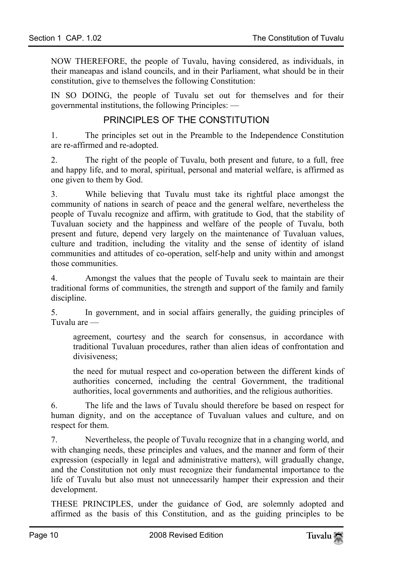NOW THEREFORE, the people of Tuvalu, having considered, as individuals, in their maneapas and island councils, and in their Parliament, what should be in their constitution, give to themselves the following Constitution:

IN SO DOING, the people of Tuvalu set out for themselves and for their governmental institutions, the following Principles: —

### <span id="page-9-0"></span>PRINCIPLES OF THE CONSTITUTION

1. The principles set out in the Preamble to the Independence Constitution are re-affirmed and re-adopted.

2. The right of the people of Tuvalu, both present and future, to a full, free and happy life, and to moral, spiritual, personal and material welfare, is affirmed as one given to them by God.

3. While believing that Tuvalu must take its rightful place amongst the community of nations in search of peace and the general welfare, nevertheless the people of Tuvalu recognize and affirm, with gratitude to God, that the stability of Tuvaluan society and the happiness and welfare of the people of Tuvalu, both present and future, depend very largely on the maintenance of Tuvaluan values, culture and tradition, including the vitality and the sense of identity of island communities and attitudes of co-operation, self-help and unity within and amongst those communities.

4. Amongst the values that the people of Tuvalu seek to maintain are their traditional forms of communities, the strength and support of the family and family discipline.

5. In government, and in social affairs generally, the guiding principles of Tuvalu are —

agreement, courtesy and the search for consensus, in accordance with traditional Tuvaluan procedures, rather than alien ideas of confrontation and divisiveness;

the need for mutual respect and co-operation between the different kinds of authorities concerned, including the central Government, the traditional authorities, local governments and authorities, and the religious authorities.

6. The life and the laws of Tuvalu should therefore be based on respect for human dignity, and on the acceptance of Tuvaluan values and culture, and on respect for them.

7. Nevertheless, the people of Tuvalu recognize that in a changing world, and with changing needs, these principles and values, and the manner and form of their expression (especially in legal and administrative matters), will gradually change, and the Constitution not only must recognize their fundamental importance to the life of Tuvalu but also must not unnecessarily hamper their expression and their development.

THESE PRINCIPLES, under the guidance of God, are solemnly adopted and affirmed as the basis of this Constitution, and as the guiding principles to be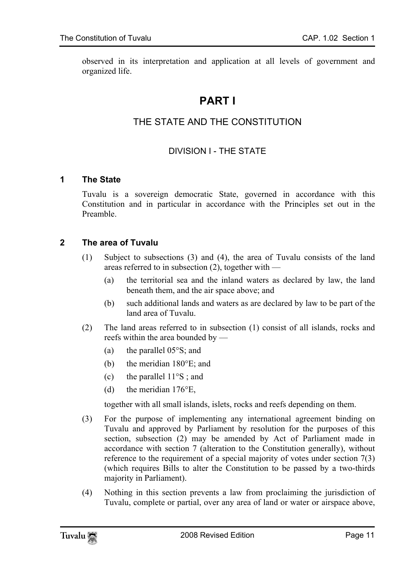observed in its interpretation and application at all levels of government and organized life.

# <span id="page-10-1"></span><span id="page-10-0"></span>**PART I**

## <span id="page-10-2"></span>THE STATE AND THE CONSTITUTION

## DIVISION I - THE STATE

#### **1 The State**

<span id="page-10-3"></span>Tuvalu is a sovereign democratic State, governed in accordance with this Constitution and in particular in accordance with the Principles set out in the Preamble.

#### **2 The area of Tuvalu**

- (1) Subject to subsections (3) and (4), the area of Tuvalu consists of the land areas referred to in subsection (2), together with —
	- (a) the territorial sea and the inland waters as declared by law, the land beneath them, and the air space above; and
	- (b) such additional lands and waters as are declared by law to be part of the land area of Tuvalu.
- (2) The land areas referred to in subsection (1) consist of all islands, rocks and reefs within the area bounded by —
	- (a) the parallel  $05^{\circ}$ S; and
	- (b) the meridian 180°E; and
	- (c) the parallel  $11°S$ ; and
	- (d) the meridian  $176^{\circ}$ E.

together with all small islands, islets, rocks and reefs depending on them.

- (3) For the purpose of implementing any international agreement binding on Tuvalu and approved by Parliament by resolution for the purposes of this section, subsection (2) may be amended by Act of Parliament made in accordance with section 7 (alteration to the Constitution generally), without reference to the requirement of a special majority of votes under section 7(3) (which requires Bills to alter the Constitution to be passed by a two-thirds majority in Parliament).
- (4) Nothing in this section prevents a law from proclaiming the jurisdiction of Tuvalu, complete or partial, over any area of land or water or airspace above,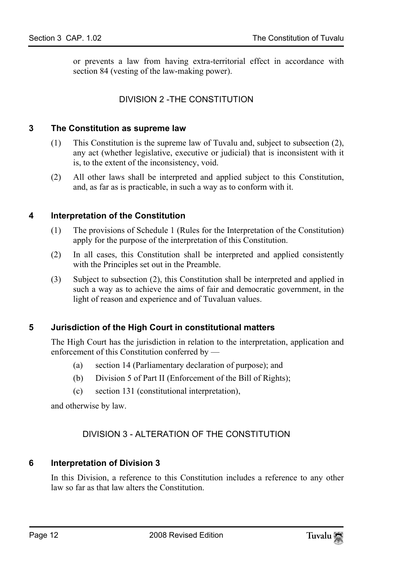<span id="page-11-0"></span>or prevents a law from having extra-territorial effect in accordance with section 84 (vesting of the law-making power).

#### DIVISION 2 -THE CONSTITUTION

#### **3 The Constitution as supreme law**

- (1) This Constitution is the supreme law of Tuvalu and, subject to subsection (2), any act (whether legislative, executive or judicial) that is inconsistent with it is, to the extent of the inconsistency, void.
- <span id="page-11-1"></span>(2) All other laws shall be interpreted and applied subject to this Constitution, and, as far as is practicable, in such a way as to conform with it.

#### **4 Interpretation of the Constitution**

- (1) The provisions of Schedule 1 (Rules for the Interpretation of the Constitution) apply for the purpose of the interpretation of this Constitution.
- (2) In all cases, this Constitution shall be interpreted and applied consistently with the Principles set out in the Preamble.
- <span id="page-11-2"></span>(3) Subject to subsection (2), this Constitution shall be interpreted and applied in such a way as to achieve the aims of fair and democratic government, in the light of reason and experience and of Tuvaluan values.

#### **5 Jurisdiction of the High Court in constitutional matters**

The High Court has the jurisdiction in relation to the interpretation, application and enforcement of this Constitution conferred by —

- (a) section 14 (Parliamentary declaration of purpose); and
- (b) Division 5 of Part II (Enforcement of the Bill of Rights);
- (c) section 131 (constitutional interpretation),

and otherwise by law.

#### <span id="page-11-3"></span>DIVISION 3 - ALTERATION OF THE CONSTITUTION

#### **6 Interpretation of Division 3**

In this Division, a reference to this Constitution includes a reference to any other law so far as that law alters the Constitution.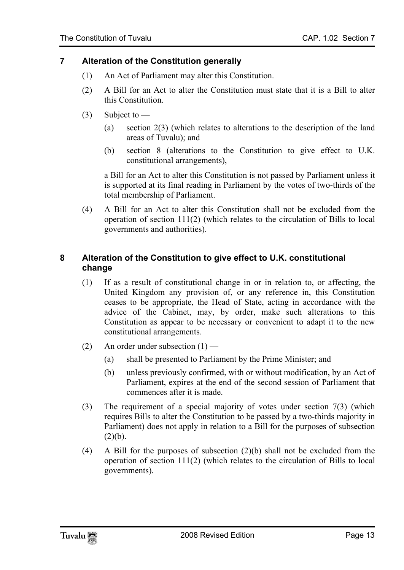#### **7 Alteration of the Constitution generally**

- <span id="page-12-0"></span>(1) An Act of Parliament may alter this Constitution.
- (2) A Bill for an Act to alter the Constitution must state that it is a Bill to alter this Constitution.
- $(3)$  Subject to
	- (a) section 2(3) (which relates to alterations to the description of the land areas of Tuvalu); and
	- (b) section 8 (alterations to the Constitution to give effect to U.K. constitutional arrangements),

a Bill for an Act to alter this Constitution is not passed by Parliament unless it is supported at its final reading in Parliament by the votes of two-thirds of the total membership of Parliament.

<span id="page-12-1"></span>(4) A Bill for an Act to alter this Constitution shall not be excluded from the operation of section 111(2) (which relates to the circulation of Bills to local governments and authorities).

#### **8 Alteration of the Constitution to give effect to U.K. constitutional change**

- (1) If as a result of constitutional change in or in relation to, or affecting, the United Kingdom any provision of, or any reference in, this Constitution ceases to be appropriate, the Head of State, acting in accordance with the advice of the Cabinet, may, by order, make such alterations to this Constitution as appear to be necessary or convenient to adapt it to the new constitutional arrangements.
- (2) An order under subsection  $(1)$ 
	- (a) shall be presented to Parliament by the Prime Minister; and
	- (b) unless previously confirmed, with or without modification, by an Act of Parliament, expires at the end of the second session of Parliament that commences after it is made.
- (3) The requirement of a special majority of votes under section 7(3) (which requires Bills to alter the Constitution to be passed by a two-thirds majority in Parliament) does not apply in relation to a Bill for the purposes of subsection  $(2)(b)$ .
- (4) A Bill for the purposes of subsection (2)(b) shall not be excluded from the operation of section 111(2) (which relates to the circulation of Bills to local governments).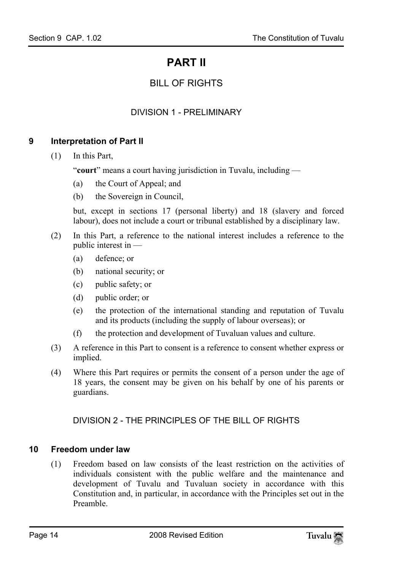## <span id="page-13-1"></span><span id="page-13-0"></span>**PART II**

## BILL OF RIGHTS

### <span id="page-13-2"></span>DIVISION 1 - PRELIMINARY

#### **9 Interpretation of Part II**

(1) In this Part,

"**court**" means a court having jurisdiction in Tuvalu, including —

- (a) the Court of Appeal; and
- (b) the Sovereign in Council,

but, except in sections 17 (personal liberty) and 18 (slavery and forced labour), does not include a court or tribunal established by a disciplinary law.

- (2) In this Part, a reference to the national interest includes a reference to the public interest in —
	- (a) defence; or
	- (b) national security; or
	- (c) public safety; or
	- (d) public order; or
	- (e) the protection of the international standing and reputation of Tuvalu and its products (including the supply of labour overseas); or
	- (f) the protection and development of Tuvaluan values and culture.
- (3) A reference in this Part to consent is a reference to consent whether express or implied.
- (4) Where this Part requires or permits the consent of a person under the age of 18 years, the consent may be given on his behalf by one of his parents or guardians.

#### <span id="page-13-3"></span>DIVISION 2 - THE PRINCIPLES OF THE BILL OF RIGHTS

#### **10 Freedom under law**

(1) Freedom based on law consists of the least restriction on the activities of individuals consistent with the public welfare and the maintenance and development of Tuvalu and Tuvaluan society in accordance with this Constitution and, in particular, in accordance with the Principles set out in the Preamble.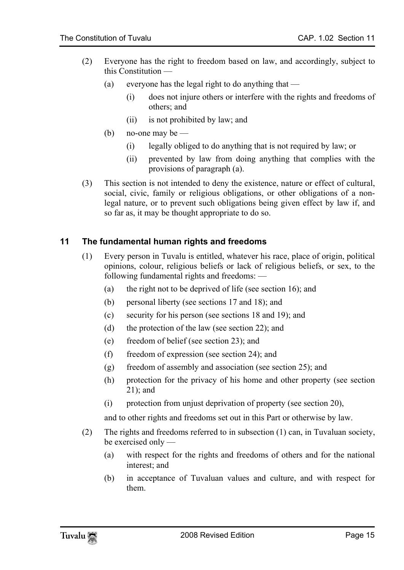- (2) Everyone has the right to freedom based on law, and accordingly, subject to this Constitution —
	- (a) everyone has the legal right to do anything that  $-$ 
		- (i) does not injure others or interfere with the rights and freedoms of others; and
		- (ii) is not prohibited by law; and
	- (b) no-one may be  $-$ 
		- (i) legally obliged to do anything that is not required by law; or
		- (ii) prevented by law from doing anything that complies with the provisions of paragraph (a).
- <span id="page-14-0"></span>(3) This section is not intended to deny the existence, nature or effect of cultural, social, civic, family or religious obligations, or other obligations of a nonlegal nature, or to prevent such obligations being given effect by law if, and so far as, it may be thought appropriate to do so.

#### **11 The fundamental human rights and freedoms**

- (1) Every person in Tuvalu is entitled, whatever his race, place of origin, political opinions, colour, religious beliefs or lack of religious beliefs, or sex, to the following fundamental rights and freedoms: —
	- (a) the right not to be deprived of life (see section 16); and
	- (b) personal liberty (see sections 17 and 18); and
	- (c) security for his person (see sections 18 and 19); and
	- (d) the protection of the law (see section 22); and
	- (e) freedom of belief (see section 23); and
	- (f) freedom of expression (see section 24); and
	- (g) freedom of assembly and association (see section 25); and
	- (h) protection for the privacy of his home and other property (see section 21); and
	- (i) protection from unjust deprivation of property (see section 20),

and to other rights and freedoms set out in this Part or otherwise by law.

- (2) The rights and freedoms referred to in subsection (1) can, in Tuvaluan society, be exercised only —
	- (a) with respect for the rights and freedoms of others and for the national interest; and
	- (b) in acceptance of Tuvaluan values and culture, and with respect for them.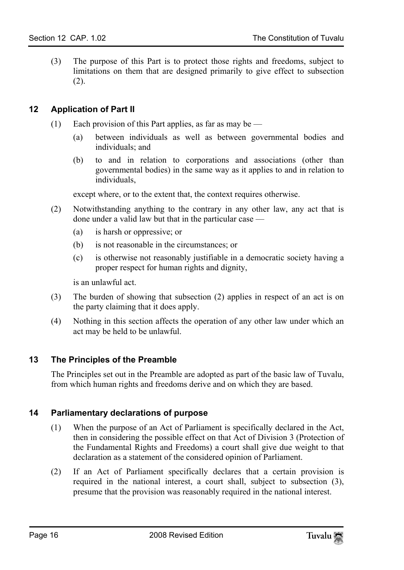<span id="page-15-0"></span>(3) The purpose of this Part is to protect those rights and freedoms, subject to limitations on them that are designed primarily to give effect to subsection (2).

#### **12 Application of Part II**

- (1) Each provision of this Part applies, as far as may be  $-$ 
	- (a) between individuals as well as between governmental bodies and individuals; and
	- (b) to and in relation to corporations and associations (other than governmental bodies) in the same way as it applies to and in relation to individuals,

except where, or to the extent that, the context requires otherwise.

- (2) Notwithstanding anything to the contrary in any other law, any act that is done under a valid law but that in the particular case —
	- (a) is harsh or oppressive; or
	- (b) is not reasonable in the circumstances; or
	- (c) is otherwise not reasonably justifiable in a democratic society having a proper respect for human rights and dignity,

<span id="page-15-1"></span>is an unlawful act.

- (3) The burden of showing that subsection (2) applies in respect of an act is on the party claiming that it does apply.
- (4) Nothing in this section affects the operation of any other law under which an act may be held to be unlawful.

#### **13 The Principles of the Preamble**

<span id="page-15-2"></span>The Principles set out in the Preamble are adopted as part of the basic law of Tuvalu, from which human rights and freedoms derive and on which they are based.

#### **14 Parliamentary declarations of purpose**

- (1) When the purpose of an Act of Parliament is specifically declared in the Act, then in considering the possible effect on that Act of Division 3 (Protection of the Fundamental Rights and Freedoms) a court shall give due weight to that declaration as a statement of the considered opinion of Parliament.
- (2) If an Act of Parliament specifically declares that a certain provision is required in the national interest, a court shall, subject to subsection (3), presume that the provision was reasonably required in the national interest.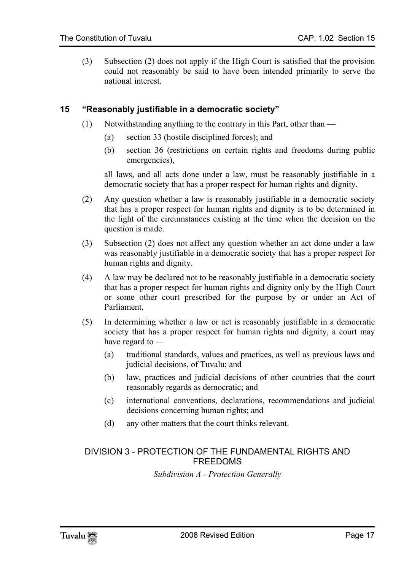<span id="page-16-0"></span>(3) Subsection (2) does not apply if the High Court is satisfied that the provision could not reasonably be said to have been intended primarily to serve the national interest.

#### **15 "Reasonably justifiable in a democratic society"**

- (1) Notwithstanding anything to the contrary in this Part, other than
	- (a) section 33 (hostile disciplined forces); and
	- (b) section 36 (restrictions on certain rights and freedoms during public emergencies),

all laws, and all acts done under a law, must be reasonably justifiable in a democratic society that has a proper respect for human rights and dignity.

- (2) Any question whether a law is reasonably justifiable in a democratic society that has a proper respect for human rights and dignity is to be determined in the light of the circumstances existing at the time when the decision on the question is made.
- (3) Subsection (2) does not affect any question whether an act done under a law was reasonably justifiable in a democratic society that has a proper respect for human rights and dignity.
- (4) A law may be declared not to be reasonably justifiable in a democratic society that has a proper respect for human rights and dignity only by the High Court or some other court prescribed for the purpose by or under an Act of Parliament.
- (5) In determining whether a law or act is reasonably justifiable in a democratic society that has a proper respect for human rights and dignity, a court may have regard to —
	- (a) traditional standards, values and practices, as well as previous laws and judicial decisions, of Tuvalu; and
	- (b) law, practices and judicial decisions of other countries that the court reasonably regards as democratic; and
	- (c) international conventions, declarations, recommendations and judicial decisions concerning human rights; and
	- (d) any other matters that the court thinks relevant.

#### DIVISION 3 - PROTECTION OF THE FUNDAMENTAL RIGHTS AND FREEDOMS

*Subdivision A - Protection Generally* 

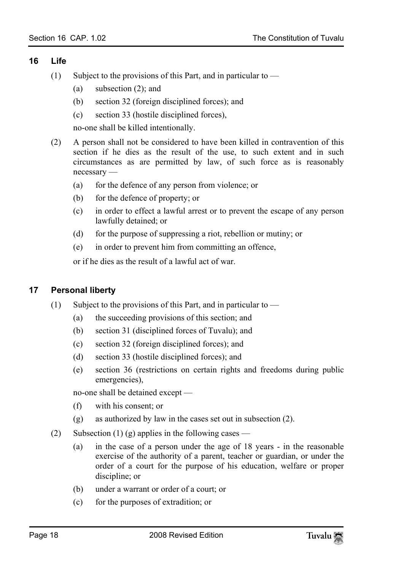#### **16 Life**

- <span id="page-17-0"></span>(1) Subject to the provisions of this Part, and in particular to  $-$ 
	- (a) subsection (2); and
	- (b) section 32 (foreign disciplined forces); and
	- (c) section 33 (hostile disciplined forces),

no-one shall be killed intentionally.

- (2) A person shall not be considered to have been killed in contravention of this section if he dies as the result of the use, to such extent and in such circumstances as are permitted by law, of such force as is reasonably necessary —
	- (a) for the defence of any person from violence; or
	- (b) for the defence of property; or
	- (c) in order to effect a lawful arrest or to prevent the escape of any person lawfully detained; or
	- (d) for the purpose of suppressing a riot, rebellion or mutiny; or
	- (e) in order to prevent him from committing an offence,

<span id="page-17-1"></span>or if he dies as the result of a lawful act of war.

#### **17 Personal liberty**

- (1) Subject to the provisions of this Part, and in particular to
	- (a) the succeeding provisions of this section; and
	- (b) section 31 (disciplined forces of Tuvalu); and
	- (c) section 32 (foreign disciplined forces); and
	- (d) section 33 (hostile disciplined forces); and
	- (e) section 36 (restrictions on certain rights and freedoms during public emergencies),

no-one shall be detained except —

- (f) with his consent; or
- (g) as authorized by law in the cases set out in subsection (2).
- (2) Subsection (1) (g) applies in the following cases
	- (a) in the case of a person under the age of 18 years in the reasonable exercise of the authority of a parent, teacher or guardian, or under the order of a court for the purpose of his education, welfare or proper discipline; or
	- (b) under a warrant or order of a court; or
	- (c) for the purposes of extradition; or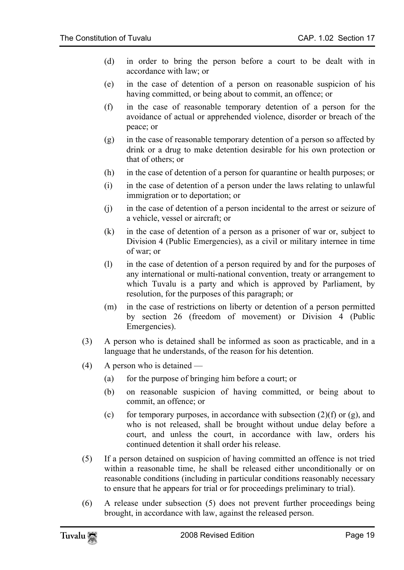- (d) in order to bring the person before a court to be dealt with in accordance with law; or
- (e) in the case of detention of a person on reasonable suspicion of his having committed, or being about to commit, an offence; or
- (f) in the case of reasonable temporary detention of a person for the avoidance of actual or apprehended violence, disorder or breach of the peace; or
- (g) in the case of reasonable temporary detention of a person so affected by drink or a drug to make detention desirable for his own protection or that of others; or
- (h) in the case of detention of a person for quarantine or health purposes; or
- (i) in the case of detention of a person under the laws relating to unlawful immigration or to deportation; or
- (j) in the case of detention of a person incidental to the arrest or seizure of a vehicle, vessel or aircraft; or
- (k) in the case of detention of a person as a prisoner of war or, subject to Division 4 (Public Emergencies), as a civil or military internee in time of war; or
- (l) in the case of detention of a person required by and for the purposes of any international or multi-national convention, treaty or arrangement to which Tuvalu is a party and which is approved by Parliament, by resolution, for the purposes of this paragraph; or
- (m) in the case of restrictions on liberty or detention of a person permitted by section 26 (freedom of movement) or Division 4 (Public Emergencies).
- (3) A person who is detained shall be informed as soon as practicable, and in a language that he understands, of the reason for his detention.
- (4) A person who is detained
	- (a) for the purpose of bringing him before a court; or
	- (b) on reasonable suspicion of having committed, or being about to commit, an offence; or
	- (c) for temporary purposes, in accordance with subsection  $(2)(f)$  or  $(g)$ , and who is not released, shall be brought without undue delay before a court, and unless the court, in accordance with law, orders his continued detention it shall order his release.
- (5) If a person detained on suspicion of having committed an offence is not tried within a reasonable time, he shall be released either unconditionally or on reasonable conditions (including in particular conditions reasonably necessary to ensure that he appears for trial or for proceedings preliminary to trial).
- (6) A release under subsection (5) does not prevent further proceedings being brought, in accordance with law, against the released person.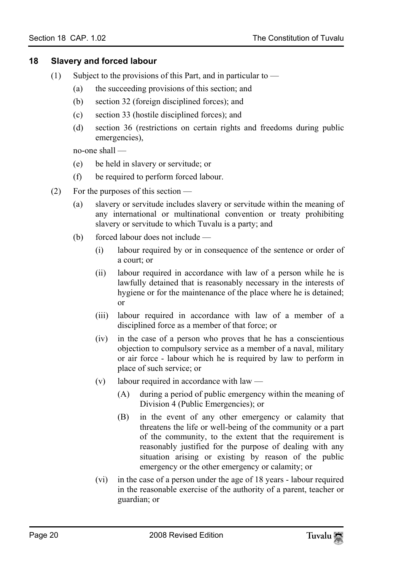#### **18 Slavery and forced labour**

- <span id="page-19-0"></span>(1) Subject to the provisions of this Part, and in particular to  $-$ 
	- (a) the succeeding provisions of this section; and
	- (b) section 32 (foreign disciplined forces); and
	- (c) section 33 (hostile disciplined forces); and
	- (d) section 36 (restrictions on certain rights and freedoms during public emergencies),

no-one shall —

- (e) be held in slavery or servitude; or
- (f) be required to perform forced labour.
- (2) For the purposes of this section
	- (a) slavery or servitude includes slavery or servitude within the meaning of any international or multinational convention or treaty prohibiting slavery or servitude to which Tuvalu is a party; and
	- (b) forced labour does not include
		- (i) labour required by or in consequence of the sentence or order of a court; or
		- (ii) labour required in accordance with law of a person while he is lawfully detained that is reasonably necessary in the interests of hygiene or for the maintenance of the place where he is detained; or
		- (iii) labour required in accordance with law of a member of a disciplined force as a member of that force; or
		- (iv) in the case of a person who proves that he has a conscientious objection to compulsory service as a member of a naval, military or air force - labour which he is required by law to perform in place of such service; or
		- (v) labour required in accordance with law  $-$ 
			- (A) during a period of public emergency within the meaning of Division 4 (Public Emergencies); or
			- (B) in the event of any other emergency or calamity that threatens the life or well-being of the community or a part of the community, to the extent that the requirement is reasonably justified for the purpose of dealing with any situation arising or existing by reason of the public emergency or the other emergency or calamity; or
		- (vi) in the case of a person under the age of 18 years labour required in the reasonable exercise of the authority of a parent, teacher or guardian; or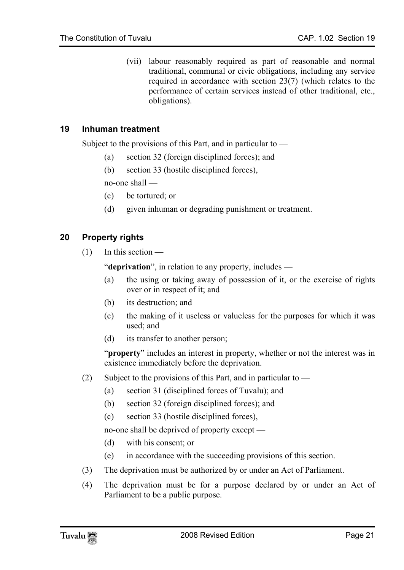(vii) labour reasonably required as part of reasonable and normal traditional, communal or civic obligations, including any service required in accordance with section 23(7) (which relates to the performance of certain services instead of other traditional, etc., obligations).

#### **19 Inhuman treatment**

Subject to the provisions of this Part, and in particular to  $-$ 

- (a) section 32 (foreign disciplined forces); and
- (b) section 33 (hostile disciplined forces),

no-one shall —

- (c) be tortured; or
- (d) given inhuman or degrading punishment or treatment.

#### **20 Property rights**

 $(1)$  In this section —

"**deprivation**", in relation to any property, includes —

- (a) the using or taking away of possession of it, or the exercise of rights over or in respect of it; and
- (b) its destruction; and
- (c) the making of it useless or valueless for the purposes for which it was used; and
- (d) its transfer to another person;

"**property**" includes an interest in property, whether or not the interest was in existence immediately before the deprivation.

- (2) Subject to the provisions of this Part, and in particular to  $-$ 
	- (a) section 31 (disciplined forces of Tuvalu); and
	- (b) section 32 (foreign disciplined forces); and
	- (c) section 33 (hostile disciplined forces),

no-one shall be deprived of property except —

- (d) with his consent; or
- (e) in accordance with the succeeding provisions of this section.
- (3) The deprivation must be authorized by or under an Act of Parliament.
- (4) The deprivation must be for a purpose declared by or under an Act of Parliament to be a public purpose.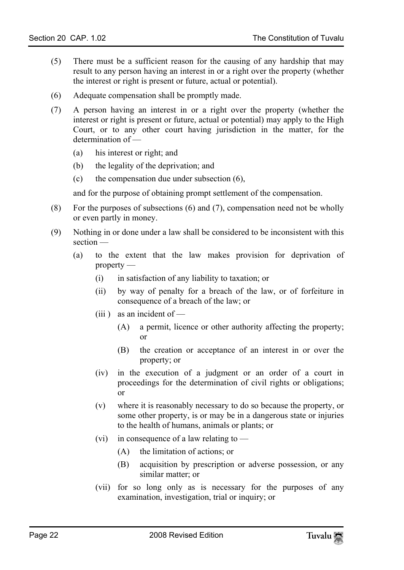- (5) There must be a sufficient reason for the causing of any hardship that may result to any person having an interest in or a right over the property (whether the interest or right is present or future, actual or potential).
- (6) Adequate compensation shall be promptly made.
- (7) A person having an interest in or a right over the property (whether the interest or right is present or future, actual or potential) may apply to the High Court, or to any other court having jurisdiction in the matter, for the determination of —
	- (a) his interest or right; and
	- (b) the legality of the deprivation; and
	- (c) the compensation due under subsection (6),

and for the purpose of obtaining prompt settlement of the compensation.

- (8) For the purposes of subsections (6) and (7), compensation need not be wholly or even partly in money.
- (9) Nothing in or done under a law shall be considered to be inconsistent with this section —
	- (a) to the extent that the law makes provision for deprivation of property —
		- (i) in satisfaction of any liability to taxation; or
		- (ii) by way of penalty for a breach of the law, or of forfeiture in consequence of a breach of the law; or
		- $(iii)$  as an incident of
			- (A) a permit, licence or other authority affecting the property; or
			- (B) the creation or acceptance of an interest in or over the property; or
		- (iv) in the execution of a judgment or an order of a court in proceedings for the determination of civil rights or obligations; or
		- (v) where it is reasonably necessary to do so because the property, or some other property, is or may be in a dangerous state or injuries to the health of humans, animals or plants; or
		- (vi) in consequence of a law relating to  $-$ 
			- (A) the limitation of actions; or
			- (B) acquisition by prescription or adverse possession, or any similar matter; or
		- (vii) for so long only as is necessary for the purposes of any examination, investigation, trial or inquiry; or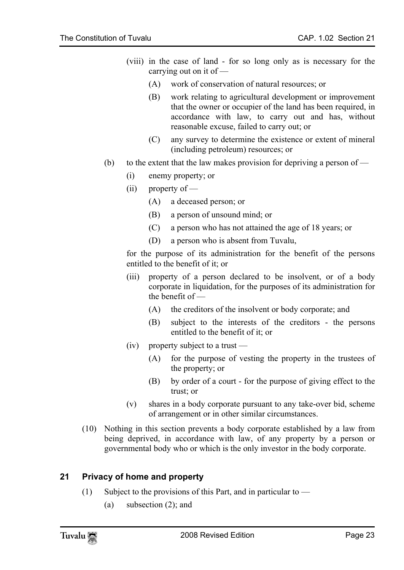- (viii) in the case of land for so long only as is necessary for the carrying out on it of —
	- (A) work of conservation of natural resources; or
	- (B) work relating to agricultural development or improvement that the owner or occupier of the land has been required, in accordance with law, to carry out and has, without reasonable excuse, failed to carry out; or
	- (C) any survey to determine the existence or extent of mineral (including petroleum) resources; or
- (b) to the extent that the law makes provision for depriving a person of  $-$ 
	- (i) enemy property; or
	- $(ii)$  property of
		- (A) a deceased person; or
		- (B) a person of unsound mind; or
		- (C) a person who has not attained the age of 18 years; or
		- (D) a person who is absent from Tuvalu,

for the purpose of its administration for the benefit of the persons entitled to the benefit of it; or

- (iii) property of a person declared to be insolvent, or of a body corporate in liquidation, for the purposes of its administration for the benefit of —
	- (A) the creditors of the insolvent or body corporate; and
	- (B) subject to the interests of the creditors the persons entitled to the benefit of it; or
- $(iv)$  property subject to a trust
	- (A) for the purpose of vesting the property in the trustees of the property; or
	- (B) by order of a court for the purpose of giving effect to the trust; or
- <span id="page-22-0"></span>(v) shares in a body corporate pursuant to any take-over bid, scheme of arrangement or in other similar circumstances.
- (10) Nothing in this section prevents a body corporate established by a law from being deprived, in accordance with law, of any property by a person or governmental body who or which is the only investor in the body corporate.

#### **21 Privacy of home and property**

- (1) Subject to the provisions of this Part, and in particular to  $-$ 
	- (a) subsection (2); and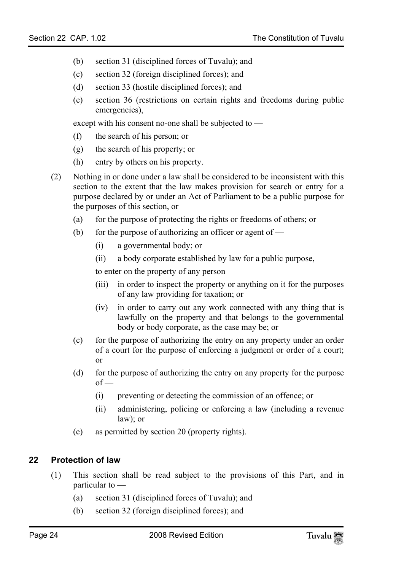- (b) section 31 (disciplined forces of Tuvalu); and
- (c) section 32 (foreign disciplined forces); and
- (d) section 33 (hostile disciplined forces); and
- (e) section 36 (restrictions on certain rights and freedoms during public emergencies),

except with his consent no-one shall be subjected to —

- (f) the search of his person; or
- (g) the search of his property; or
- (h) entry by others on his property.
- (2) Nothing in or done under a law shall be considered to be inconsistent with this section to the extent that the law makes provision for search or entry for a purpose declared by or under an Act of Parliament to be a public purpose for the purposes of this section, or —
	- (a) for the purpose of protecting the rights or freedoms of others; or
	- (b) for the purpose of authorizing an officer or agent of  $-$ 
		- (i) a governmental body; or
		- (ii) a body corporate established by law for a public purpose,

to enter on the property of any person —

- (iii) in order to inspect the property or anything on it for the purposes of any law providing for taxation; or
- (iv) in order to carry out any work connected with any thing that is lawfully on the property and that belongs to the governmental body or body corporate, as the case may be; or
- (c) for the purpose of authorizing the entry on any property under an order of a court for the purpose of enforcing a judgment or order of a court; or
- (d) for the purpose of authorizing the entry on any property for the purpose  $of$  —
	- (i) preventing or detecting the commission of an offence; or
	- (ii) administering, policing or enforcing a law (including a revenue law); or
- <span id="page-23-0"></span>(e) as permitted by section 20 (property rights).

#### **22 Protection of law**

- (1) This section shall be read subject to the provisions of this Part, and in particular to —
	- (a) section 31 (disciplined forces of Tuvalu); and
	- (b) section 32 (foreign disciplined forces); and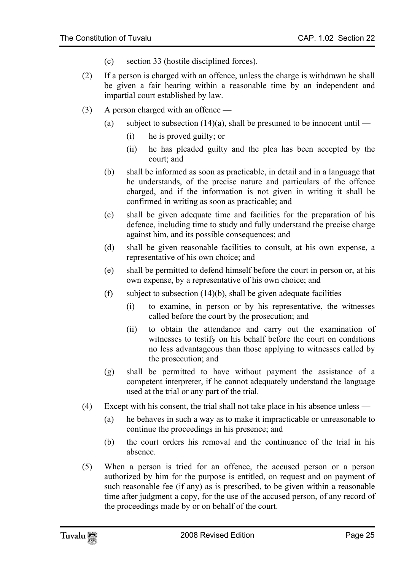- (c) section 33 (hostile disciplined forces).
- (2) If a person is charged with an offence, unless the charge is withdrawn he shall be given a fair hearing within a reasonable time by an independent and impartial court established by law.
- (3) A person charged with an offence
	- (a) subject to subsection  $(14)(a)$ , shall be presumed to be innocent until
		- (i) he is proved guilty; or
		- (ii) he has pleaded guilty and the plea has been accepted by the court; and
	- (b) shall be informed as soon as practicable, in detail and in a language that he understands, of the precise nature and particulars of the offence charged, and if the information is not given in writing it shall be confirmed in writing as soon as practicable; and
	- (c) shall be given adequate time and facilities for the preparation of his defence, including time to study and fully understand the precise charge against him, and its possible consequences; and
	- (d) shall be given reasonable facilities to consult, at his own expense, a representative of his own choice; and
	- (e) shall be permitted to defend himself before the court in person or, at his own expense, by a representative of his own choice; and
	- (f) subject to subsection (14)(b), shall be given adequate facilities
		- (i) to examine, in person or by his representative, the witnesses called before the court by the prosecution; and
		- (ii) to obtain the attendance and carry out the examination of witnesses to testify on his behalf before the court on conditions no less advantageous than those applying to witnesses called by the prosecution; and
	- (g) shall be permitted to have without payment the assistance of a competent interpreter, if he cannot adequately understand the language used at the trial or any part of the trial.
- (4) Except with his consent, the trial shall not take place in his absence unless
	- (a) he behaves in such a way as to make it impracticable or unreasonable to continue the proceedings in his presence; and
	- (b) the court orders his removal and the continuance of the trial in his absence.
- (5) When a person is tried for an offence, the accused person or a person authorized by him for the purpose is entitled, on request and on payment of such reasonable fee (if any) as is prescribed, to be given within a reasonable time after judgment a copy, for the use of the accused person, of any record of the proceedings made by or on behalf of the court.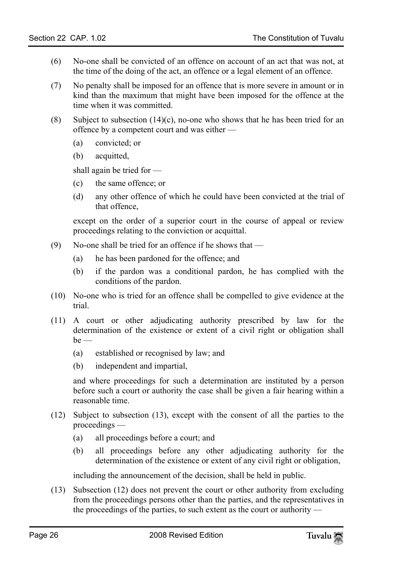- (6) No-one shall be convicted of an offence on account of an act that was not, at the time of the doing of the act, an offence or a legal element of an offence.
- (7) No penalty shall be imposed for an offence that is more severe in amount or in kind than the maximum that might have been imposed for the offence at the time when it was committed.
- (8) Subject to subsection  $(14)(c)$ , no-one who shows that he has been tried for an offence by a competent court and was either —
	- (a) convicted; or
	- (b) acquitted,

shall again be tried for —

- (c) the same offence; or
- (d) any other offence of which he could have been convicted at the trial of that offence,

except on the order of a superior court in the course of appeal or review proceedings relating to the conviction or acquittal.

- (9) No-one shall be tried for an offence if he shows that
	- (a) he has been pardoned for the offence; and
	- (b) if the pardon was a conditional pardon, he has complied with the conditions of the pardon.
- (10) No-one who is tried for an offence shall be compelled to give evidence at the trial.
- (11) A court or other adjudicating authority prescribed by law for the determination of the existence or extent of a civil right or obligation shall  $be$  —
	- (a) established or recognised by law; and
	- (b) independent and impartial,

and where proceedings for such a determination are instituted by a person before such a court or authority the case shall be given a fair hearing within a reasonable time.

- (12) Subject to subsection (13), except with the consent of all the parties to the proceedings —
	- (a) all proceedings before a court; and
	- (b) all proceedings before any other adjudicating authority for the determination of the existence or extent of any civil right or obligation,

including the announcement of the decision, shall be held in public.

(13) Subsection (12) does not prevent the court or other authority from excluding from the proceedings persons other than the parties, and the representatives in the proceedings of the parties, to such extent as the court or authority —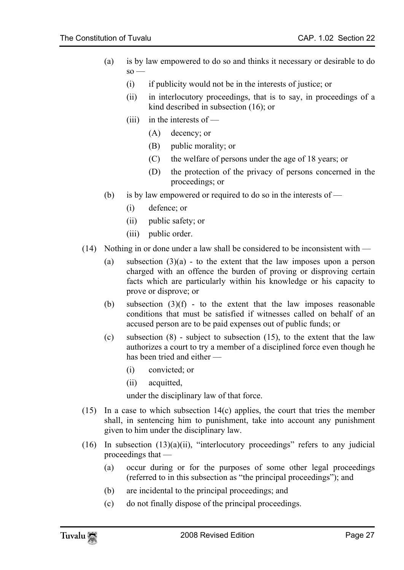- (a) is by law empowered to do so and thinks it necessary or desirable to do  $so -$ 
	- (i) if publicity would not be in the interests of justice; or
	- (ii) in interlocutory proceedings, that is to say, in proceedings of a kind described in subsection (16); or
	- $(iii)$  in the interests of
		- (A) decency; or
		- (B) public morality; or
		- (C) the welfare of persons under the age of 18 years; or
		- (D) the protection of the privacy of persons concerned in the proceedings; or
- (b) is by law empowered or required to do so in the interests of  $-$ 
	- (i) defence; or
	- (ii) public safety; or
	- (iii) public order.
- (14) Nothing in or done under a law shall be considered to be inconsistent with
	- (a) subsection  $(3)(a)$  to the extent that the law imposes upon a person charged with an offence the burden of proving or disproving certain facts which are particularly within his knowledge or his capacity to prove or disprove; or
	- (b) subsection  $(3)(f)$  to the extent that the law imposes reasonable conditions that must be satisfied if witnesses called on behalf of an accused person are to be paid expenses out of public funds; or
	- (c) subsection (8) subject to subsection (15), to the extent that the law authorizes a court to try a member of a disciplined force even though he has been tried and either —
		- (i) convicted; or
		- (ii) acquitted,

under the disciplinary law of that force.

- $(15)$  In a case to which subsection  $14(c)$  applies, the court that tries the member shall, in sentencing him to punishment, take into account any punishment given to him under the disciplinary law.
- (16) In subsection  $(13)(a)(ii)$ , "interlocutory proceedings" refers to any judicial proceedings that —
	- (a) occur during or for the purposes of some other legal proceedings (referred to in this subsection as "the principal proceedings"); and
	- (b) are incidental to the principal proceedings; and
	- (c) do not finally dispose of the principal proceedings.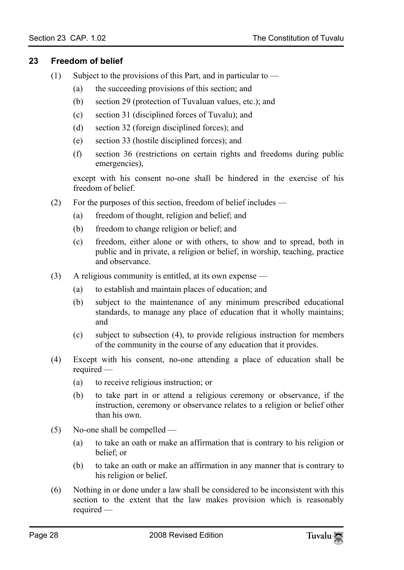#### **23 Freedom of belief**

- (1) Subject to the provisions of this Part, and in particular to  $-$ 
	- (a) the succeeding provisions of this section; and
	- (b) section 29 (protection of Tuvaluan values, etc.); and
	- (c) section 31 (disciplined forces of Tuvalu); and
	- (d) section 32 (foreign disciplined forces); and
	- (e) section 33 (hostile disciplined forces); and
	- (f) section 36 (restrictions on certain rights and freedoms during public emergencies),

except with his consent no-one shall be hindered in the exercise of his freedom of belief.

- (2) For the purposes of this section, freedom of belief includes
	- (a) freedom of thought, religion and belief; and
	- (b) freedom to change religion or belief; and
	- (c) freedom, either alone or with others, to show and to spread, both in public and in private, a religion or belief, in worship, teaching, practice and observance.
- (3) A religious community is entitled, at its own expense
	- (a) to establish and maintain places of education; and
	- (b) subject to the maintenance of any minimum prescribed educational standards, to manage any place of education that it wholly maintains; and
	- (c) subject to subsection (4), to provide religious instruction for members of the community in the course of any education that it provides.
- (4) Except with his consent, no-one attending a place of education shall be required —
	- (a) to receive religious instruction; or
	- (b) to take part in or attend a religious ceremony or observance, if the instruction, ceremony or observance relates to a religion or belief other than his own.
- (5) No-one shall be compelled
	- (a) to take an oath or make an affirmation that is contrary to his religion or belief; or
	- (b) to take an oath or make an affirmation in any manner that is contrary to his religion or belief.
- (6) Nothing in or done under a law shall be considered to be inconsistent with this section to the extent that the law makes provision which is reasonably required —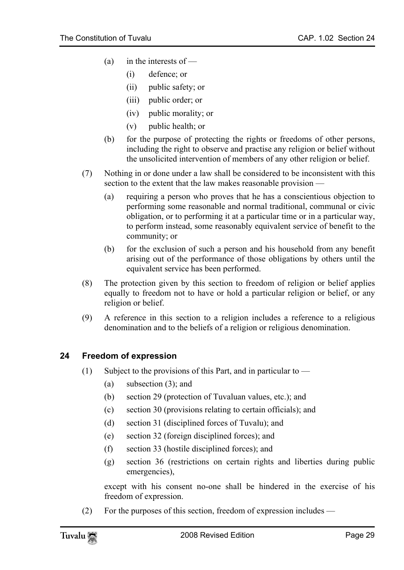- (a) in the interests of  $-$ 
	- (i) defence; or
	- (ii) public safety; or
	- (iii) public order; or
	- (iv) public morality; or
	- (v) public health; or
- (b) for the purpose of protecting the rights or freedoms of other persons, including the right to observe and practise any religion or belief without the unsolicited intervention of members of any other religion or belief.
- (7) Nothing in or done under a law shall be considered to be inconsistent with this section to the extent that the law makes reasonable provision —
	- (a) requiring a person who proves that he has a conscientious objection to performing some reasonable and normal traditional, communal or civic obligation, or to performing it at a particular time or in a particular way, to perform instead, some reasonably equivalent service of benefit to the community; or
	- (b) for the exclusion of such a person and his household from any benefit arising out of the performance of those obligations by others until the equivalent service has been performed.
- (8) The protection given by this section to freedom of religion or belief applies equally to freedom not to have or hold a particular religion or belief, or any religion or belief.
- <span id="page-28-0"></span>(9) A reference in this section to a religion includes a reference to a religious denomination and to the beliefs of a religion or religious denomination.

#### **24 Freedom of expression**

- (1) Subject to the provisions of this Part, and in particular to  $-$ 
	- (a) subsection (3); and
	- (b) section 29 (protection of Tuvaluan values, etc.); and
	- (c) section 30 (provisions relating to certain officials); and
	- (d) section 31 (disciplined forces of Tuvalu); and
	- (e) section 32 (foreign disciplined forces); and
	- (f) section 33 (hostile disciplined forces); and
	- (g) section 36 (restrictions on certain rights and liberties during public emergencies),

except with his consent no-one shall be hindered in the exercise of his freedom of expression.

(2) For the purposes of this section, freedom of expression includes —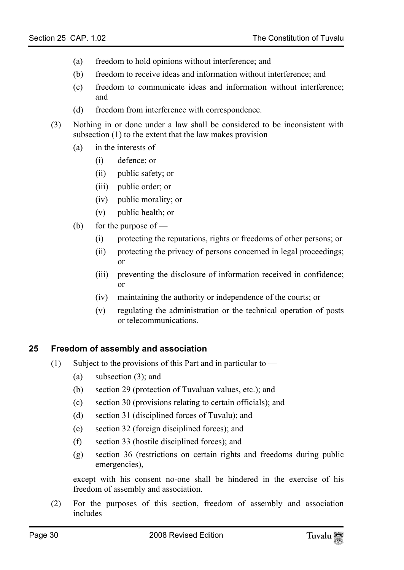- (a) freedom to hold opinions without interference; and
- (b) freedom to receive ideas and information without interference; and
- (c) freedom to communicate ideas and information without interference; and
- (d) freedom from interference with correspondence.
- (3) Nothing in or done under a law shall be considered to be inconsistent with subsection (1) to the extent that the law makes provision —
	- $(a)$  in the interests of
		- (i) defence; or
		- (ii) public safety; or
		- (iii) public order; or
		- (iv) public morality; or
		- (v) public health; or
	- (b) for the purpose of  $-$ 
		- (i) protecting the reputations, rights or freedoms of other persons; or
		- (ii) protecting the privacy of persons concerned in legal proceedings; or
		- (iii) preventing the disclosure of information received in confidence; or
		- (iv) maintaining the authority or independence of the courts; or
		- (v) regulating the administration or the technical operation of posts or telecommunications.

#### **25 Freedom of assembly and association**

- <span id="page-29-0"></span>(1) Subject to the provisions of this Part and in particular to  $-$ 
	- (a) subsection (3); and
	- (b) section 29 (protection of Tuvaluan values, etc.); and
	- (c) section 30 (provisions relating to certain officials); and
	- (d) section 31 (disciplined forces of Tuvalu); and
	- (e) section 32 (foreign disciplined forces); and
	- (f) section 33 (hostile disciplined forces); and
	- (g) section 36 (restrictions on certain rights and freedoms during public emergencies),

except with his consent no-one shall be hindered in the exercise of his freedom of assembly and association.

(2) For the purposes of this section, freedom of assembly and association includes —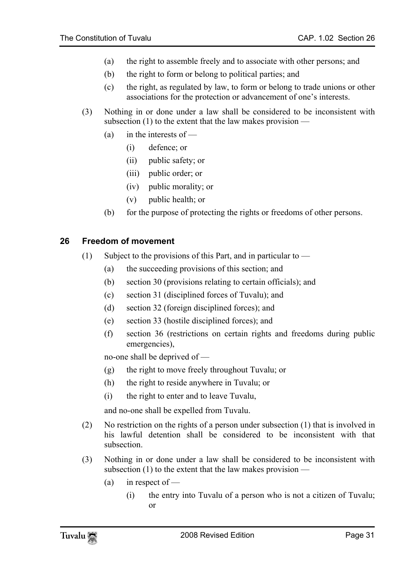- (a) the right to assemble freely and to associate with other persons; and
- (b) the right to form or belong to political parties; and
- (c) the right, as regulated by law, to form or belong to trade unions or other associations for the protection or advancement of one's interests.
- (3) Nothing in or done under a law shall be considered to be inconsistent with subsection (1) to the extent that the law makes provision —
	- $(a)$  in the interests of
		- (i) defence; or
		- (ii) public safety; or
		- (iii) public order; or
		- (iv) public morality; or
		- (v) public health; or
	- (b) for the purpose of protecting the rights or freedoms of other persons.

#### **26 Freedom of movement**

- <span id="page-30-0"></span>(1) Subject to the provisions of this Part, and in particular to  $-$ 
	- (a) the succeeding provisions of this section; and
	- (b) section 30 (provisions relating to certain officials); and
	- (c) section 31 (disciplined forces of Tuvalu); and
	- (d) section 32 (foreign disciplined forces); and
	- (e) section 33 (hostile disciplined forces); and
	- (f) section 36 (restrictions on certain rights and freedoms during public emergencies),

no-one shall be deprived of —

- (g) the right to move freely throughout Tuvalu; or
- (h) the right to reside anywhere in Tuvalu; or
- (i) the right to enter and to leave Tuvalu,

and no-one shall be expelled from Tuvalu.

- (2) No restriction on the rights of a person under subsection (1) that is involved in his lawful detention shall be considered to be inconsistent with that subsection.
- (3) Nothing in or done under a law shall be considered to be inconsistent with subsection (1) to the extent that the law makes provision —
	- (a) in respect of
		- (i) the entry into Tuvalu of a person who is not a citizen of Tuvalu; or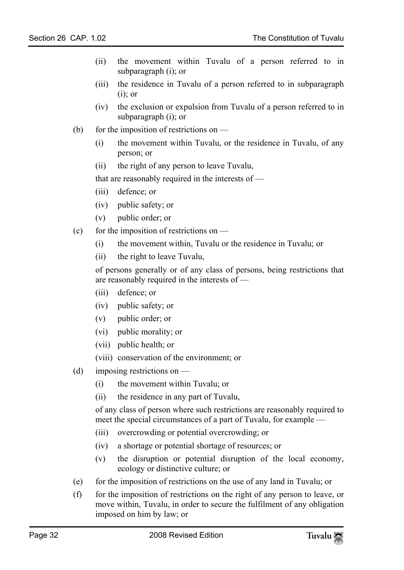- (ii) the movement within Tuvalu of a person referred to in subparagraph (i); or
- (iii) the residence in Tuvalu of a person referred to in subparagraph (i); or
- (iv) the exclusion or expulsion from Tuvalu of a person referred to in subparagraph (i); or
- (b) for the imposition of restrictions on  $-$ 
	- (i) the movement within Tuvalu, or the residence in Tuvalu, of any person; or
	- (ii) the right of any person to leave Tuvalu,

that are reasonably required in the interests of —

- (iii) defence; or
- (iv) public safety; or
- (v) public order; or
- (c) for the imposition of restrictions on  $-$ 
	- (i) the movement within, Tuvalu or the residence in Tuvalu; or
	- (ii) the right to leave Tuvalu,

of persons generally or of any class of persons, being restrictions that are reasonably required in the interests of —

- (iii) defence; or
- (iv) public safety; or
- (v) public order; or
- (vi) public morality; or
- (vii) public health; or
- (viii) conservation of the environment; or
- (d) imposing restrictions on
	- (i) the movement within Tuvalu; or
	- (ii) the residence in any part of Tuvalu,

of any class of person where such restrictions are reasonably required to meet the special circumstances of a part of Tuvalu, for example —

- (iii) overcrowding or potential overcrowding; or
- (iv) a shortage or potential shortage of resources; or
- (v) the disruption or potential disruption of the local economy, ecology or distinctive culture; or
- (e) for the imposition of restrictions on the use of any land in Tuvalu; or
- (f) for the imposition of restrictions on the right of any person to leave, or move within, Tuvalu, in order to secure the fulfilment of any obligation imposed on him by law; or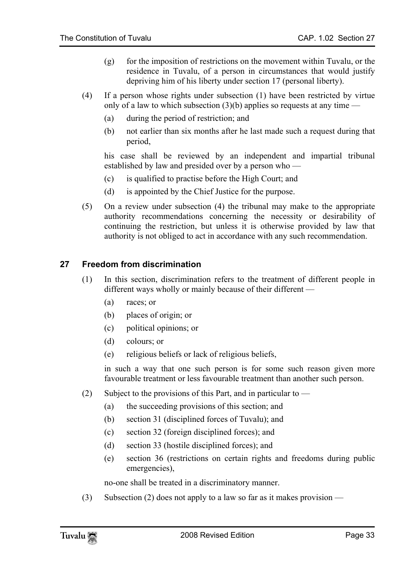- $(g)$  for the imposition of restrictions on the movement within Tuvalu, or the residence in Tuvalu, of a person in circumstances that would justify depriving him of his liberty under section 17 (personal liberty).
- (4) If a person whose rights under subsection (1) have been restricted by virtue only of a law to which subsection  $(3)(b)$  applies so requests at any time —
	- (a) during the period of restriction; and
	- (b) not earlier than six months after he last made such a request during that period,

his case shall be reviewed by an independent and impartial tribunal established by law and presided over by a person who —

- (c) is qualified to practise before the High Court; and
- <span id="page-32-0"></span>(d) is appointed by the Chief Justice for the purpose.
- (5) On a review under subsection (4) the tribunal may make to the appropriate authority recommendations concerning the necessity or desirability of continuing the restriction, but unless it is otherwise provided by law that authority is not obliged to act in accordance with any such recommendation.

#### **27 Freedom from discrimination**

- (1) In this section, discrimination refers to the treatment of different people in different ways wholly or mainly because of their different —
	- (a) races; or
	- (b) places of origin; or
	- (c) political opinions; or
	- (d) colours; or
	- (e) religious beliefs or lack of religious beliefs,

in such a way that one such person is for some such reason given more favourable treatment or less favourable treatment than another such person.

- (2) Subject to the provisions of this Part, and in particular to  $-$ 
	- (a) the succeeding provisions of this section; and
	- (b) section 31 (disciplined forces of Tuvalu); and
	- (c) section 32 (foreign disciplined forces); and
	- (d) section 33 (hostile disciplined forces); and
	- (e) section 36 (restrictions on certain rights and freedoms during public emergencies),

no-one shall be treated in a discriminatory manner.

(3) Subsection (2) does not apply to a law so far as it makes provision —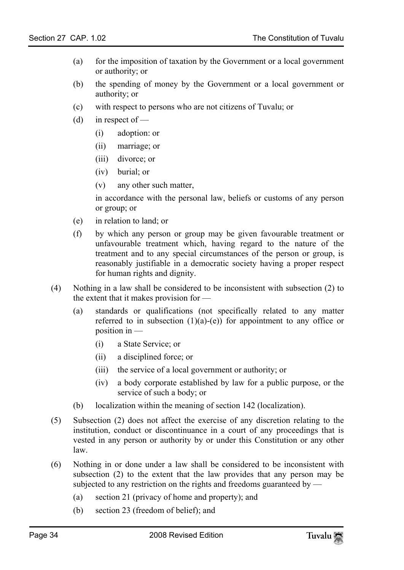- (a) for the imposition of taxation by the Government or a local government or authority; or
- (b) the spending of money by the Government or a local government or authority; or
- (c) with respect to persons who are not citizens of Tuvalu; or
- (d) in respect of
	- (i) adoption: or
	- (ii) marriage; or
	- (iii) divorce; or
	- (iv) burial; or
	- (v) any other such matter,

in accordance with the personal law, beliefs or customs of any person or group; or

- (e) in relation to land; or
- (f) by which any person or group may be given favourable treatment or unfavourable treatment which, having regard to the nature of the treatment and to any special circumstances of the person or group, is reasonably justifiable in a democratic society having a proper respect for human rights and dignity.
- (4) Nothing in a law shall be considered to be inconsistent with subsection (2) to the extent that it makes provision for —
	- (a) standards or qualifications (not specifically related to any matter referred to in subsection  $(1)(a)-(e)$ ) for appointment to any office or position in —
		- (i) a State Service; or
		- (ii) a disciplined force; or
		- (iii) the service of a local government or authority; or
		- (iv) a body corporate established by law for a public purpose, or the service of such a body; or
	- (b) localization within the meaning of section 142 (localization).
- (5) Subsection (2) does not affect the exercise of any discretion relating to the institution, conduct or discontinuance in a court of any proceedings that is vested in any person or authority by or under this Constitution or any other law.
- (6) Nothing in or done under a law shall be considered to be inconsistent with subsection (2) to the extent that the law provides that any person may be subjected to any restriction on the rights and freedoms guaranteed by —
	- (a) section 21 (privacy of home and property); and
	- (b) section 23 (freedom of belief); and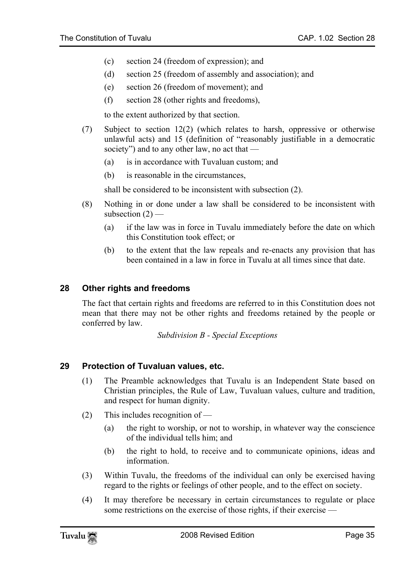- (c) section 24 (freedom of expression); and
- (d) section 25 (freedom of assembly and association); and
- (e) section 26 (freedom of movement); and
- (f) section 28 (other rights and freedoms),

to the extent authorized by that section.

- (7) Subject to section 12(2) (which relates to harsh, oppressive or otherwise unlawful acts) and 15 (definition of "reasonably justifiable in a democratic society") and to any other law, no act that —
	- (a) is in accordance with Tuvaluan custom; and
	- (b) is reasonable in the circumstances,

shall be considered to be inconsistent with subsection (2).

- <span id="page-34-0"></span>(8) Nothing in or done under a law shall be considered to be inconsistent with subsection  $(2)$  —
	- (a) if the law was in force in Tuvalu immediately before the date on which this Constitution took effect; or
	- (b) to the extent that the law repeals and re-enacts any provision that has been contained in a law in force in Tuvalu at all times since that date.

#### **28 Other rights and freedoms**

<span id="page-34-1"></span>The fact that certain rights and freedoms are referred to in this Constitution does not mean that there may not be other rights and freedoms retained by the people or conferred by law.

*Subdivision B - Special Exceptions* 

#### **29 Protection of Tuvaluan values, etc.**

- (1) The Preamble acknowledges that Tuvalu is an Independent State based on Christian principles, the Rule of Law, Tuvaluan values, culture and tradition, and respect for human dignity.
- (2) This includes recognition of
	- (a) the right to worship, or not to worship, in whatever way the conscience of the individual tells him; and
	- (b) the right to hold, to receive and to communicate opinions, ideas and information.
- (3) Within Tuvalu, the freedoms of the individual can only be exercised having regard to the rights or feelings of other people, and to the effect on society.
- (4) It may therefore be necessary in certain circumstances to regulate or place some restrictions on the exercise of those rights, if their exercise —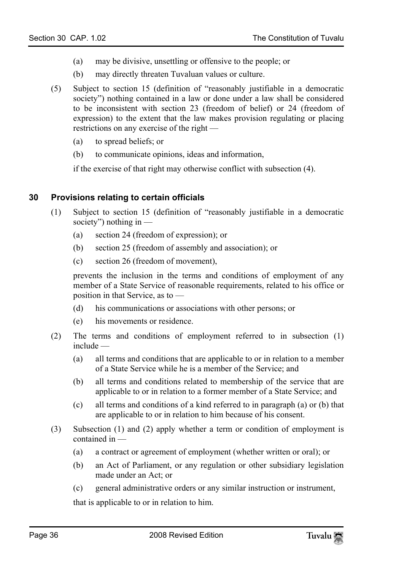- (a) may be divisive, unsettling or offensive to the people; or
- (b) may directly threaten Tuvaluan values or culture.
- (5) Subject to section 15 (definition of "reasonably justifiable in a democratic society") nothing contained in a law or done under a law shall be considered to be inconsistent with section 23 (freedom of belief) or 24 (freedom of expression) to the extent that the law makes provision regulating or placing restrictions on any exercise of the right —
	- (a) to spread beliefs; or
	- (b) to communicate opinions, ideas and information,

<span id="page-35-0"></span>if the exercise of that right may otherwise conflict with subsection (4).

#### **30 Provisions relating to certain officials**

- (1) Subject to section 15 (definition of "reasonably justifiable in a democratic society") nothing in —
	- (a) section 24 (freedom of expression); or
	- (b) section 25 (freedom of assembly and association); or
	- (c) section 26 (freedom of movement),

prevents the inclusion in the terms and conditions of employment of any member of a State Service of reasonable requirements, related to his office or position in that Service, as to —

- (d) his communications or associations with other persons; or
- (e) his movements or residence.
- (2) The terms and conditions of employment referred to in subsection (1) include —
	- (a) all terms and conditions that are applicable to or in relation to a member of a State Service while he is a member of the Service; and
	- (b) all terms and conditions related to membership of the service that are applicable to or in relation to a former member of a State Service; and
	- (c) all terms and conditions of a kind referred to in paragraph (a) or (b) that are applicable to or in relation to him because of his consent.
- (3) Subsection (1) and (2) apply whether a term or condition of employment is contained in —
	- (a) a contract or agreement of employment (whether written or oral); or
	- (b) an Act of Parliament, or any regulation or other subsidiary legislation made under an Act; or
	- (c) general administrative orders or any similar instruction or instrument,

that is applicable to or in relation to him.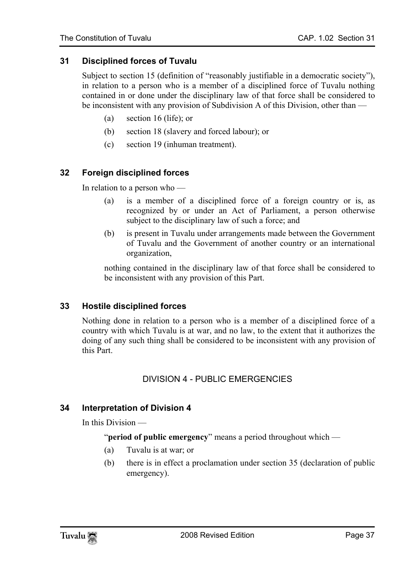### **31 Disciplined forces of Tuvalu**

Subject to section 15 (definition of "reasonably justifiable in a democratic society"), in relation to a person who is a member of a disciplined force of Tuvalu nothing contained in or done under the disciplinary law of that force shall be considered to be inconsistent with any provision of Subdivision A of this Division, other than —

- (a) section 16 (life); or
- (b) section 18 (slavery and forced labour); or
- (c) section 19 (inhuman treatment).

### **32 Foreign disciplined forces**

In relation to a person who —

- (a) is a member of a disciplined force of a foreign country or is, as recognized by or under an Act of Parliament, a person otherwise subject to the disciplinary law of such a force; and
- (b) is present in Tuvalu under arrangements made between the Government of Tuvalu and the Government of another country or an international organization,

nothing contained in the disciplinary law of that force shall be considered to be inconsistent with any provision of this Part.

## **33 Hostile disciplined forces**

Nothing done in relation to a person who is a member of a disciplined force of a country with which Tuvalu is at war, and no law, to the extent that it authorizes the doing of any such thing shall be considered to be inconsistent with any provision of this Part.

#### DIVISION 4 - PUBLIC EMERGENCIES

#### **34 Interpretation of Division 4**

In this Division —

#### "**period of public emergency**" means a period throughout which —

- (a) Tuvalu is at war; or
- (b) there is in effect a proclamation under section 35 (declaration of public emergency).

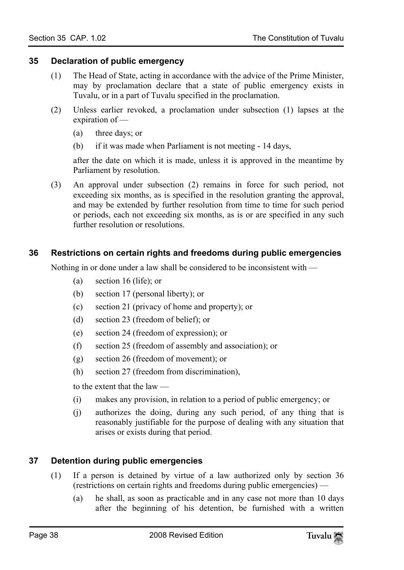#### **35 Declaration of public emergency**

- (1) The Head of State, acting in accordance with the advice of the Prime Minister, may by proclamation declare that a state of public emergency exists in Tuvalu, or in a part of Tuvalu specified in the proclamation.
- (2) Unless earlier revoked, a proclamation under subsection (1) lapses at the expiration of —
	- (a) three days; or
	- (b) if it was made when Parliament is not meeting 14 days,

after the date on which it is made, unless it is approved in the meantime by Parliament by resolution.

(3) An approval under subsection (2) remains in force for such period, not exceeding six months, as is specified in the resolution granting the approval, and may be extended by further resolution from time to time for such period or periods, each not exceeding six months, as is or are specified in any such further resolution or resolutions.

#### **36 Restrictions on certain rights and freedoms during public emergencies**

Nothing in or done under a law shall be considered to be inconsistent with —

- (a) section 16 (life); or
- (b) section 17 (personal liberty); or
- (c) section 21 (privacy of home and property); or
- (d) section 23 (freedom of belief); or
- (e) section 24 (freedom of expression); or
- (f) section 25 (freedom of assembly and association); or
- (g) section 26 (freedom of movement); or
- (h) section 27 (freedom from discrimination),

to the extent that the law —

- (i) makes any provision, in relation to a period of public emergency; or
- (j) authorizes the doing, during any such period, of any thing that is reasonably justifiable for the purpose of dealing with any situation that arises or exists during that period.

#### **37 Detention during public emergencies**

- (1) If a person is detained by virtue of a law authorized only by section 36 (restrictions on certain rights and freedoms during public emergencies) —
	- (a) he shall, as soon as practicable and in any case not more than 10 days after the beginning of his detention, be furnished with a written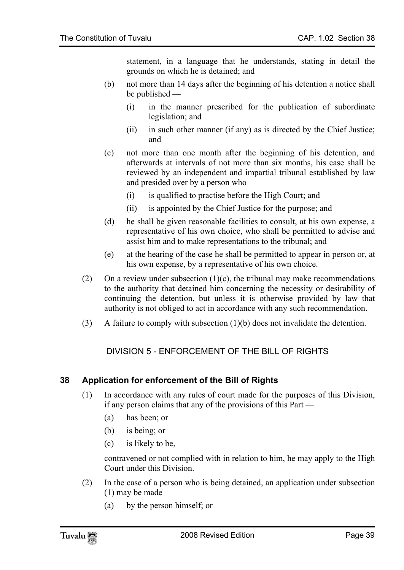statement, in a language that he understands, stating in detail the grounds on which he is detained; and

- (b) not more than 14 days after the beginning of his detention a notice shall be published —
	- (i) in the manner prescribed for the publication of subordinate legislation; and
	- (ii) in such other manner (if any) as is directed by the Chief Justice; and
- (c) not more than one month after the beginning of his detention, and afterwards at intervals of not more than six months, his case shall be reviewed by an independent and impartial tribunal established by law and presided over by a person who —
	- (i) is qualified to practise before the High Court; and
	- (ii) is appointed by the Chief Justice for the purpose; and
- (d) he shall be given reasonable facilities to consult, at his own expense, a representative of his own choice, who shall be permitted to advise and assist him and to make representations to the tribunal; and
- (e) at the hearing of the case he shall be permitted to appear in person or, at his own expense, by a representative of his own choice.
- (2) On a review under subsection  $(1)(c)$ , the tribunal may make recommendations to the authority that detained him concerning the necessity or desirability of continuing the detention, but unless it is otherwise provided by law that authority is not obliged to act in accordance with any such recommendation.
- (3) A failure to comply with subsection (1)(b) does not invalidate the detention.

#### DIVISION 5 - ENFORCEMENT OF THE BILL OF RIGHTS

#### **38 Application for enforcement of the Bill of Rights**

- (1) In accordance with any rules of court made for the purposes of this Division, if any person claims that any of the provisions of this Part —
	- (a) has been; or
	- (b) is being; or
	- (c) is likely to be,

contravened or not complied with in relation to him, he may apply to the High Court under this Division.

- (2) In the case of a person who is being detained, an application under subsection  $(1)$  may be made —
	- (a) by the person himself; or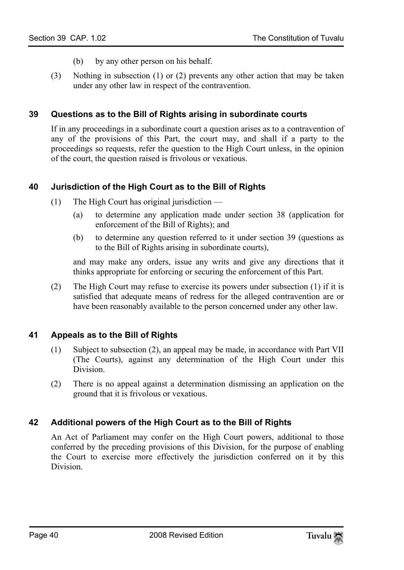- (b) by any other person on his behalf.
- (3) Nothing in subsection (1) or (2) prevents any other action that may be taken under any other law in respect of the contravention.

#### **39 Questions as to the Bill of Rights arising in subordinate courts**

If in any proceedings in a subordinate court a question arises as to a contravention of any of the provisions of this Part, the court may, and shall if a party to the proceedings so requests, refer the question to the High Court unless, in the opinion of the court, the question raised is frivolous or vexatious.

### **40 Jurisdiction of the High Court as to the Bill of Rights**

- $(1)$  The High Court has original jurisdiction
	- (a) to determine any application made under section 38 (application for enforcement of the Bill of Rights); and
	- (b) to determine any question referred to it under section 39 (questions as to the Bill of Rights arising in subordinate courts),

and may make any orders, issue any writs and give any directions that it thinks appropriate for enforcing or securing the enforcement of this Part.

(2) The High Court may refuse to exercise its powers under subsection (1) if it is satisfied that adequate means of redress for the alleged contravention are or have been reasonably available to the person concerned under any other law.

#### **41 Appeals as to the Bill of Rights**

- (1) Subject to subsection (2), an appeal may be made, in accordance with Part VII (The Courts), against any determination of the High Court under this Division.
- (2) There is no appeal against a determination dismissing an application on the ground that it is frivolous or vexatious.

## **42 Additional powers of the High Court as to the Bill of Rights**

An Act of Parliament may confer on the High Court powers, additional to those conferred by the preceding provisions of this Division, for the purpose of enabling the Court to exercise more effectively the jurisdiction conferred on it by this Division.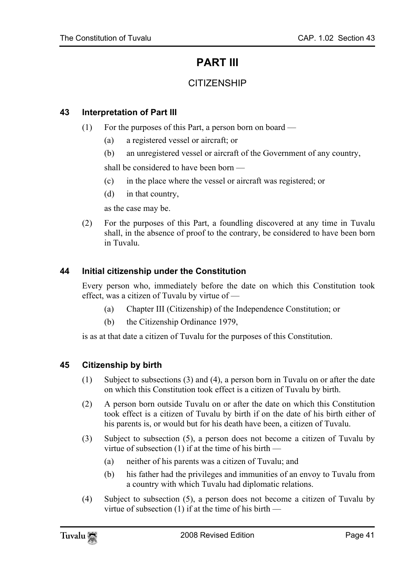## **PART III**

## CITIZENSHIP

## **43 Interpretation of Part III**

- (1) For the purposes of this Part, a person born on board
	- (a) a registered vessel or aircraft; or
	- (b) an unregistered vessel or aircraft of the Government of any country,

shall be considered to have been born —

- (c) in the place where the vessel or aircraft was registered; or
- (d) in that country,

as the case may be.

(2) For the purposes of this Part, a foundling discovered at any time in Tuvalu shall, in the absence of proof to the contrary, be considered to have been born in Tuvalu.

## **44 Initial citizenship under the Constitution**

Every person who, immediately before the date on which this Constitution took effect, was a citizen of Tuvalu by virtue of —

- (a) Chapter III (Citizenship) of the Independence Constitution; or
- (b) the Citizenship Ordinance 1979,

is as at that date a citizen of Tuvalu for the purposes of this Constitution.

## **45 Citizenship by birth**

- (1) Subject to subsections (3) and (4), a person born in Tuvalu on or after the date on which this Constitution took effect is a citizen of Tuvalu by birth.
- (2) A person born outside Tuvalu on or after the date on which this Constitution took effect is a citizen of Tuvalu by birth if on the date of his birth either of his parents is, or would but for his death have been, a citizen of Tuvalu.
- (3) Subject to subsection (5), a person does not become a citizen of Tuvalu by virtue of subsection  $(1)$  if at the time of his birth —
	- (a) neither of his parents was a citizen of Tuvalu; and
	- (b) his father had the privileges and immunities of an envoy to Tuvalu from a country with which Tuvalu had diplomatic relations.
- (4) Subject to subsection (5), a person does not become a citizen of Tuvalu by virtue of subsection  $(1)$  if at the time of his birth —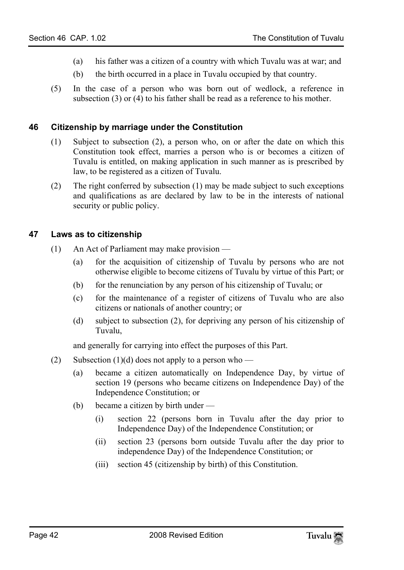- (a) his father was a citizen of a country with which Tuvalu was at war; and
- (b) the birth occurred in a place in Tuvalu occupied by that country.
- (5) In the case of a person who was born out of wedlock, a reference in subsection (3) or (4) to his father shall be read as a reference to his mother.

#### **46 Citizenship by marriage under the Constitution**

- (1) Subject to subsection (2), a person who, on or after the date on which this Constitution took effect, marries a person who is or becomes a citizen of Tuvalu is entitled, on making application in such manner as is prescribed by law, to be registered as a citizen of Tuvalu.
- (2) The right conferred by subsection (1) may be made subject to such exceptions and qualifications as are declared by law to be in the interests of national security or public policy.

#### **47 Laws as to citizenship**

- (1) An Act of Parliament may make provision
	- (a) for the acquisition of citizenship of Tuvalu by persons who are not otherwise eligible to become citizens of Tuvalu by virtue of this Part; or
	- (b) for the renunciation by any person of his citizenship of Tuvalu; or
	- (c) for the maintenance of a register of citizens of Tuvalu who are also citizens or nationals of another country; or
	- (d) subject to subsection (2), for depriving any person of his citizenship of Tuvalu,

and generally for carrying into effect the purposes of this Part.

- (2) Subsection (1)(d) does not apply to a person who
	- (a) became a citizen automatically on Independence Day, by virtue of section 19 (persons who became citizens on Independence Day) of the Independence Constitution; or
	- (b) became a citizen by birth under
		- (i) section 22 (persons born in Tuvalu after the day prior to Independence Day) of the Independence Constitution; or
		- (ii) section 23 (persons born outside Tuvalu after the day prior to independence Day) of the Independence Constitution; or
		- (iii) section 45 (citizenship by birth) of this Constitution.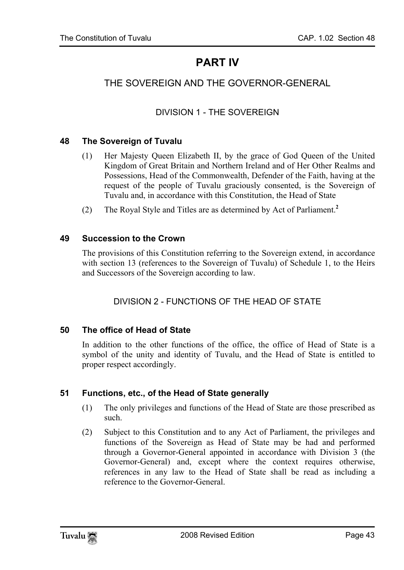# **PART IV**

## THE SOVEREIGN AND THE GOVERNOR-GENERAL

## DIVISION 1 - THE SOVEREIGN

### **48 The Sovereign of Tuvalu**

- (1) Her Majesty Queen Elizabeth II, by the grace of God Queen of the United Kingdom of Great Britain and Northern Ireland and of Her Other Realms and Possessions, Head of the Commonwealth, Defender of the Faith, having at the request of the people of Tuvalu graciously consented, is the Sovereign of Tuvalu and, in accordance with this Constitution, the Head of State
- (2) The Royal Style and Titles are as determined by Act of Parliament.**<sup>2</sup>**

### **49 Succession to the Crown**

The provisions of this Constitution referring to the Sovereign extend, in accordance with section 13 (references to the Sovereign of Tuvalu) of Schedule 1, to the Heirs and Successors of the Sovereign according to law.

## DIVISION 2 - FUNCTIONS OF THE HEAD OF STATE

#### **50 The office of Head of State**

In addition to the other functions of the office, the office of Head of State is a symbol of the unity and identity of Tuvalu, and the Head of State is entitled to proper respect accordingly.

#### **51 Functions, etc., of the Head of State generally**

- (1) The only privileges and functions of the Head of State are those prescribed as such.
- (2) Subject to this Constitution and to any Act of Parliament, the privileges and functions of the Sovereign as Head of State may be had and performed through a Governor-General appointed in accordance with Division 3 (the Governor-General) and, except where the context requires otherwise, references in any law to the Head of State shall be read as including a reference to the Governor-General.

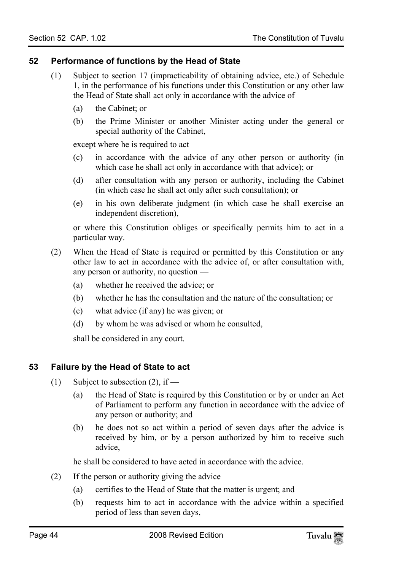#### **52 Performance of functions by the Head of State**

- (1) Subject to section 17 (impracticability of obtaining advice, etc.) of Schedule 1, in the performance of his functions under this Constitution or any other law the Head of State shall act only in accordance with the advice of —
	- (a) the Cabinet; or
	- (b) the Prime Minister or another Minister acting under the general or special authority of the Cabinet,

except where he is required to act —

- (c) in accordance with the advice of any other person or authority (in which case he shall act only in accordance with that advice); or
- (d) after consultation with any person or authority, including the Cabinet (in which case he shall act only after such consultation); or
- (e) in his own deliberate judgment (in which case he shall exercise an independent discretion),

or where this Constitution obliges or specifically permits him to act in a particular way.

- (2) When the Head of State is required or permitted by this Constitution or any other law to act in accordance with the advice of, or after consultation with, any person or authority, no question —
	- (a) whether he received the advice; or
	- (b) whether he has the consultation and the nature of the consultation; or
	- (c) what advice (if any) he was given; or
	- (d) by whom he was advised or whom he consulted,

shall be considered in any court.

#### **53 Failure by the Head of State to act**

- (1) Subject to subsection (2), if
	- (a) the Head of State is required by this Constitution or by or under an Act of Parliament to perform any function in accordance with the advice of any person or authority; and
	- (b) he does not so act within a period of seven days after the advice is received by him, or by a person authorized by him to receive such advice,

he shall be considered to have acted in accordance with the advice.

- (2) If the person or authority giving the advice
	- (a) certifies to the Head of State that the matter is urgent; and
	- (b) requests him to act in accordance with the advice within a specified period of less than seven days,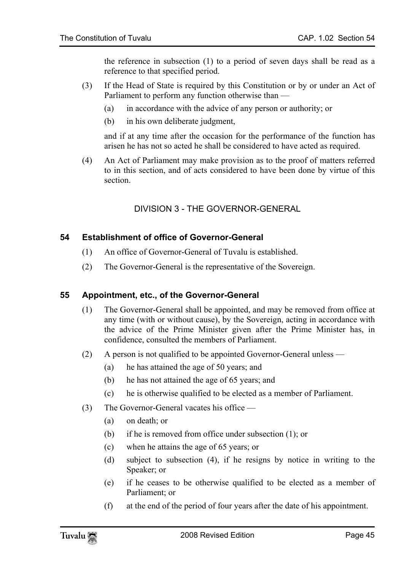the reference in subsection (1) to a period of seven days shall be read as a reference to that specified period.

- (3) If the Head of State is required by this Constitution or by or under an Act of Parliament to perform any function otherwise than —
	- (a) in accordance with the advice of any person or authority; or
	- (b) in his own deliberate judgment,

and if at any time after the occasion for the performance of the function has arisen he has not so acted he shall be considered to have acted as required.

(4) An Act of Parliament may make provision as to the proof of matters referred to in this section, and of acts considered to have been done by virtue of this section.

DIVISION 3 - THE GOVERNOR-GENERAL

### **54 Establishment of office of Governor-General**

- (1) An office of Governor-General of Tuvalu is established.
- (2) The Governor-General is the representative of the Sovereign.

#### **55 Appointment, etc., of the Governor-General**

- (1) The Governor-General shall be appointed, and may be removed from office at any time (with or without cause), by the Sovereign, acting in accordance with the advice of the Prime Minister given after the Prime Minister has, in confidence, consulted the members of Parliament.
- (2) A person is not qualified to be appointed Governor-General unless
	- (a) he has attained the age of 50 years; and
	- (b) he has not attained the age of 65 years; and
	- (c) he is otherwise qualified to be elected as a member of Parliament.
- (3) The Governor-General vacates his office
	- (a) on death; or
	- (b) if he is removed from office under subsection (1); or
	- (c) when he attains the age of 65 years; or
	- (d) subject to subsection (4), if he resigns by notice in writing to the Speaker; or
	- (e) if he ceases to be otherwise qualified to be elected as a member of Parliament; or
	- (f) at the end of the period of four years after the date of his appointment.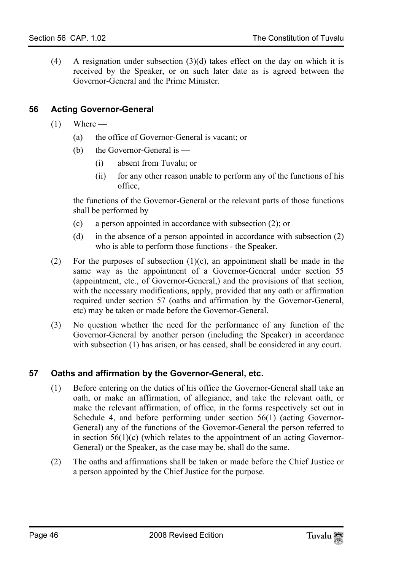(4) A resignation under subsection  $(3)(d)$  takes effect on the day on which it is received by the Speaker, or on such later date as is agreed between the Governor-General and the Prime Minister.

## **56 Acting Governor-General**

- $(1)$  Where
	- (a) the office of Governor-General is vacant; or
	- (b) the Governor-General is
		- (i) absent from Tuvalu; or
		- (ii) for any other reason unable to perform any of the functions of his office,

the functions of the Governor-General or the relevant parts of those functions shall be performed by —

- (c) a person appointed in accordance with subsection (2); or
- (d) in the absence of a person appointed in accordance with subsection (2) who is able to perform those functions - the Speaker.
- (2) For the purposes of subsection  $(1)(c)$ , an appointment shall be made in the same way as the appointment of a Governor-General under section 55 (appointment, etc., of Governor-General,) and the provisions of that section, with the necessary modifications, apply, provided that any oath or affirmation required under section 57 (oaths and affirmation by the Governor-General, etc) may be taken or made before the Governor-General.
- (3) No question whether the need for the performance of any function of the Governor-General by another person (including the Speaker) in accordance with subsection (1) has arisen, or has ceased, shall be considered in any court.

## **57 Oaths and affirmation by the Governor-General, etc.**

- (1) Before entering on the duties of his office the Governor-General shall take an oath, or make an affirmation, of allegiance, and take the relevant oath, or make the relevant affirmation, of office, in the forms respectively set out in Schedule 4, and before performing under section 56(1) (acting Governor-General) any of the functions of the Governor-General the person referred to in section  $56(1)(c)$  (which relates to the appointment of an acting Governor-General) or the Speaker, as the case may be, shall do the same.
- (2) The oaths and affirmations shall be taken or made before the Chief Justice or a person appointed by the Chief Justice for the purpose.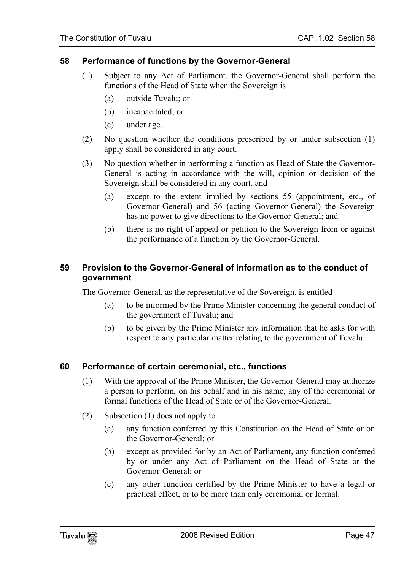#### **58 Performance of functions by the Governor-General**

- (1) Subject to any Act of Parliament, the Governor-General shall perform the functions of the Head of State when the Sovereign is —
	- (a) outside Tuvalu; or
	- (b) incapacitated; or
	- (c) under age.
- (2) No question whether the conditions prescribed by or under subsection (1) apply shall be considered in any court.
- (3) No question whether in performing a function as Head of State the Governor-General is acting in accordance with the will, opinion or decision of the Sovereign shall be considered in any court, and —
	- (a) except to the extent implied by sections 55 (appointment, etc., of Governor-General) and 56 (acting Governor-General) the Sovereign has no power to give directions to the Governor-General; and
	- (b) there is no right of appeal or petition to the Sovereign from or against the performance of a function by the Governor-General.

### **59 Provision to the Governor-General of information as to the conduct of government**

The Governor-General, as the representative of the Sovereign, is entitled —

- (a) to be informed by the Prime Minister concerning the general conduct of the government of Tuvalu; and
- (b) to be given by the Prime Minister any information that he asks for with respect to any particular matter relating to the government of Tuvalu.

#### **60 Performance of certain ceremonial, etc., functions**

- (1) With the approval of the Prime Minister, the Governor-General may authorize a person to perform, on his behalf and in his name, any of the ceremonial or formal functions of the Head of State or of the Governor-General.
- (2) Subsection (1) does not apply to
	- (a) any function conferred by this Constitution on the Head of State or on the Governor-General; or
	- (b) except as provided for by an Act of Parliament, any function conferred by or under any Act of Parliament on the Head of State or the Governor-General; or
	- (c) any other function certified by the Prime Minister to have a legal or practical effect, or to be more than only ceremonial or formal.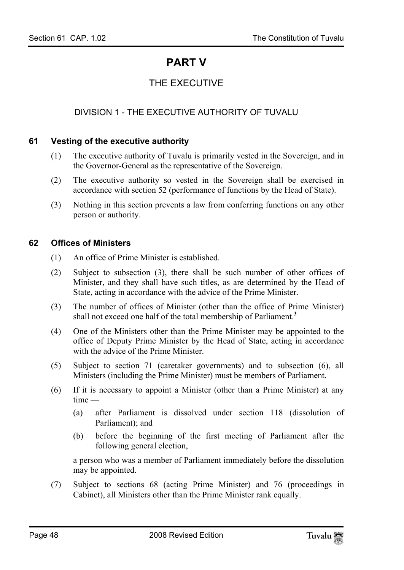# **PART V**

## THE EXECUTIVE

## DIVISION 1 - THE EXECUTIVE AUTHORITY OF TUVALU

#### **61 Vesting of the executive authority**

- (1) The executive authority of Tuvalu is primarily vested in the Sovereign, and in the Governor-General as the representative of the Sovereign.
- (2) The executive authority so vested in the Sovereign shall be exercised in accordance with section 52 (performance of functions by the Head of State).
- (3) Nothing in this section prevents a law from conferring functions on any other person or authority.

### **62 Offices of Ministers**

- (1) An office of Prime Minister is established.
- (2) Subject to subsection (3), there shall be such number of other offices of Minister, and they shall have such titles, as are determined by the Head of State, acting in accordance with the advice of the Prime Minister.
- (3) The number of offices of Minister (other than the office of Prime Minister) shall not exceed one half of the total membership of Parliament.**<sup>3</sup>**
- (4) One of the Ministers other than the Prime Minister may be appointed to the office of Deputy Prime Minister by the Head of State, acting in accordance with the advice of the Prime Minister.
- (5) Subject to section 71 (caretaker governments) and to subsection (6), all Ministers (including the Prime Minister) must be members of Parliament.
- (6) If it is necessary to appoint a Minister (other than a Prime Minister) at any  $time -$ 
	- (a) after Parliament is dissolved under section 118 (dissolution of Parliament); and
	- (b) before the beginning of the first meeting of Parliament after the following general election,

a person who was a member of Parliament immediately before the dissolution may be appointed.

(7) Subject to sections 68 (acting Prime Minister) and 76 (proceedings in Cabinet), all Ministers other than the Prime Minister rank equally.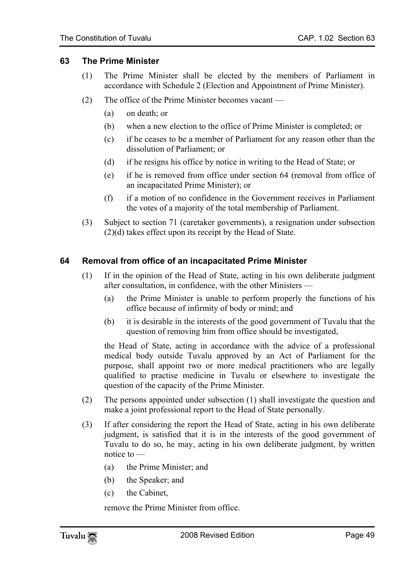#### **63 The Prime Minister**

- (1) The Prime Minister shall be elected by the members of Parliament in accordance with Schedule 2 (Election and Appointment of Prime Minister).
- (2) The office of the Prime Minister becomes vacant
	- (a) on death; or
	- (b) when a new election to the office of Prime Minister is completed; or
	- (c) if he ceases to be a member of Parliament for any reason other than the dissolution of Parliament; or
	- (d) if he resigns his office by notice in writing to the Head of State; or
	- (e) if he is removed from office under section 64 (removal from office of an incapacitated Prime Minister); or
	- (f) if a motion of no confidence in the Government receives in Parliament the votes of a majority of the total membership of Parliament.
- (3) Subject to section 71 (caretaker governments), a resignation under subsection (2)(d) takes effect upon its receipt by the Head of State.

### **64 Removal from office of an incapacitated Prime Minister**

- (1) If in the opinion of the Head of State, acting in his own deliberate judgment after consultation, in confidence, with the other Ministers —
	- (a) the Prime Minister is unable to perform properly the functions of his office because of infirmity of body or mind; and
	- (b) it is desirable in the interests of the good government of Tuvalu that the question of removing him from office should be investigated,

the Head of State, acting in accordance with the advice of a professional medical body outside Tuvalu approved by an Act of Parliament for the purpose, shall appoint two or more medical practitioners who are legally qualified to practise medicine in Tuvalu or elsewhere to investigate the question of the capacity of the Prime Minister.

- (2) The persons appointed under subsection (1) shall investigate the question and make a joint professional report to the Head of State personally.
- (3) If after considering the report the Head of State, acting in his own deliberate judgment, is satisfied that it is in the interests of the good government of Tuvalu to do so, he may, acting in his own deliberate judgment, by written notice to —
	- (a) the Prime Minister; and
	- (b) the Speaker; and
	- (c) the Cabinet,

remove the Prime Minister from office.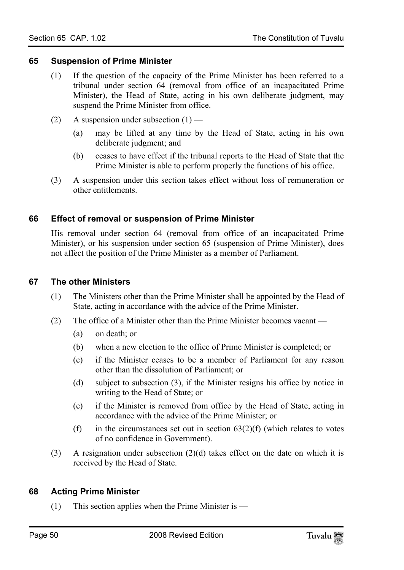#### **65 Suspension of Prime Minister**

- (1) If the question of the capacity of the Prime Minister has been referred to a tribunal under section 64 (removal from office of an incapacitated Prime Minister), the Head of State, acting in his own deliberate judgment, may suspend the Prime Minister from office.
- (2) A suspension under subsection  $(1)$ 
	- (a) may be lifted at any time by the Head of State, acting in his own deliberate judgment; and
	- (b) ceases to have effect if the tribunal reports to the Head of State that the Prime Minister is able to perform properly the functions of his office.
- (3) A suspension under this section takes effect without loss of remuneration or other entitlements.

#### **66 Effect of removal or suspension of Prime Minister**

His removal under section 64 (removal from office of an incapacitated Prime Minister), or his suspension under section 65 (suspension of Prime Minister), does not affect the position of the Prime Minister as a member of Parliament.

#### **67 The other Ministers**

- (1) The Ministers other than the Prime Minister shall be appointed by the Head of State, acting in accordance with the advice of the Prime Minister.
- (2) The office of a Minister other than the Prime Minister becomes vacant
	- (a) on death; or
	- (b) when a new election to the office of Prime Minister is completed; or
	- (c) if the Minister ceases to be a member of Parliament for any reason other than the dissolution of Parliament; or
	- (d) subject to subsection (3), if the Minister resigns his office by notice in writing to the Head of State; or
	- (e) if the Minister is removed from office by the Head of State, acting in accordance with the advice of the Prime Minister; or
	- (f) in the circumstances set out in section  $63(2)(f)$  (which relates to votes of no confidence in Government).
- (3) A resignation under subsection  $(2)(d)$  takes effect on the date on which it is received by the Head of State.

#### **68 Acting Prime Minister**

(1) This section applies when the Prime Minister is —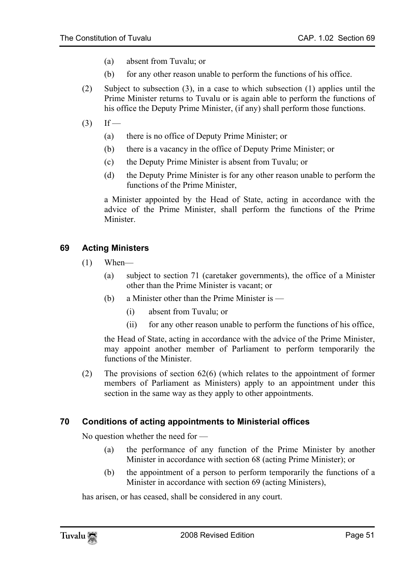- (a) absent from Tuvalu; or
- (b) for any other reason unable to perform the functions of his office.
- (2) Subject to subsection (3), in a case to which subsection (1) applies until the Prime Minister returns to Tuvalu or is again able to perform the functions of his office the Deputy Prime Minister, (if any) shall perform those functions.
- $(3)$  If
	- (a) there is no office of Deputy Prime Minister; or
	- (b) there is a vacancy in the office of Deputy Prime Minister; or
	- (c) the Deputy Prime Minister is absent from Tuvalu; or
	- (d) the Deputy Prime Minister is for any other reason unable to perform the functions of the Prime Minister,

a Minister appointed by the Head of State, acting in accordance with the advice of the Prime Minister, shall perform the functions of the Prime Minister.

### **69 Acting Ministers**

- $(1)$  When—
	- (a) subject to section 71 (caretaker governments), the office of a Minister other than the Prime Minister is vacant; or
	- (b) a Minister other than the Prime Minister is
		- (i) absent from Tuvalu; or
		- (ii) for any other reason unable to perform the functions of his office,

the Head of State, acting in accordance with the advice of the Prime Minister, may appoint another member of Parliament to perform temporarily the functions of the Minister.

(2) The provisions of section 62(6) (which relates to the appointment of former members of Parliament as Ministers) apply to an appointment under this section in the same way as they apply to other appointments.

#### **70 Conditions of acting appointments to Ministerial offices**

No question whether the need for —

- (a) the performance of any function of the Prime Minister by another Minister in accordance with section 68 (acting Prime Minister); or
- (b) the appointment of a person to perform temporarily the functions of a Minister in accordance with section 69 (acting Ministers),

has arisen, or has ceased, shall be considered in any court.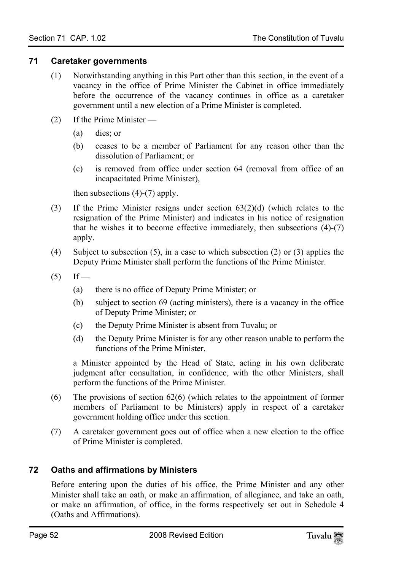#### **71 Caretaker governments**

- (1) Notwithstanding anything in this Part other than this section, in the event of a vacancy in the office of Prime Minister the Cabinet in office immediately before the occurrence of the vacancy continues in office as a caretaker government until a new election of a Prime Minister is completed.
- (2) If the Prime Minister
	- (a) dies; or
	- (b) ceases to be a member of Parliament for any reason other than the dissolution of Parliament; or
	- (c) is removed from office under section 64 (removal from office of an incapacitated Prime Minister),

then subsections (4)-(7) apply.

- (3) If the Prime Minister resigns under section  $63(2)(d)$  (which relates to the resignation of the Prime Minister) and indicates in his notice of resignation that he wishes it to become effective immediately, then subsections (4)-(7) apply.
- (4) Subject to subsection (5), in a case to which subsection (2) or (3) applies the Deputy Prime Minister shall perform the functions of the Prime Minister.
- $(5)$  If
	- (a) there is no office of Deputy Prime Minister; or
	- (b) subject to section 69 (acting ministers), there is a vacancy in the office of Deputy Prime Minister; or
	- (c) the Deputy Prime Minister is absent from Tuvalu; or
	- (d) the Deputy Prime Minister is for any other reason unable to perform the functions of the Prime Minister,

a Minister appointed by the Head of State, acting in his own deliberate judgment after consultation, in confidence, with the other Ministers, shall perform the functions of the Prime Minister.

- (6) The provisions of section 62(6) (which relates to the appointment of former members of Parliament to be Ministers) apply in respect of a caretaker government holding office under this section.
- (7) A caretaker government goes out of office when a new election to the office of Prime Minister is completed.

#### **72 Oaths and affirmations by Ministers**

Before entering upon the duties of his office, the Prime Minister and any other Minister shall take an oath, or make an affirmation, of allegiance, and take an oath, or make an affirmation, of office, in the forms respectively set out in Schedule 4 (Oaths and Affirmations).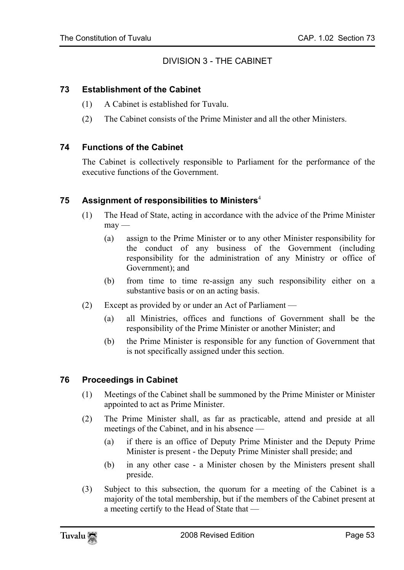## DIVISION 3 - THE CABINET

#### **73 Establishment of the Cabinet**

- (1) A Cabinet is established for Tuvalu.
- (2) The Cabinet consists of the Prime Minister and all the other Ministers.

#### **74 Functions of the Cabinet**

The Cabinet is collectively responsible to Parliament for the performance of the executive functions of the Government.

### **75**  $\,$  **Assignment of responsibilities to Ministers** ${}^4$

- (1) The Head of State, acting in accordance with the advice of the Prime Minister  $may -$ 
	- (a) assign to the Prime Minister or to any other Minister responsibility for the conduct of any business of the Government (including responsibility for the administration of any Ministry or office of Government); and
	- (b) from time to time re-assign any such responsibility either on a substantive basis or on an acting basis.
- (2) Except as provided by or under an Act of Parliament
	- (a) all Ministries, offices and functions of Government shall be the responsibility of the Prime Minister or another Minister; and
	- (b) the Prime Minister is responsible for any function of Government that is not specifically assigned under this section.

#### **76 Proceedings in Cabinet**

- (1) Meetings of the Cabinet shall be summoned by the Prime Minister or Minister appointed to act as Prime Minister.
- (2) The Prime Minister shall, as far as practicable, attend and preside at all meetings of the Cabinet, and in his absence —
	- (a) if there is an office of Deputy Prime Minister and the Deputy Prime Minister is present - the Deputy Prime Minister shall preside; and
	- (b) in any other case a Minister chosen by the Ministers present shall preside.
- (3) Subject to this subsection, the quorum for a meeting of the Cabinet is a majority of the total membership, but if the members of the Cabinet present at a meeting certify to the Head of State that —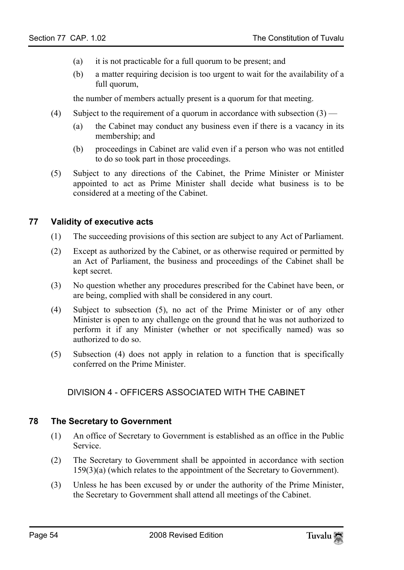- (a) it is not practicable for a full quorum to be present; and
- (b) a matter requiring decision is too urgent to wait for the availability of a full quorum,

the number of members actually present is a quorum for that meeting.

- (4) Subject to the requirement of a quorum in accordance with subsection  $(3)$ 
	- (a) the Cabinet may conduct any business even if there is a vacancy in its membership; and
	- (b) proceedings in Cabinet are valid even if a person who was not entitled to do so took part in those proceedings.
- (5) Subject to any directions of the Cabinet, the Prime Minister or Minister appointed to act as Prime Minister shall decide what business is to be considered at a meeting of the Cabinet.

## **77 Validity of executive acts**

- (1) The succeeding provisions of this section are subject to any Act of Parliament.
- (2) Except as authorized by the Cabinet, or as otherwise required or permitted by an Act of Parliament, the business and proceedings of the Cabinet shall be kept secret.
- (3) No question whether any procedures prescribed for the Cabinet have been, or are being, complied with shall be considered in any court.
- (4) Subject to subsection (5), no act of the Prime Minister or of any other Minister is open to any challenge on the ground that he was not authorized to perform it if any Minister (whether or not specifically named) was so authorized to do so.
- (5) Subsection (4) does not apply in relation to a function that is specifically conferred on the Prime Minister.

DIVISION 4 - OFFICERS ASSOCIATED WITH THE CABINET

#### **78 The Secretary to Government**

- (1) An office of Secretary to Government is established as an office in the Public Service.
- (2) The Secretary to Government shall be appointed in accordance with section 159(3)(a) (which relates to the appointment of the Secretary to Government).
- (3) Unless he has been excused by or under the authority of the Prime Minister, the Secretary to Government shall attend all meetings of the Cabinet.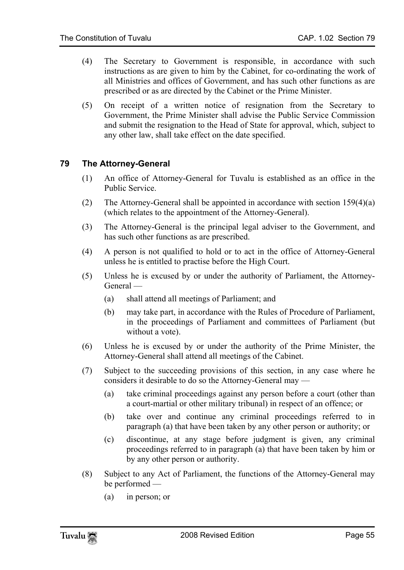- (4) The Secretary to Government is responsible, in accordance with such instructions as are given to him by the Cabinet, for co-ordinating the work of all Ministries and offices of Government, and has such other functions as are prescribed or as are directed by the Cabinet or the Prime Minister.
- (5) On receipt of a written notice of resignation from the Secretary to Government, the Prime Minister shall advise the Public Service Commission and submit the resignation to the Head of State for approval, which, subject to any other law, shall take effect on the date specified.

### **79 The Attorney-General**

- (1) An office of Attorney-General for Tuvalu is established as an office in the Public Service.
- (2) The Attorney-General shall be appointed in accordance with section  $159(4)(a)$ (which relates to the appointment of the Attorney-General).
- (3) The Attorney-General is the principal legal adviser to the Government, and has such other functions as are prescribed.
- (4) A person is not qualified to hold or to act in the office of Attorney-General unless he is entitled to practise before the High Court.
- (5) Unless he is excused by or under the authority of Parliament, the Attorney-General —
	- (a) shall attend all meetings of Parliament; and
	- (b) may take part, in accordance with the Rules of Procedure of Parliament, in the proceedings of Parliament and committees of Parliament (but without a vote).
- (6) Unless he is excused by or under the authority of the Prime Minister, the Attorney-General shall attend all meetings of the Cabinet.
- (7) Subject to the succeeding provisions of this section, in any case where he considers it desirable to do so the Attorney-General may —
	- (a) take criminal proceedings against any person before a court (other than a court-martial or other military tribunal) in respect of an offence; or
	- (b) take over and continue any criminal proceedings referred to in paragraph (a) that have been taken by any other person or authority; or
	- (c) discontinue, at any stage before judgment is given, any criminal proceedings referred to in paragraph (a) that have been taken by him or by any other person or authority.
- (8) Subject to any Act of Parliament, the functions of the Attorney-General may be performed —
	- (a) in person; or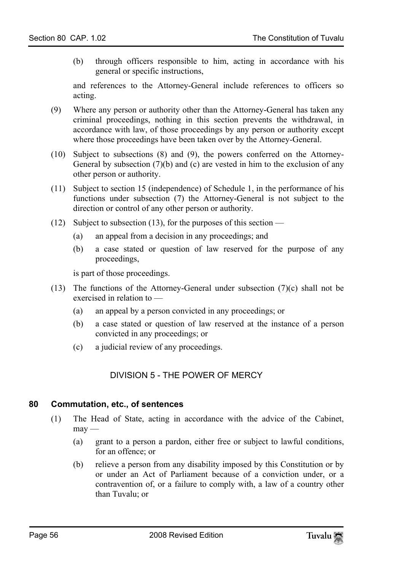(b) through officers responsible to him, acting in accordance with his general or specific instructions,

and references to the Attorney-General include references to officers so acting.

- (9) Where any person or authority other than the Attorney-General has taken any criminal proceedings, nothing in this section prevents the withdrawal, in accordance with law, of those proceedings by any person or authority except where those proceedings have been taken over by the Attorney-General.
- (10) Subject to subsections (8) and (9), the powers conferred on the Attorney-General by subsection  $(7)(b)$  and  $(c)$  are vested in him to the exclusion of any other person or authority.
- (11) Subject to section 15 (independence) of Schedule 1, in the performance of his functions under subsection (7) the Attorney-General is not subject to the direction or control of any other person or authority.
- (12) Subject to subsection (13), for the purposes of this section
	- (a) an appeal from a decision in any proceedings; and
	- (b) a case stated or question of law reserved for the purpose of any proceedings,

is part of those proceedings.

- (13) The functions of the Attorney-General under subsection (7)(c) shall not be exercised in relation to —
	- (a) an appeal by a person convicted in any proceedings; or
	- (b) a case stated or question of law reserved at the instance of a person convicted in any proceedings; or
	- (c) a judicial review of any proceedings.

## DIVISION 5 - THE POWER OF MERCY

#### **80 Commutation, etc., of sentences**

- (1) The Head of State, acting in accordance with the advice of the Cabinet,  $may -$ 
	- (a) grant to a person a pardon, either free or subject to lawful conditions, for an offence; or
	- (b) relieve a person from any disability imposed by this Constitution or by or under an Act of Parliament because of a conviction under, or a contravention of, or a failure to comply with, a law of a country other than Tuvalu; or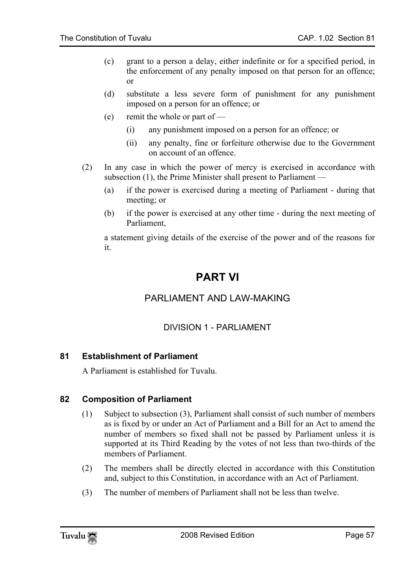- (c) grant to a person a delay, either indefinite or for a specified period, in the enforcement of any penalty imposed on that person for an offence; or
- (d) substitute a less severe form of punishment for any punishment imposed on a person for an offence; or
- (e) remit the whole or part of
	- (i) any punishment imposed on a person for an offence; or
	- (ii) any penalty, fine or forfeiture otherwise due to the Government on account of an offence.
- (2) In any case in which the power of mercy is exercised in accordance with subsection (1), the Prime Minister shall present to Parliament —
	- (a) if the power is exercised during a meeting of Parliament during that meeting; or
	- (b) if the power is exercised at any other time during the next meeting of Parliament,

a statement giving details of the exercise of the power and of the reasons for it.

## **PART VI**

## PARLIAMENT AND LAW-MAKING

#### DIVISION 1 - PARLIAMENT

#### **81 Establishment of Parliament**

A Parliament is established for Tuvalu.

### **82 Composition of Parliament**

- (1) Subject to subsection (3), Parliament shall consist of such number of members as is fixed by or under an Act of Parliament and a Bill for an Act to amend the number of members so fixed shall not be passed by Parliament unless it is supported at its Third Reading by the votes of not less than two-thirds of the members of Parliament.
- (2) The members shall be directly elected in accordance with this Constitution and, subject to this Constitution, in accordance with an Act of Parliament.
- (3) The number of members of Parliament shall not be less than twelve.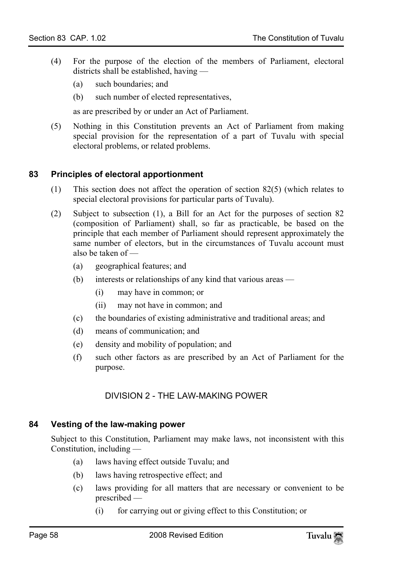- (4) For the purpose of the election of the members of Parliament, electoral districts shall be established, having —
	- (a) such boundaries; and
	- (b) such number of elected representatives,

as are prescribed by or under an Act of Parliament.

(5) Nothing in this Constitution prevents an Act of Parliament from making special provision for the representation of a part of Tuvalu with special electoral problems, or related problems.

#### **83 Principles of electoral apportionment**

- (1) This section does not affect the operation of section 82(5) (which relates to special electoral provisions for particular parts of Tuvalu).
- (2) Subject to subsection (1), a Bill for an Act for the purposes of section 82 (composition of Parliament) shall, so far as practicable, be based on the principle that each member of Parliament should represent approximately the same number of electors, but in the circumstances of Tuvalu account must also be taken of —
	- (a) geographical features; and
	- (b) interests or relationships of any kind that various areas
		- (i) may have in common; or
		- (ii) may not have in common; and
	- (c) the boundaries of existing administrative and traditional areas; and
	- (d) means of communication; and
	- (e) density and mobility of population; and
	- (f) such other factors as are prescribed by an Act of Parliament for the purpose.

#### DIVISION 2 - THE LAW-MAKING POWER

#### **84 Vesting of the law-making power**

Subject to this Constitution, Parliament may make laws, not inconsistent with this Constitution, including —

- (a) laws having effect outside Tuvalu; and
- (b) laws having retrospective effect; and
- (c) laws providing for all matters that are necessary or convenient to be prescribed —
	- (i) for carrying out or giving effect to this Constitution; or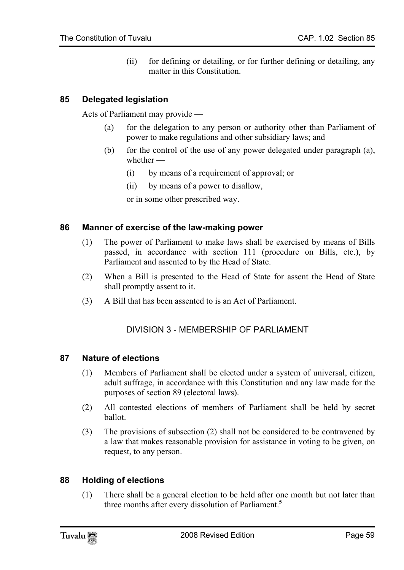(ii) for defining or detailing, or for further defining or detailing, any matter in this Constitution.

#### **85 Delegated legislation**

Acts of Parliament may provide —

- (a) for the delegation to any person or authority other than Parliament of power to make regulations and other subsidiary laws; and
- (b) for the control of the use of any power delegated under paragraph (a), whether —
	- (i) by means of a requirement of approval; or
	- (ii) by means of a power to disallow,

or in some other prescribed way.

### **86 Manner of exercise of the law-making power**

- (1) The power of Parliament to make laws shall be exercised by means of Bills passed, in accordance with section 111 (procedure on Bills, etc.), by Parliament and assented to by the Head of State.
- (2) When a Bill is presented to the Head of State for assent the Head of State shall promptly assent to it.
- (3) A Bill that has been assented to is an Act of Parliament.

## DIVISION 3 - MEMBERSHIP OF PARLIAMENT

#### **87 Nature of elections**

- (1) Members of Parliament shall be elected under a system of universal, citizen, adult suffrage, in accordance with this Constitution and any law made for the purposes of section 89 (electoral laws).
- (2) All contested elections of members of Parliament shall be held by secret ballot.
- (3) The provisions of subsection (2) shall not be considered to be contravened by a law that makes reasonable provision for assistance in voting to be given, on request, to any person.

## **88 Holding of elections**

(1) There shall be a general election to be held after one month but not later than three months after every dissolution of Parliament.**<sup>5</sup>**

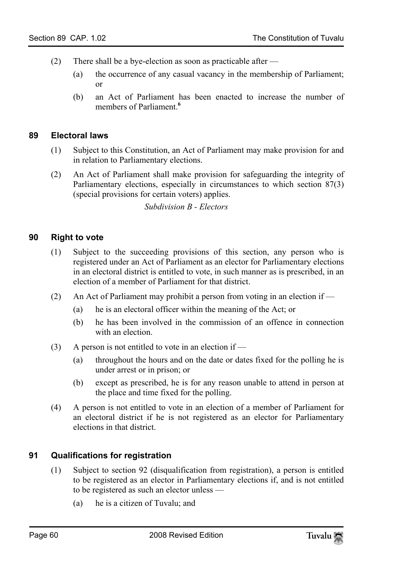- (2) There shall be a bye-election as soon as prac[tic](#page-119-1)able after
	- (a) the occurrence of any casual vacancy in the membership of Parliament; or
	- (b) an Act of Parliament has been enacted to increase the number of members of Parliament.**<sup>6</sup>**

#### **89 Electoral laws**

- (1) Subject to this Constitution, an Act of Parliament may make provision for and in relation to Parliamentary elections.
- (2) An Act of Parliament shall make provision for safeguarding the integrity of Parliamentary elections, especially in circumstances to which section 87(3) (special provisions for certain voters) applies.

#### *Subdivision B - Electors*

### **90 Right to vote**

- (1) Subject to the succeeding provisions of this section, any person who is registered under an Act of Parliament as an elector for Parliamentary elections in an electoral district is entitled to vote, in such manner as is prescribed, in an election of a member of Parliament for that district.
- (2) An Act of Parliament may prohibit a person from voting in an election if
	- (a) he is an electoral officer within the meaning of the Act; or
	- (b) he has been involved in the commission of an offence in connection with an election.
- (3) A person is not entitled to vote in an election if
	- (a) throughout the hours and on the date or dates fixed for the polling he is under arrest or in prison; or
	- (b) except as prescribed, he is for any reason unable to attend in person at the place and time fixed for the polling.
- (4) A person is not entitled to vote in an election of a member of Parliament for an electoral district if he is not registered as an elector for Parliamentary elections in that district.

#### **91 Qualifications for registration**

- (1) Subject to section 92 (disqualification from registration), a person is entitled to be registered as an elector in Parliamentary elections if, and is not entitled to be registered as such an elector unless —
	- (a) he is a citizen of Tuvalu; and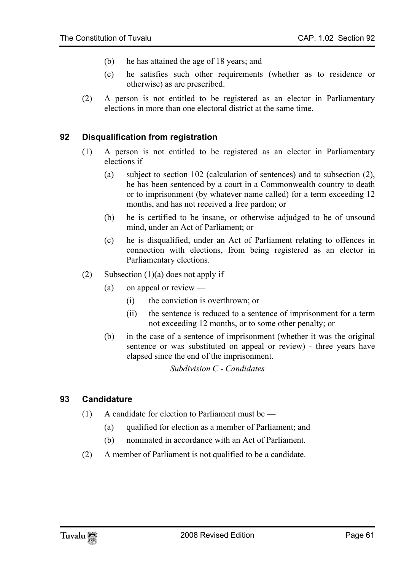- (b) he has attained the age of 18 years; and
- (c) he satisfies such other requirements (whether as to residence or otherwise) as are prescribed.
- (2) A person is not entitled to be registered as an elector in Parliamentary elections in more than one electoral district at the same time.

#### **92 Disqualification from registration**

- (1) A person is not entitled to be registered as an elector in Parliamentary elections if —
	- (a) subject to section 102 (calculation of sentences) and to subsection (2), he has been sentenced by a court in a Commonwealth country to death or to imprisonment (by whatever name called) for a term exceeding 12 months, and has not received a free pardon; or
	- (b) he is certified to be insane, or otherwise adjudged to be of unsound mind, under an Act of Parliament; or
	- (c) he is disqualified, under an Act of Parliament relating to offences in connection with elections, from being registered as an elector in Parliamentary elections.
- (2) Subsection (1)(a) does not apply if
	- (a) on appeal or review
		- (i) the conviction is overthrown; or
		- (ii) the sentence is reduced to a sentence of imprisonment for a term not exceeding 12 months, or to some other penalty; or
	- (b) in the case of a sentence of imprisonment (whether it was the original sentence or was substituted on appeal or review) - three years have elapsed since the end of the imprisonment.

*Subdivision C - Candidates* 

#### **93 Candidature**

- (1) A candidate for election to Parliament must be  $-$ 
	- (a) qualified for election as a member of Parliament; and
	- (b) nominated in accordance with an Act of Parliament.
- (2) A member of Parliament is not qualified to be a candidate.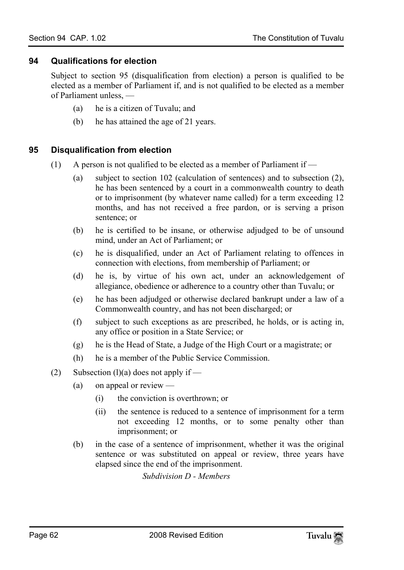#### **94 Qualifications for election**

Subject to section 95 (disqualification from election) a person is qualified to be elected as a member of Parliament if, and is not qualified to be elected as a member of Parliament unless, —

- (a) he is a citizen of Tuvalu; and
- (b) he has attained the age of 21 years.

#### **95 Disqualification from election**

- (1) A person is not qualified to be elected as a member of Parliament if  $-$ 
	- (a) subject to section 102 (calculation of sentences) and to subsection (2), he has been sentenced by a court in a commonwealth country to death or to imprisonment (by whatever name called) for a term exceeding 12 months, and has not received a free pardon, or is serving a prison sentence; or
	- (b) he is certified to be insane, or otherwise adjudged to be of unsound mind, under an Act of Parliament; or
	- (c) he is disqualified, under an Act of Parliament relating to offences in connection with elections, from membership of Parliament; or
	- (d) he is, by virtue of his own act, under an acknowledgement of allegiance, obedience or adherence to a country other than Tuvalu; or
	- (e) he has been adjudged or otherwise declared bankrupt under a law of a Commonwealth country, and has not been discharged; or
	- (f) subject to such exceptions as are prescribed, he holds, or is acting in, any office or position in a State Service; or
	- (g) he is the Head of State, a Judge of the High Court or a magistrate; or
	- (h) he is a member of the Public Service Commission.
- (2) Subsection (1)(a) does not apply if
	- (a) on appeal or review  $-$ 
		- (i) the conviction is overthrown; or
		- (ii) the sentence is reduced to a sentence of imprisonment for a term not exceeding 12 months, or to some penalty other than imprisonment; or
	- (b) in the case of a sentence of imprisonment, whether it was the original sentence or was substituted on appeal or review, three years have elapsed since the end of the imprisonment.

*Subdivision D - Members*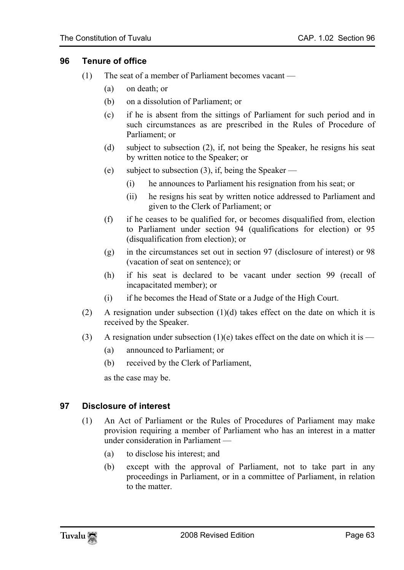#### **96 Tenure of office**

- (1) The seat of a member of Parliament becomes vacant
	- (a) on death; or
	- (b) on a dissolution of Parliament; or
	- (c) if he is absent from the sittings of Parliament for such period and in such circumstances as are prescribed in the Rules of Procedure of Parliament; or
	- (d) subject to subsection (2), if, not being the Speaker, he resigns his seat by written notice to the Speaker; or
	- (e) subject to subsection (3), if, being the Speaker
		- (i) he announces to Parliament his resignation from his seat; or
		- (ii) he resigns his seat by written notice addressed to Parliament and given to the Clerk of Parliament; or
	- (f) if he ceases to be qualified for, or becomes disqualified from, election to Parliament under section 94 (qualifications for election) or 95 (disqualification from election); or
	- (g) in the circumstances set out in section 97 (disclosure of interest) or 98 (vacation of seat on sentence); or
	- (h) if his seat is declared to be vacant under section 99 (recall of incapacitated member); or
	- (i) if he becomes the Head of State or a Judge of the High Court.
- (2) A resignation under subsection  $(1)(d)$  takes effect on the date on which it is received by the Speaker.
- (3) A resignation under subsection (1)(e) takes effect on the date on which it is
	- (a) announced to Parliament; or
	- (b) received by the Clerk of Parliament,

as the case may be.

#### **97 Disclosure of interest**

- (1) An Act of Parliament or the Rules of Procedures of Parliament may make provision requiring a member of Parliament who has an interest in a matter under consideration in Parliament —
	- (a) to disclose his interest; and
	- (b) except with the approval of Parliament, not to take part in any proceedings in Parliament, or in a committee of Parliament, in relation to the matter.

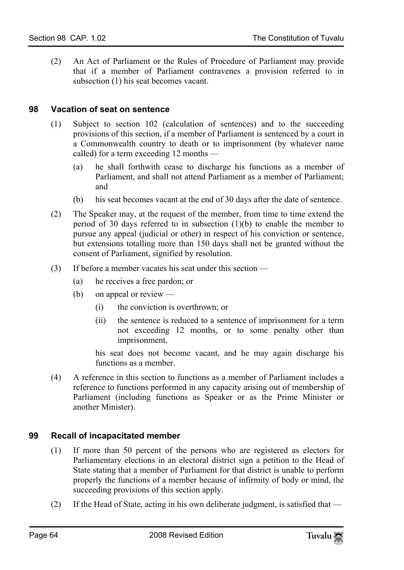(2) An Act of Parliament or the Rules of Procedure of Parliament may provide that if a member of Parliament contravenes a provision referred to in subsection (1) his seat becomes vacant.

#### **98 Vacation of seat on sentence**

- (1) Subject to section 102 (calculation of sentences) and to the succeeding provisions of this section, if a member of Parliament is sentenced by a court in a Commonwealth country to death or to imprisonment (by whatever name called) for a term exceeding 12 months —
	- (a) he shall forthwith cease to discharge his functions as a member of Parliament, and shall not attend Parliament as a member of Parliament; and
	- (b) his seat becomes vacant at the end of 30 days after the date of sentence.
- (2) The Speaker may, at the request of the member, from time to time extend the period of 30 days referred to in subsection (1)(b) to enable the member to pursue any appeal (judicial or other) in respect of his conviction or sentence, but extensions totalling more than 150 days shall not be granted without the consent of Parliament, signified by resolution.
- (3) If before a member vacates his seat under this section
	- (a) he receives a free pardon; or
	- (b) on appeal or review
		- (i) the conviction is overthrown; or
		- (ii) the sentence is reduced to a sentence of imprisonment for a term not exceeding 12 months, or to some penalty other than imprisonment,

his seat does not become vacant, and he may again discharge his functions as a member.

(4) A reference in this section to functions as a member of Parliament includes a reference to functions performed in any capacity arising out of membership of Parliament (including functions as Speaker or as the Prime Minister or another Minister).

#### **99 Recall of incapacitated member**

- (1) If more than 50 percent of the persons who are registered as electors for Parliamentary elections in an electoral district sign a petition to the Head of State stating that a member of Parliament for that district is unable to perform properly the functions of a member because of infirmity of body or mind, the succeeding provisions of this section apply.
- (2) If the Head of State, acting in his own deliberate judgment, is satisfied that —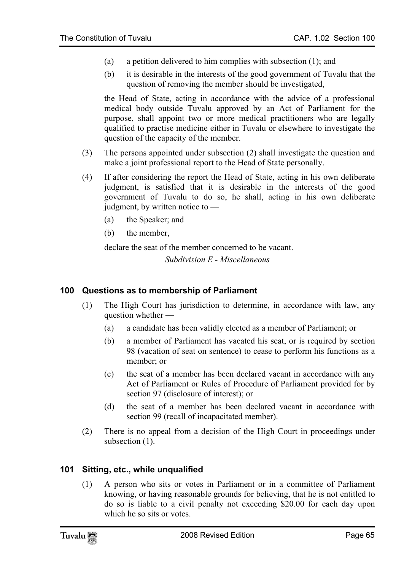- (a) a petition delivered to him complies with subsection (1); and
- (b) it is desirable in the interests of the good government of Tuvalu that the question of removing the member should be investigated,

the Head of State, acting in accordance with the advice of a professional medical body outside Tuvalu approved by an Act of Parliament for the purpose, shall appoint two or more medical practitioners who are legally qualified to practise medicine either in Tuvalu or elsewhere to investigate the question of the capacity of the member.

- (3) The persons appointed under subsection (2) shall investigate the question and make a joint professional report to the Head of State personally.
- (4) If after considering the report the Head of State, acting in his own deliberate judgment, is satisfied that it is desirable in the interests of the good government of Tuvalu to do so, he shall, acting in his own deliberate judgment, by written notice to —
	- (a) the Speaker; and
	- (b) the member,

declare the seat of the member concerned to be vacant.

*Subdivision E - Miscellaneous* 

#### **100 Questions as to membership of Parliament**

- (1) The High Court has jurisdiction to determine, in accordance with law, any question whether —
	- (a) a candidate has been validly elected as a member of Parliament; or
	- (b) a member of Parliament has vacated his seat, or is required by section 98 (vacation of seat on sentence) to cease to perform his functions as a member; or
	- (c) the seat of a member has been declared vacant in accordance with any Act of Parliament or Rules of Procedure of Parliament provided for by section 97 (disclosure of interest); or
	- (d) the seat of a member has been declared vacant in accordance with section 99 (recall of incapacitated member).
- (2) There is no appeal from a decision of the High Court in proceedings under subsection  $(1)$ .

#### **101 Sitting, etc., while unqualified**

(1) A person who sits or votes in Parliament or in a committee of Parliament knowing, or having reasonable grounds for believing, that he is not entitled to do so is liable to a civil penalty not exceeding \$20.00 for each day upon which he so sits or votes.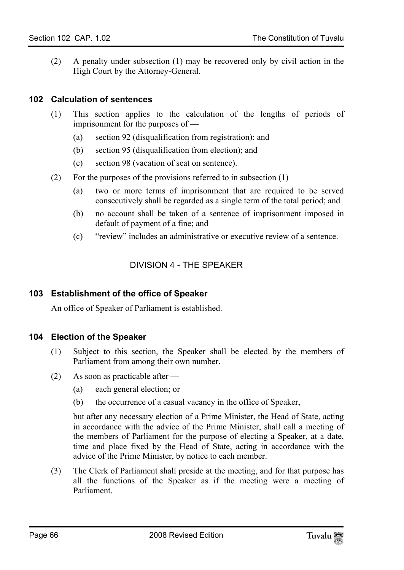(2) A penalty under subsection (1) may be recovered only by civil action in the High Court by the Attorney-General.

## **102 Calculation of sentences**

- (1) This section applies to the calculation of the lengths of periods of imprisonment for the purposes of —
	- (a) section 92 (disqualification from registration); and
	- (b) section 95 (disqualification from election); and
	- (c) section 98 (vacation of seat on sentence).
- (2) For the purposes of the provisions referred to in subsection  $(1)$ 
	- (a) two or more terms of imprisonment that are required to be served consecutively shall be regarded as a single term of the total period; and
	- (b) no account shall be taken of a sentence of imprisonment imposed in default of payment of a fine; and
	- (c) "review" includes an administrative or executive review of a sentence.

### DIVISION 4 - THE SPEAKER

## **103 Establishment of the office of Speaker**

An office of Speaker of Parliament is established.

#### **104 Election of the Speaker**

- (1) Subject to this section, the Speaker shall be elected by the members of Parliament from among their own number.
- (2) As soon as practicable after
	- (a) each general election; or
	- (b) the occurrence of a casual vacancy in the office of Speaker,

but after any necessary election of a Prime Minister, the Head of State, acting in accordance with the advice of the Prime Minister, shall call a meeting of the members of Parliament for the purpose of electing a Speaker, at a date, time and place fixed by the Head of State, acting in accordance with the advice of the Prime Minister, by notice to each member.

(3) The Clerk of Parliament shall preside at the meeting, and for that purpose has all the functions of the Speaker as if the meeting were a meeting of Parliament.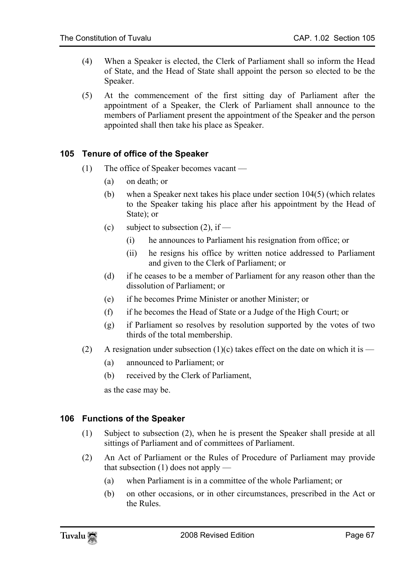- (4) When a Speaker is elected, the Clerk of Parliament shall so inform the Head of State, and the Head of State shall appoint the person so elected to be the Speaker.
- (5) At the commencement of the first sitting day of Parliament after the appointment of a Speaker, the Clerk of Parliament shall announce to the members of Parliament present the appointment of the Speaker and the person appointed shall then take his place as Speaker.

## **105 Tenure of office of the Speaker**

- (1) The office of Speaker becomes vacant
	- (a) on death; or
	- (b) when a Speaker next takes his place under section 104(5) (which relates to the Speaker taking his place after his appointment by the Head of State); or
	- (c) subject to subsection  $(2)$ , if
		- (i) he announces to Parliament his resignation from office; or
		- (ii) he resigns his office by written notice addressed to Parliament and given to the Clerk of Parliament; or
	- (d) if he ceases to be a member of Parliament for any reason other than the dissolution of Parliament; or
	- (e) if he becomes Prime Minister or another Minister; or
	- (f) if he becomes the Head of State or a Judge of the High Court; or
	- (g) if Parliament so resolves by resolution supported by the votes of two thirds of the total membership.
- (2) A resignation under subsection  $(1)(c)$  takes effect on the date on which it is
	- (a) announced to Parliament; or
	- (b) received by the Clerk of Parliament,

as the case may be.

#### **106 Functions of the Speaker**

- (1) Subject to subsection (2), when he is present the Speaker shall preside at all sittings of Parliament and of committees of Parliament.
- (2) An Act of Parliament or the Rules of Procedure of Parliament may provide that subsection (1) does not apply —
	- (a) when Parliament is in a committee of the whole Parliament; or
	- (b) on other occasions, or in other circumstances, prescribed in the Act or the Rules.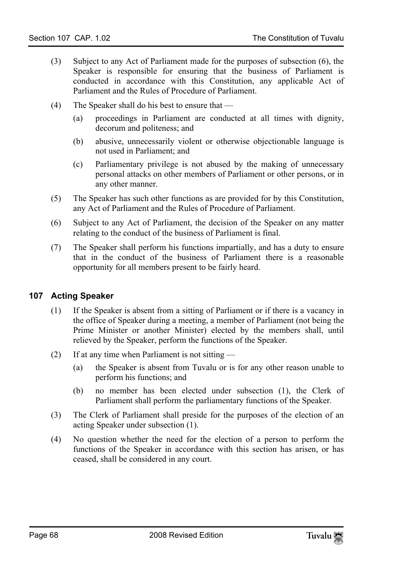- (3) Subject to any Act of Parliament made for the purposes of subsection (6), the Speaker is responsible for ensuring that the business of Parliament is conducted in accordance with this Constitution, any applicable Act of Parliament and the Rules of Procedure of Parliament.
- (4) The Speaker shall do his best to ensure that
	- (a) proceedings in Parliament are conducted at all times with dignity, decorum and politeness; and
	- (b) abusive, unnecessarily violent or otherwise objectionable language is not used in Parliament; and
	- (c) Parliamentary privilege is not abused by the making of unnecessary personal attacks on other members of Parliament or other persons, or in any other manner.
- (5) The Speaker has such other functions as are provided for by this Constitution, any Act of Parliament and the Rules of Procedure of Parliament.
- (6) Subject to any Act of Parliament, the decision of the Speaker on any matter relating to the conduct of the business of Parliament is final.
- (7) The Speaker shall perform his functions impartially, and has a duty to ensure that in the conduct of the business of Parliament there is a reasonable opportunity for all members present to be fairly heard.

#### **107 Acting Speaker**

- (1) If the Speaker is absent from a sitting of Parliament or if there is a vacancy in the office of Speaker during a meeting, a member of Parliament (not being the Prime Minister or another Minister) elected by the members shall, until relieved by the Speaker, perform the functions of the Speaker.
- (2) If at any time when Parliament is not sitting
	- (a) the Speaker is absent from Tuvalu or is for any other reason unable to perform his functions; and
	- (b) no member has been elected under subsection (1), the Clerk of Parliament shall perform the parliamentary functions of the Speaker.
- (3) The Clerk of Parliament shall preside for the purposes of the election of an acting Speaker under subsection (1).
- (4) No question whether the need for the election of a person to perform the functions of the Speaker in accordance with this section has arisen, or has ceased, shall be considered in any court.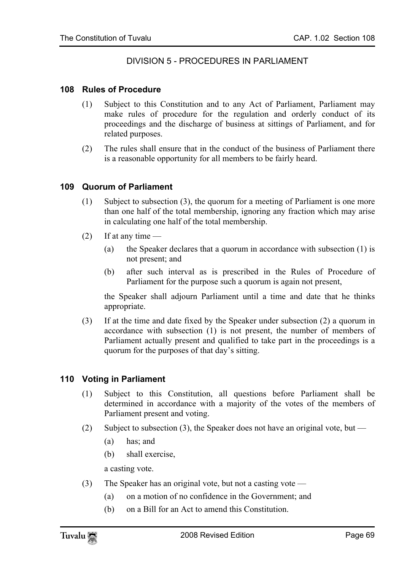## DIVISION 5 - PROCEDURES IN PARLIAMENT

#### **108 Rules of Procedure**

- (1) Subject to this Constitution and to any Act of Parliament, Parliament may make rules of procedure for the regulation and orderly conduct of its proceedings and the discharge of business at sittings of Parliament, and for related purposes.
- (2) The rules shall ensure that in the conduct of the business of Parliament there is a reasonable opportunity for all members to be fairly heard.

#### **109 Quorum of Parliament**

- (1) Subject to subsection (3), the quorum for a meeting of Parliament is one more than one half of the total membership, ignoring any fraction which may arise in calculating one half of the total membership.
- (2) If at any time  $-$ 
	- (a) the Speaker declares that a quorum in accordance with subsection (1) is not present; and
	- (b) after such interval as is prescribed in the Rules of Procedure of Parliament for the purpose such a quorum is again not present,

the Speaker shall adjourn Parliament until a time and date that he thinks appropriate.

(3) If at the time and date fixed by the Speaker under subsection (2) a quorum in accordance with subsection (1) is not present, the number of members of Parliament actually present and qualified to take part in the proceedings is a quorum for the purposes of that day's sitting.

#### **110 Voting in Parliament**

- (1) Subject to this Constitution, all questions before Parliament shall be determined in accordance with a majority of the votes of the members of Parliament present and voting.
- (2) Subject to subsection (3), the Speaker does not have an original vote, but
	- (a) has; and
	- (b) shall exercise,

a casting vote.

- (3) The Speaker has an original vote, but not a casting vote
	- (a) on a motion of no confidence in the Government; and
	- (b) on a Bill for an Act to amend this Constitution.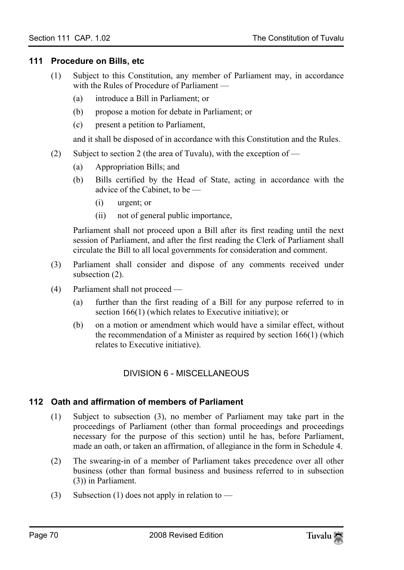#### **111 Procedure on Bills, etc**

- (1) Subject to this Constitution, any member of Parliament may, in accordance with the Rules of Procedure of Parliament —
	- (a) introduce a Bill in Parliament; or
	- (b) propose a motion for debate in Parliament; or
	- (c) present a petition to Parliament,

and it shall be disposed of in accordance with this Constitution and the Rules.

- (2) Subject to section 2 (the area of Tuvalu), with the exception of
	- (a) Appropriation Bills; and
	- (b) Bills certified by the Head of State, acting in accordance with the advice of the Cabinet, to be —
		- (i) urgent; or
		- (ii) not of general public importance,

Parliament shall not proceed upon a Bill after its first reading until the next session of Parliament, and after the first reading the Clerk of Parliament shall circulate the Bill to all local governments for consideration and comment.

- (3) Parliament shall consider and dispose of any comments received under subsection (2).
- (4) Parliament shall not proceed
	- (a) further than the first reading of a Bill for any purpose referred to in section 166(1) (which relates to Executive initiative); or
	- (b) on a motion or amendment which would have a similar effect, without the recommendation of a Minister as required by section 166(1) (which relates to Executive initiative).

#### DIVISION 6 - MISCELLANEOUS

#### **112 Oath and affirmation of members of Parliament**

- (1) Subject to subsection (3), no member of Parliament may take part in the proceedings of Parliament (other than formal proceedings and proceedings necessary for the purpose of this section) until he has, before Parliament, made an oath, or taken an affirmation, of allegiance in the form in Schedule 4.
- (2) The swearing-in of a member of Parliament takes precedence over all other business (other than formal business and business referred to in subsection (3)) in Parliament.
- (3) Subsection (1) does not apply in relation to —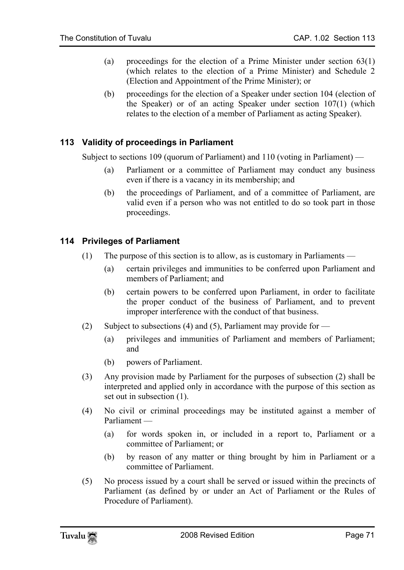- (a) proceedings for the election of a Prime Minister under section 63(1) (which relates to the election of a Prime Minister) and Schedule 2 (Election and Appointment of the Prime Minister); or
- (b) proceedings for the election of a Speaker under section 104 (election of the Speaker) or of an acting Speaker under section 107(1) (which relates to the election of a member of Parliament as acting Speaker).

## **113 Validity of proceedings in Parliament**

Subject to sections 109 (quorum of Parliament) and 110 (voting in Parliament) —

- (a) Parliament or a committee of Parliament may conduct any business even if there is a vacancy in its membership; and
- (b) the proceedings of Parliament, and of a committee of Parliament, are valid even if a person who was not entitled to do so took part in those proceedings.

### **114 Privileges of Parliament**

- (1) The purpose of this section is to allow, as is customary in Parliaments
	- (a) certain privileges and immunities to be conferred upon Parliament and members of Parliament; and
	- (b) certain powers to be conferred upon Parliament, in order to facilitate the proper conduct of the business of Parliament, and to prevent improper interference with the conduct of that business.
- (2) Subject to subsections (4) and (5), Parliament may provide for
	- (a) privileges and immunities of Parliament and members of Parliament; and
	- (b) powers of Parliament.
- (3) Any provision made by Parliament for the purposes of subsection (2) shall be interpreted and applied only in accordance with the purpose of this section as set out in subsection (1).
- (4) No civil or criminal proceedings may be instituted against a member of Parliament —
	- (a) for words spoken in, or included in a report to, Parliament or a committee of Parliament; or
	- (b) by reason of any matter or thing brought by him in Parliament or a committee of Parliament.
- (5) No process issued by a court shall be served or issued within the precincts of Parliament (as defined by or under an Act of Parliament or the Rules of Procedure of Parliament).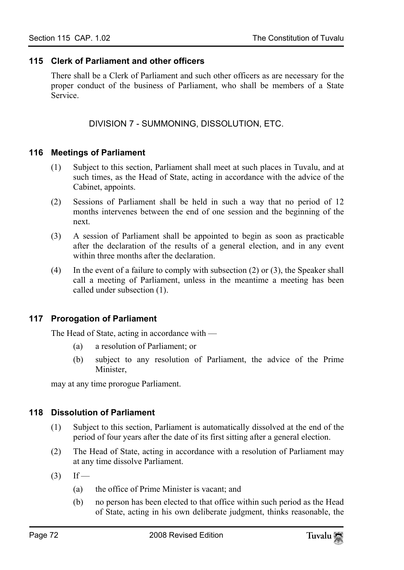#### **115 Clerk of Parliament and other officers**

There shall be a Clerk of Parliament and such other officers as are necessary for the proper conduct of the business of Parliament, who shall be members of a State Service.

DIVISION 7 - SUMMONING, DISSOLUTION, ETC.

#### **116 Meetings of Parliament**

- (1) Subject to this section, Parliament shall meet at such places in Tuvalu, and at such times, as the Head of State, acting in accordance with the advice of the Cabinet, appoints.
- (2) Sessions of Parliament shall be held in such a way that no period of 12 months intervenes between the end of one session and the beginning of the next.
- (3) A session of Parliament shall be appointed to begin as soon as practicable after the declaration of the results of a general election, and in any event within three months after the declaration.
- (4) In the event of a failure to comply with subsection (2) or (3), the Speaker shall call a meeting of Parliament, unless in the meantime a meeting has been called under subsection (1).

#### **117 Prorogation of Parliament**

The Head of State, acting in accordance with —

- (a) a resolution of Parliament; or
- (b) subject to any resolution of Parliament, the advice of the Prime Minister,

may at any time prorogue Parliament.

#### **118 Dissolution of Parliament**

- (1) Subject to this section, Parliament is automatically dissolved at the end of the period of four years after the date of its first sitting after a general election.
- (2) The Head of State, acting in accordance with a resolution of Parliament may at any time dissolve Parliament.
- $(3)$  If
	- (a) the office of Prime Minister is vacant; and
	- (b) no person has been elected to that office within such period as the Head of State, acting in his own deliberate judgment, thinks reasonable, the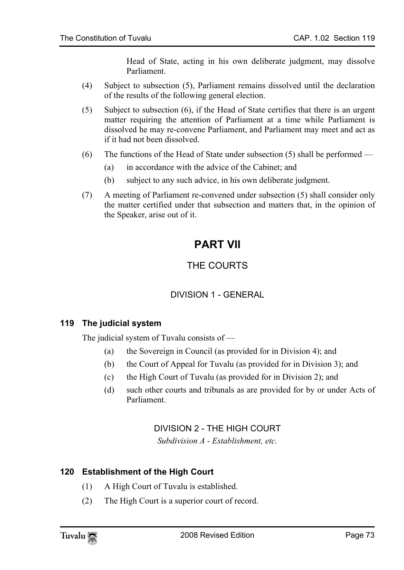Head of State, acting in his own deliberate judgment, may dissolve Parliament.

- (4) Subject to subsection (5), Parliament remains dissolved until the declaration of the results of the following general election.
- (5) Subject to subsection (6), if the Head of State certifies that there is an urgent matter requiring the attention of Parliament at a time while Parliament is dissolved he may re-convene Parliament, and Parliament may meet and act as if it had not been dissolved.
- (6) The functions of the Head of State under subsection (5) shall be performed
	- (a) in accordance with the advice of the Cabinet; and
	- (b) subject to any such advice, in his own deliberate judgment.
- (7) A meeting of Parliament re-convened under subsection (5) shall consider only the matter certified under that subsection and matters that, in the opinion of the Speaker, arise out of it.

# **PART VII**

# THE COURTS

# DIVISION 1 - GENERAL

# **119 The judicial system**

The judicial system of Tuvalu consists of —

- (a) the Sovereign in Council (as provided for in Division 4); and
- (b) the Court of Appeal for Tuvalu (as provided for in Division 3); and
- (c) the High Court of Tuvalu (as provided for in Division 2); and
- (d) such other courts and tribunals as are provided for by or under Acts of Parliament.

# DIVISION 2 - THE HIGH COURT

*Subdivision A - Establishment, etc.* 

# **120 Establishment of the High Court**

- (1) A High Court of Tuvalu is established.
- (2) The High Court is a superior court of record.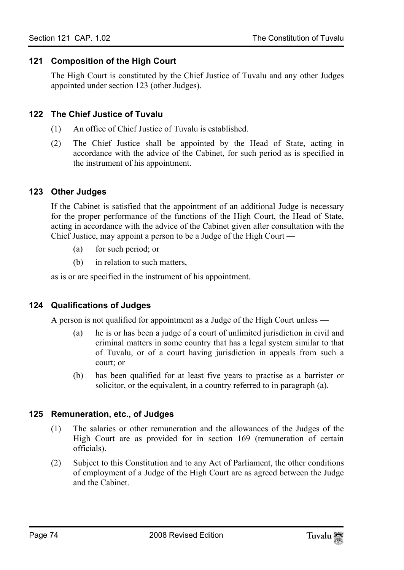# **121 Composition of the High Court**

The High Court is constituted by the Chief Justice of Tuvalu and any other Judges appointed under section 123 (other Judges).

# **122 The Chief Justice of Tuvalu**

- (1) An office of Chief Justice of Tuvalu is established.
- (2) The Chief Justice shall be appointed by the Head of State, acting in accordance with the advice of the Cabinet, for such period as is specified in the instrument of his appointment.

# **123 Other Judges**

If the Cabinet is satisfied that the appointment of an additional Judge is necessary for the proper performance of the functions of the High Court, the Head of State, acting in accordance with the advice of the Cabinet given after consultation with the Chief Justice, may appoint a person to be a Judge of the High Court —

- (a) for such period; or
- (b) in relation to such matters,

as is or are specified in the instrument of his appointment.

# **124 Qualifications of Judges**

A person is not qualified for appointment as a Judge of the High Court unless —

- (a) he is or has been a judge of a court of unlimited jurisdiction in civil and criminal matters in some country that has a legal system similar to that of Tuvalu, or of a court having jurisdiction in appeals from such a court; or
- (b) has been qualified for at least five years to practise as a barrister or solicitor, or the equivalent, in a country referred to in paragraph (a).

# **125 Remuneration, etc., of Judges**

- (1) The salaries or other remuneration and the allowances of the Judges of the High Court are as provided for in section 169 (remuneration of certain officials).
- (2) Subject to this Constitution and to any Act of Parliament, the other conditions of employment of a Judge of the High Court are as agreed between the Judge and the Cabinet.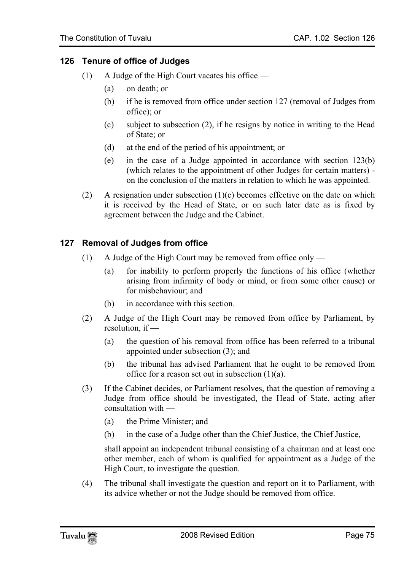# **126 Tenure of office of Judges**

- (1) A Judge of the High Court vacates his office
	- (a) on death; or
	- (b) if he is removed from office under section 127 (removal of Judges from office); or
	- (c) subject to subsection (2), if he resigns by notice in writing to the Head of State; or
	- (d) at the end of the period of his appointment; or
	- (e) in the case of a Judge appointed in accordance with section 123(b) (which relates to the appointment of other Judges for certain matters) on the conclusion of the matters in relation to which he was appointed.
- (2) A resignation under subsection (1)(c) becomes effective on the date on which it is received by the Head of State, or on such later date as is fixed by agreement between the Judge and the Cabinet.

# **127 Removal of Judges from office**

- (1) A Judge of the High Court may be removed from office only
	- (a) for inability to perform properly the functions of his office (whether arising from infirmity of body or mind, or from some other cause) or for misbehaviour; and
	- (b) in accordance with this section.
- (2) A Judge of the High Court may be removed from office by Parliament, by resolution, if —
	- (a) the question of his removal from office has been referred to a tribunal appointed under subsection (3); and
	- (b) the tribunal has advised Parliament that he ought to be removed from office for a reason set out in subsection (1)(a).
- (3) If the Cabinet decides, or Parliament resolves, that the question of removing a Judge from office should be investigated, the Head of State, acting after consultation with —
	- (a) the Prime Minister; and
	- (b) in the case of a Judge other than the Chief Justice, the Chief Justice,

shall appoint an independent tribunal consisting of a chairman and at least one other member, each of whom is qualified for appointment as a Judge of the High Court, to investigate the question.

(4) The tribunal shall investigate the question and report on it to Parliament, with its advice whether or not the Judge should be removed from office.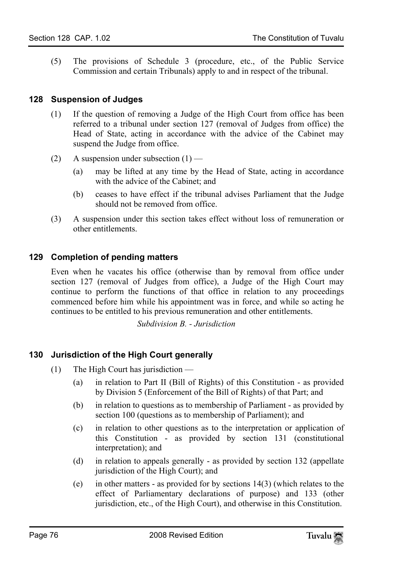(5) The provisions of Schedule 3 (procedure, etc., of the Public Service Commission and certain Tribunals) apply to and in respect of the tribunal.

# **128 Suspension of Judges**

- (1) If the question of removing a Judge of the High Court from office has been referred to a tribunal under section 127 (removal of Judges from office) the Head of State, acting in accordance with the advice of the Cabinet may suspend the Judge from office.
- (2) A suspension under subsection  $(1)$ 
	- (a) may be lifted at any time by the Head of State, acting in accordance with the advice of the Cabinet; and
	- (b) ceases to have effect if the tribunal advises Parliament that the Judge should not be removed from office.
- (3) A suspension under this section takes effect without loss of remuneration or other entitlements.

# **129 Completion of pending matters**

Even when he vacates his office (otherwise than by removal from office under section 127 (removal of Judges from office), a Judge of the High Court may continue to perform the functions of that office in relation to any proceedings commenced before him while his appointment was in force, and while so acting he continues to be entitled to his previous remuneration and other entitlements.

*Subdivision B. - Jurisdiction* 

# **130 Jurisdiction of the High Court generally**

- (1) The High Court has jurisdiction
	- (a) in relation to Part II (Bill of Rights) of this Constitution as provided by Division 5 (Enforcement of the Bill of Rights) of that Part; and
	- (b) in relation to questions as to membership of Parliament as provided by section 100 (questions as to membership of Parliament); and
	- (c) in relation to other questions as to the interpretation or application of this Constitution - as provided by section 131 (constitutional interpretation); and
	- (d) in relation to appeals generally as provided by section 132 (appellate jurisdiction of the High Court); and
	- (e) in other matters as provided for by sections 14(3) (which relates to the effect of Parliamentary declarations of purpose) and 133 (other jurisdiction, etc., of the High Court), and otherwise in this Constitution.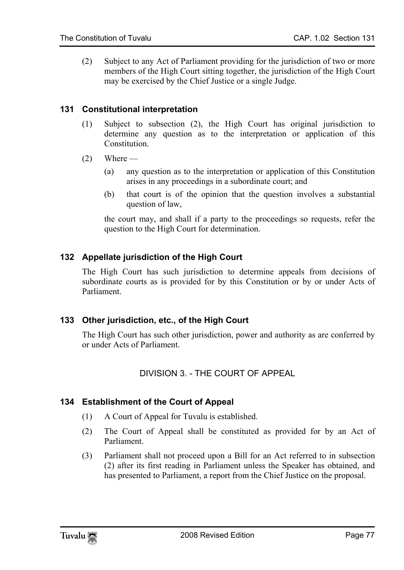(2) Subject to any Act of Parliament providing for the jurisdiction of two or more members of the High Court sitting together, the jurisdiction of the High Court may be exercised by the Chief Justice or a single Judge.

# **131 Constitutional interpretation**

- (1) Subject to subsection (2), the High Court has original jurisdiction to determine any question as to the interpretation or application of this Constitution.
- $(2)$  Where
	- (a) any question as to the interpretation or application of this Constitution arises in any proceedings in a subordinate court; and
	- (b) that court is of the opinion that the question involves a substantial question of law.

the court may, and shall if a party to the proceedings so requests, refer the question to the High Court for determination.

# **132 Appellate jurisdiction of the High Court**

The High Court has such jurisdiction to determine appeals from decisions of subordinate courts as is provided for by this Constitution or by or under Acts of Parliament.

# **133 Other jurisdiction, etc., of the High Court**

The High Court has such other jurisdiction, power and authority as are conferred by or under Acts of Parliament.

# DIVISION 3. - THE COURT OF APPEAL

# **134 Establishment of the Court of Appeal**

- (1) A Court of Appeal for Tuvalu is established.
- (2) The Court of Appeal shall be constituted as provided for by an Act of Parliament.
- (3) Parliament shall not proceed upon a Bill for an Act referred to in subsection (2) after its first reading in Parliament unless the Speaker has obtained, and has presented to Parliament, a report from the Chief Justice on the proposal.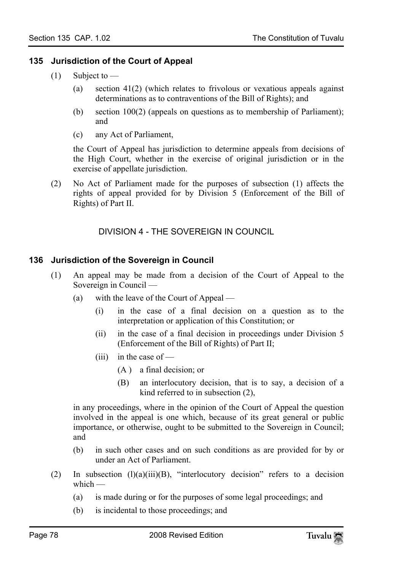# **135 Jurisdiction of the Court of Appeal**

- $(1)$  Subject to
	- (a) section 41(2) (which relates to frivolous or vexatious appeals against determinations as to contraventions of the Bill of Rights); and
	- (b) section 100(2) (appeals on questions as to membership of Parliament); and
	- (c) any Act of Parliament,

the Court of Appeal has jurisdiction to determine appeals from decisions of the High Court, whether in the exercise of original jurisdiction or in the exercise of appellate jurisdiction.

(2) No Act of Parliament made for the purposes of subsection (1) affects the rights of appeal provided for by Division 5 (Enforcement of the Bill of Rights) of Part II.

DIVISION 4 - THE SOVEREIGN IN COUNCIL

# **136 Jurisdiction of the Sovereign in Council**

- (1) An appeal may be made from a decision of the Court of Appeal to the Sovereign in Council —
	- (a) with the leave of the Court of Appeal
		- (i) in the case of a final decision on a question as to the interpretation or application of this Constitution; or
		- (ii) in the case of a final decision in proceedings under Division 5 (Enforcement of the Bill of Rights) of Part II;
		- $(iii)$  in the case of
			- (A ) a final decision; or
			- (B) an interlocutory decision, that is to say, a decision of a kind referred to in subsection (2),

in any proceedings, where in the opinion of the Court of Appeal the question involved in the appeal is one which, because of its great general or public importance, or otherwise, ought to be submitted to the Sovereign in Council; and

- (b) in such other cases and on such conditions as are provided for by or under an Act of Parliament.
- (2) In subsection  $(l)(a)(iii)(B)$ , "interlocutory decision" refers to a decision which  $-$ 
	- (a) is made during or for the purposes of some legal proceedings; and
	- (b) is incidental to those proceedings; and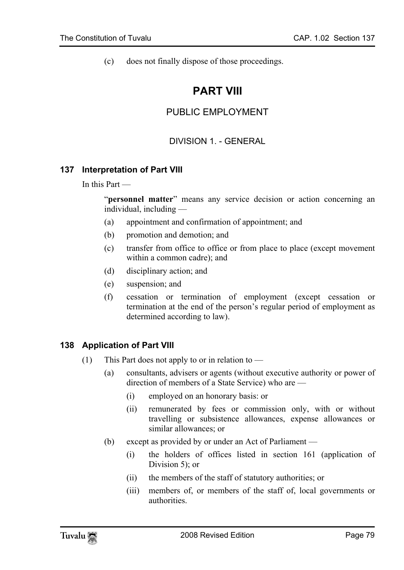(c) does not finally dispose of those proceedings.

# **PART VIII**

# PUBLIC EMPLOYMENT

# DIVISION 1. - GENERAL

# **137 Interpretation of Part VIII**

In this Part —

"**personnel matter**" means any service decision or action concerning an individual, including —

- (a) appointment and confirmation of appointment; and
- (b) promotion and demotion; and
- (c) transfer from office to office or from place to place (except movement within a common cadre); and
- (d) disciplinary action; and
- (e) suspension; and
- (f) cessation or termination of employment (except cessation or termination at the end of the person's regular period of employment as determined according to law).

# **138 Application of Part VIII**

- (1) This Part does not apply to or in relation to  $-$ 
	- (a) consultants, advisers or agents (without executive authority or power of direction of members of a State Service) who are —
		- (i) employed on an honorary basis: or
		- (ii) remunerated by fees or commission only, with or without travelling or subsistence allowances, expense allowances or similar allowances; or
	- (b) except as provided by or under an Act of Parliament
		- (i) the holders of offices listed in section 161 (application of Division 5); or
		- (ii) the members of the staff of statutory authorities; or
		- (iii) members of, or members of the staff of, local governments or authorities.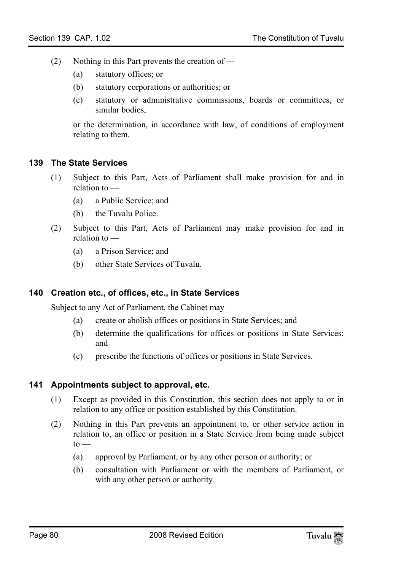- (2) Nothing in this Part prevents the creation of
	- (a) statutory offices; or
	- (b) statutory corporations or authorities; or
	- (c) statutory or administrative commissions, boards or committees, or similar bodies,

or the determination, in accordance with law, of conditions of employment relating to them.

# **139 The State Services**

- (1) Subject to this Part, Acts of Parliament shall make provision for and in relation to —
	- (a) a Public Service; and
	- (b) the Tuvalu Police.
- (2) Subject to this Part, Acts of Parliament may make provision for and in relation to —
	- (a) a Prison Service; and
	- (b) other State Services of Tuvalu.

# **140 Creation etc., of offices, etc., in State Services**

Subject to any Act of Parliament, the Cabinet may —

- (a) create or abolish offices or positions in State Services; and
- (b) determine the qualifications for offices or positions in State Services; and
- (c) prescribe the functions of offices or positions in State Services.

# **141 Appointments subject to approval, etc.**

- (1) Except as provided in this Constitution, this section does not apply to or in relation to any office or position established by this Constitution.
- (2) Nothing in this Part prevents an appointment to, or other service action in relation to, an office or position in a State Service from being made subject  $to -$ 
	- (a) approval by Parliament, or by any other person or authority; or
	- (b) consultation with Parliament or with the members of Parliament, or with any other person or authority.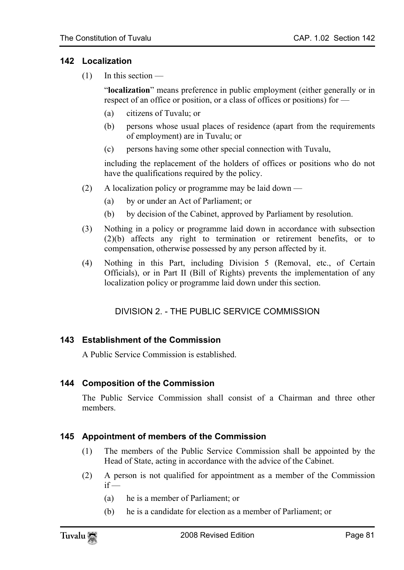# **142 Localization**

(1) In this section —

"**localization**" means preference in public employment (either generally or in respect of an office or position, or a class of offices or positions) for —

- (a) citizens of Tuvalu; or
- (b) persons whose usual places of residence (apart from the requirements of employment) are in Tuvalu; or
- (c) persons having some other special connection with Tuvalu,

including the replacement of the holders of offices or positions who do not have the qualifications required by the policy.

- (2) A localization policy or programme may be laid down
	- (a) by or under an Act of Parliament; or
	- (b) by decision of the Cabinet, approved by Parliament by resolution.
- (3) Nothing in a policy or programme laid down in accordance with subsection (2)(b) affects any right to termination or retirement benefits, or to compensation, otherwise possessed by any person affected by it.
- (4) Nothing in this Part, including Division 5 (Removal, etc., of Certain Officials), or in Part II (Bill of Rights) prevents the implementation of any localization policy or programme laid down under this section.

# DIVISION 2. - THE PUBLIC SERVICE COMMISSION

# **143 Establishment of the Commission**

A Public Service Commission is established.

# **144 Composition of the Commission**

The Public Service Commission shall consist of a Chairman and three other members.

# **145 Appointment of members of the Commission**

- (1) The members of the Public Service Commission shall be appointed by the Head of State, acting in accordance with the advice of the Cabinet.
- (2) A person is not qualified for appointment as a member of the Commission  $if -$ 
	- (a) he is a member of Parliament; or
	- (b) he is a candidate for election as a member of Parliament; or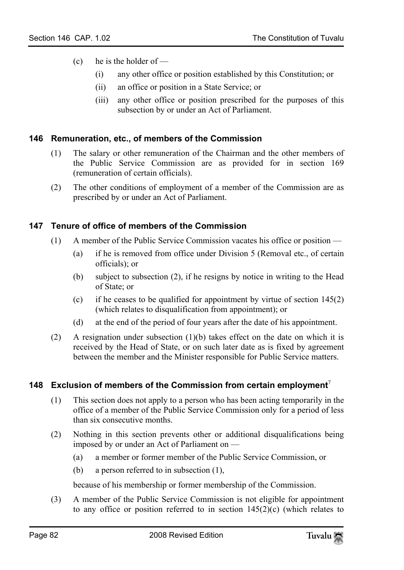- $(c)$  he is the holder of
	- (i) any other office or position established by this Constitution; or
	- (ii) an office or position in a State Service; or
	- (iii) any other office or position prescribed for the purposes of this subsection by or under an Act of Parliament.

# **146 Remuneration, etc., of members of the Commission**

- (1) The salary or other remuneration of the Chairman and the other members of the Public Service Commission are as provided for in section 169 (remuneration of certain officials).
- (2) The other conditions of employment of a member of the Commission are as prescribed by or under an Act of Parliament.

# **147 Tenure of office of members of the Commission**

- (1) A member of the Public Service Commission vacates his office or position
	- (a) if he is removed from office under Division 5 (Removal etc., of certain officials); or
	- (b) subject to subsection (2), if he resigns by notice in writing to the Head of State; or
	- (c) if he ceases to be qualified for appointment by virtue of section  $145(2)$ (which relates to disqualification from appointment); or
	- (d) at the end of the period of four years after the date of his appointment.
- (2) A resignation under subsection (1)(b) takes effect on the date on which it is received by the Head of State, or on such later date as is fixed by agreement between the member and the Minister responsible for Public Service matters.

# **148 Exclusion of members of the Commission from certain employment**<sup>7</sup>

- (1) This section does not apply to a person who has been acting temporarily in the office of a member of the Public Service Commission only for a period of less than six consecutive months.
- (2) Nothing in this section prevents other or additional disqualifications being imposed by or under an Act of Parliament on —
	- (a) a member or former member of the Public Service Commission, or
	- (b) a person referred to in subsection (1),

because of his membership or former membership of the Commission.

(3) A member of the Public Service Commission is not eligible for appointment to any office or position referred to in section  $145(2)(c)$  (which relates to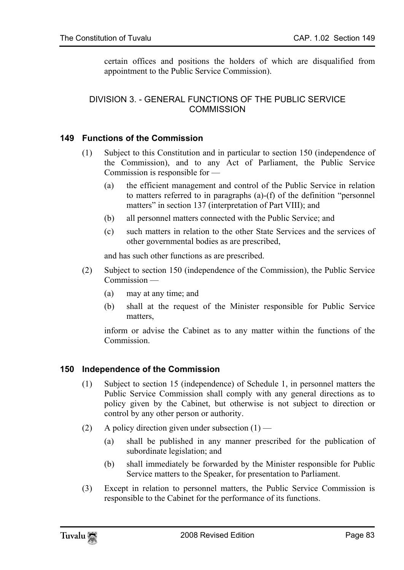certain offices and positions the holders of which are disqualified from appointment to the Public Service Commission).

# DIVISION 3. - GENERAL FUNCTIONS OF THE PUBLIC SERVICE **COMMISSION**

# **149 Functions of the Commission**

- (1) Subject to this Constitution and in particular to section 150 (independence of the Commission), and to any Act of Parliament, the Public Service Commission is responsible for —
	- (a) the efficient management and control of the Public Service in relation to matters referred to in paragraphs (a)-(f) of the definition "personnel matters" in section 137 (interpretation of Part VIII); and
	- (b) all personnel matters connected with the Public Service; and
	- (c) such matters in relation to the other State Services and the services of other governmental bodies as are prescribed,

and has such other functions as are prescribed.

- (2) Subject to section 150 (independence of the Commission), the Public Service Commission —
	- (a) may at any time; and
	- (b) shall at the request of the Minister responsible for Public Service matters,

inform or advise the Cabinet as to any matter within the functions of the Commission.

# **150 Independence of the Commission**

- (1) Subject to section 15 (independence) of Schedule 1, in personnel matters the Public Service Commission shall comply with any general directions as to policy given by the Cabinet, but otherwise is not subject to direction or control by any other person or authority.
- (2) A policy direction given under subsection  $(1)$ 
	- (a) shall be published in any manner prescribed for the publication of subordinate legislation; and
	- (b) shall immediately be forwarded by the Minister responsible for Public Service matters to the Speaker, for presentation to Parliament.
- (3) Except in relation to personnel matters, the Public Service Commission is responsible to the Cabinet for the performance of its functions.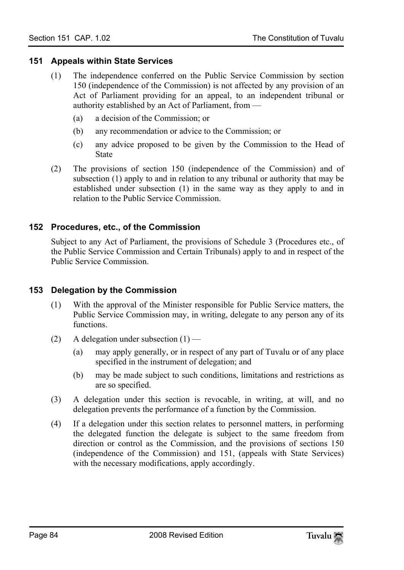### **151 Appeals within State Services**

- (1) The independence conferred on the Public Service Commission by section 150 (independence of the Commission) is not affected by any provision of an Act of Parliament providing for an appeal, to an independent tribunal or authority established by an Act of Parliament, from —
	- (a) a decision of the Commission; or
	- (b) any recommendation or advice to the Commission; or
	- (c) any advice proposed to be given by the Commission to the Head of State
- (2) The provisions of section 150 (independence of the Commission) and of subsection (1) apply to and in relation to any tribunal or authority that may be established under subsection (1) in the same way as they apply to and in relation to the Public Service Commission.

# **152 Procedures, etc., of the Commission**

Subject to any Act of Parliament, the provisions of Schedule 3 (Procedures etc., of the Public Service Commission and Certain Tribunals) apply to and in respect of the Public Service Commission.

# **153 Delegation by the Commission**

- (1) With the approval of the Minister responsible for Public Service matters, the Public Service Commission may, in writing, delegate to any person any of its functions.
- (2) A delegation under subsection  $(1)$ 
	- (a) may apply generally, or in respect of any part of Tuvalu or of any place specified in the instrument of delegation; and
	- (b) may be made subject to such conditions, limitations and restrictions as are so specified.
- (3) A delegation under this section is revocable, in writing, at will, and no delegation prevents the performance of a function by the Commission.
- (4) If a delegation under this section relates to personnel matters, in performing the delegated function the delegate is subject to the same freedom from direction or control as the Commission, and the provisions of sections 150 (independence of the Commission) and 151, (appeals with State Services) with the necessary modifications, apply accordingly.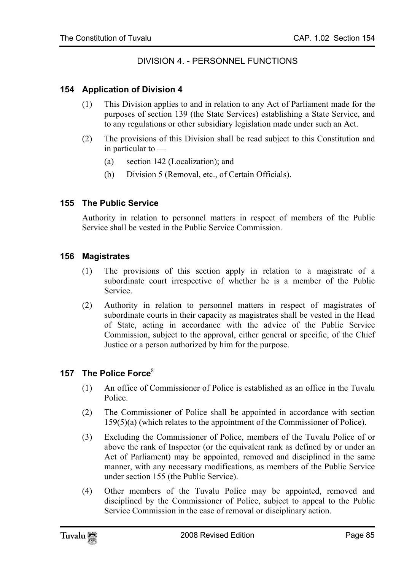# DIVISION 4. - PERSONNEL FUNCTIONS

# **154 Application of Division 4**

- (1) This Division applies to and in relation to any Act of Parliament made for the purposes of section 139 (the State Services) establishing a State Service, and to any regulations or other subsidiary legislation made under such an Act.
- (2) The provisions of this Division shall be read subject to this Constitution and in particular to —
	- (a) section 142 (Localization); and
	- (b) Division 5 (Removal, etc., of Certain Officials).

# **155 The Public Service**

Authority in relation to personnel matters in respect of members of the Public Service shall be vested in the Public Service Commission.

#### **156 Magistrates**

- (1) The provisions of this section apply in relation to a magistrate of a subordinate court irrespective of whether he is a member of the Public Service.
- (2) Authority in relation to personnel matters in respect of magistrates of subordinate courts in their capacity as magistrates shall be vested in the Head of State, acting in accor[da](#page-119-0)nce with the advice of the Public Service Commission, subject to the approval, either general or specific, of the Chief Justice or a person authorized by him for the purpose.

# **157 The Police Force**<sup>8</sup>

- (1) An office of Commissioner of Police is established as an office in the Tuvalu Police.
- (2) The Commissioner of Police shall be appointed in accordance with section 159(5)(a) (which relates to the appointment of the Commissioner of Police).
- (3) Excluding the Commissioner of Police, members of the Tuvalu Police of or above the rank of Inspector (or the equivalent rank as defined by or under an Act of Parliament) may be appointed, removed and disciplined in the same manner, with any necessary modifications, as members of the Public Service under section 155 (the Public Service).
- (4) Other members of the Tuvalu Police may be appointed, removed and disciplined by the Commissioner of Police, subject to appeal to the Public Service Commission in the case of removal or disciplinary action.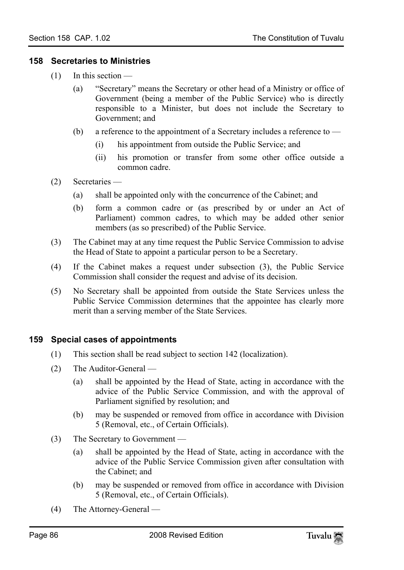#### **158 Secretaries to Ministries**

- $(1)$  In this section
	- (a) "Secretary" means the Secretary or other head of a Ministry or office of Government (being a member of the Public Service) who is directly responsible to a Minister, but does not include the Secretary to Government; and
	- (b) a reference to the appointment of a Secretary includes a reference to  $-$ 
		- (i) his appointment from outside the Public Service; and
		- (ii) his promotion or transfer from some other office outside a common cadre.
- (2) Secretaries
	- (a) shall be appointed only with the concurrence of the Cabinet; and
	- (b) form a common cadre or (as prescribed by or under an Act of Parliament) common cadres, to which may be added other senior members (as so prescribed) of the Public Service.
- (3) The Cabinet may at any time request the Public Service Commission to advise the Head of State to appoint a particular person to be a Secretary.
- (4) If the Cabinet makes a request under subsection (3), the Public Service Commission shall consider the request and advise of its decision.
- (5) No Secretary shall be appointed from outside the State Services unless the Public Service Commission determines that the appointee has clearly more merit than a serving member of the State Services.

# **159 Special cases of appointments**

- (1) This section shall be read subject to section 142 (localization).
- (2) The Auditor-General
	- (a) shall be appointed by the Head of State, acting in accordance with the advice of the Public Service Commission, and with the approval of Parliament signified by resolution; and
	- (b) may be suspended or removed from office in accordance with Division 5 (Removal, etc., of Certain Officials).
- (3) The Secretary to Government
	- (a) shall be appointed by the Head of State, acting in accordance with the advice of the Public Service Commission given after consultation with the Cabinet; and
	- (b) may be suspended or removed from office in accordance with Division 5 (Removal, etc., of Certain Officials).
- (4) The Attorney-General —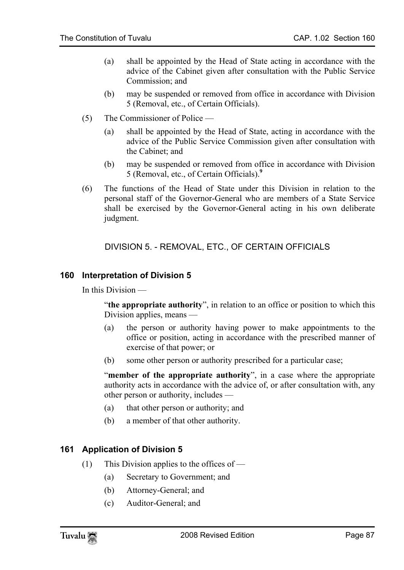- (a) shall be appointed by the Head of State acting in accordance with the advice of the Cabinet given after consultation with the Public Service Commission; and
- (b) may be suspended or removed from office in accordance with Division 5 (Removal, etc., of Certain Officials).
- (5) The Commissioner of Police
	- (a) shall be appointed by the Head of State, acting in a[cc](#page-119-1)ordance with the advice of the Public Service Commission given after consultation with the Cabinet; and
	- (b) may be suspended or removed from office in accordance with Division 5 (Removal, etc., of Certain Officials).**<sup>9</sup>**
- (6) The functions of the Head of State under this Division in relation to the personal staff of the Governor-General who are members of a State Service shall be exercised by the Governor-General acting in his own deliberate judgment.

DIVISION 5. - REMOVAL, ETC., OF CERTAIN OFFICIALS

# **160 Interpretation of Division 5**

In this Division —

"**the appropriate authority**", in relation to an office or position to which this Division applies, means —

- (a) the person or authority having power to make appointments to the office or position, acting in accordance with the prescribed manner of exercise of that power; or
- (b) some other person or authority prescribed for a particular case;

"**member of the appropriate authority**", in a case where the appropriate authority acts in accordance with the advice of, or after consultation with, any other person or authority, includes —

- (a) that other person or authority; and
- (b) a member of that other authority.

# **161 Application of Division 5**

- (1) This Division applies to the offices of
	- (a) Secretary to Government; and
	- (b) Attorney-General; and
	- (c) Auditor-General; and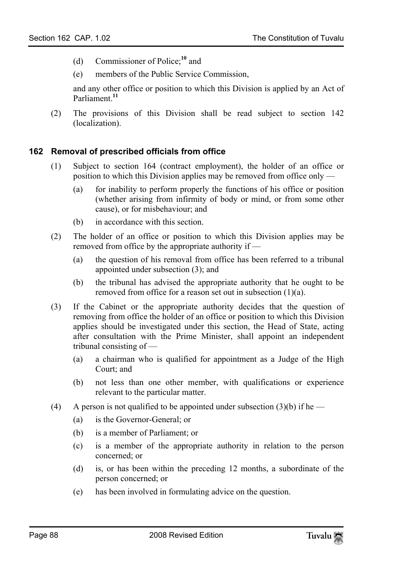- (d) Commissioner of Police;**<sup>10</sup>** and
- (e) members of the Public Service Commission,

and any other office or position to which this Division is applied by an Act of Parliament.**<sup>11</sup>**

(2) The provisions of this Division shall be read subject to section 142 (localization).

# **162 Removal of prescribed officials from office**

- (1) Subject to section 164 (contract employment), the holder of an office or position to which this Division applies may be removed from office only —
	- (a) for inability to perform properly the functions of his office or position (whether arising from infirmity of body or mind, or from some other cause), or for misbehaviour; and
	- (b) in accordance with this section.
- (2) The holder of an office or position to which this Division applies may be removed from office by the appropriate authority if —
	- (a) the question of his removal from office has been referred to a tribunal appointed under subsection (3); and
	- (b) the tribunal has advised the appropriate authority that he ought to be removed from office for a reason set out in subsection (1)(a).
- (3) If the Cabinet or the appropriate authority decides that the question of removing from office the holder of an office or position to which this Division applies should be investigated under this section, the Head of State, acting after consultation with the Prime Minister, shall appoint an independent tribunal consisting of —
	- (a) a chairman who is qualified for appointment as a Judge of the High Court; and
	- (b) not less than one other member, with qualifications or experience relevant to the particular matter.
- (4) A person is not qualified to be appointed under subsection (3)(b) if he
	- (a) is the Governor-General; or
	- (b) is a member of Parliament; or
	- (c) is a member of the appropriate authority in relation to the person concerned; or
	- (d) is, or has been within the preceding 12 months, a subordinate of the person concerned; or
	- (e) has been involved in formulating advice on the question.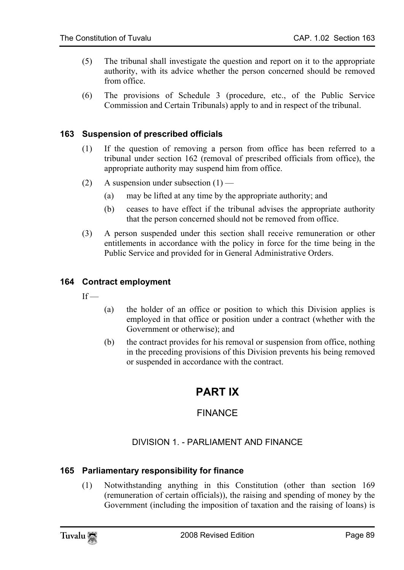- (5) The tribunal shall investigate the question and report on it to the appropriate authority, with its advice whether the person concerned should be removed from office.
- (6) The provisions of Schedule 3 (procedure, etc., of the Public Service Commission and Certain Tribunals) apply to and in respect of the tribunal.

# **163 Suspension of prescribed officials**

- (1) If the question of removing a person from office has been referred to a tribunal under section 162 (removal of prescribed officials from office), the appropriate authority may suspend him from office.
- (2) A suspension under subsection  $(1)$ 
	- (a) may be lifted at any time by the appropriate authority; and
	- (b) ceases to have effect if the tribunal advises the appropriate authority that the person concerned should not be removed from office.
- (3) A person suspended under this section shall receive remuneration or other entitlements in accordance with the policy in force for the time being in the Public Service and provided for in General Administrative Orders.

#### **164 Contract employment**

- $If -$
- (a) the holder of an office or position to which this Division applies is employed in that office or position under a contract (whether with the Government or otherwise); and
- (b) the contract provides for his removal or suspension from office, nothing in the preceding provisions of this Division prevents his being removed or suspended in accordance with the contract.

# **PART IX**

# FINANCE

# DIVISION 1. - PARLIAMENT AND FINANCE

# **165 Parliamentary responsibility for finance**

(1) Notwithstanding anything in this Constitution (other than section 169 (remuneration of certain officials)), the raising and spending of money by the Government (including the imposition of taxation and the raising of loans) is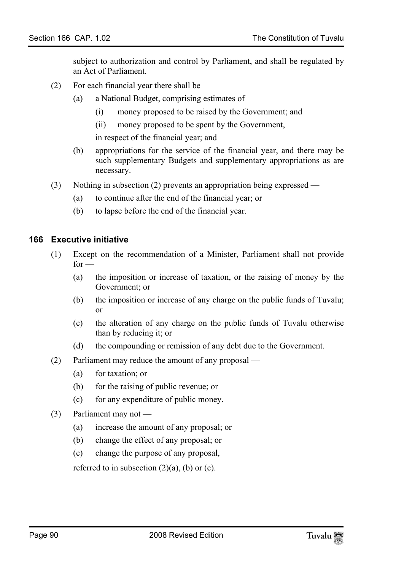subject to authorization and control by Parliament, and shall be regulated by an Act of Parliament.

- (2) For each financial year there shall be  $-$ 
	- (a) a National Budget, comprising estimates of
		- (i) money proposed to be raised by the Government; and
		- (ii) money proposed to be spent by the Government,

in respect of the financial year; and

- (b) appropriations for the service of the financial year, and there may be such supplementary Budgets and supplementary appropriations as are necessary.
- (3) Nothing in subsection (2) prevents an appropriation being expressed
	- (a) to continue after the end of the financial year; or
	- (b) to lapse before the end of the financial year.

#### **166 Executive initiative**

- (1) Except on the recommendation of a Minister, Parliament shall not provide  $for -$ 
	- (a) the imposition or increase of taxation, or the raising of money by the Government; or
	- (b) the imposition or increase of any charge on the public funds of Tuvalu; or
	- (c) the alteration of any charge on the public funds of Tuvalu otherwise than by reducing it; or
	- (d) the compounding or remission of any debt due to the Government.
- (2) Parliament may reduce the amount of any proposal
	- (a) for taxation; or
	- (b) for the raising of public revenue; or
	- (c) for any expenditure of public money.
- (3) Parliament may not
	- (a) increase the amount of any proposal; or
	- (b) change the effect of any proposal; or
	- (c) change the purpose of any proposal,

referred to in subsection  $(2)(a)$ ,  $(b)$  or  $(c)$ .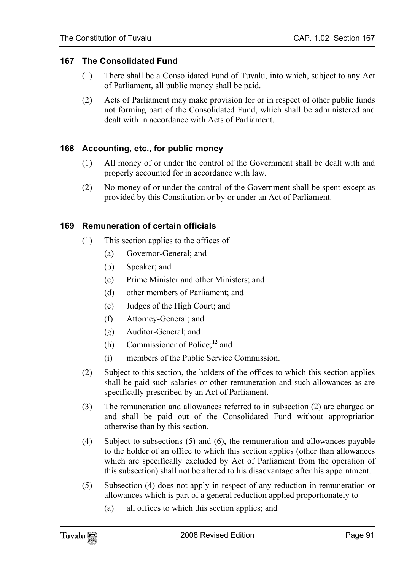# **167 The Consolidated Fund**

- (1) There shall be a Consolidated Fund of Tuvalu, into which, subject to any Act of Parliament, all public money shall be paid.
- (2) Acts of Parliament may make provision for or in respect of other public funds not forming part of the Consolidated Fund, which shall be administered and dealt with in accordance with Acts of Parliament.

# **168 Accounting, etc., for public money**

- (1) All money of or under the control of the Government shall be dealt with and properly accounted for in accordance with law.
- (2) No money of or under the control of the Government shall be spent except as provided by this Constitution or by or under an Act of Parliament.

# **169 Remuneration of certain officials**

- (1) This section applies to the offices of
	- (a) Governor-General; and
	- (b) Speaker; and
	- (c) Prime Minister and other Ministers; and
	- (d) other members of Parliament; and
	- (e) Judges of the High Court; and
	- (f) Attorney-General; and
	- (g) Auditor-General; and
	- (h) Commissioner of Police;**<sup>12</sup>** and
	- (i) members of the Public Service Commission.
- (2) Subject to this section, the holders of the offices to which this section applies shall be paid such salaries or other remuneration and such allowances as are specifically prescribed by an Act of Parliament.
- (3) The remuneration and allowances referred to in subsection (2) are charged on and shall be paid out of the Consolidated Fund without appropriation otherwise than by this section.
- (4) Subject to subsections (5) and (6), the remuneration and allowances payable to the holder of an office to which this section applies (other than allowances which are specifically excluded by Act of Parliament from the operation of this subsection) shall not be altered to his disadvantage after his appointment.
- (5) Subsection (4) does not apply in respect of any reduction in remuneration or allowances which is part of a general reduction applied proportionately to —
	- (a) all offices to which this section applies; and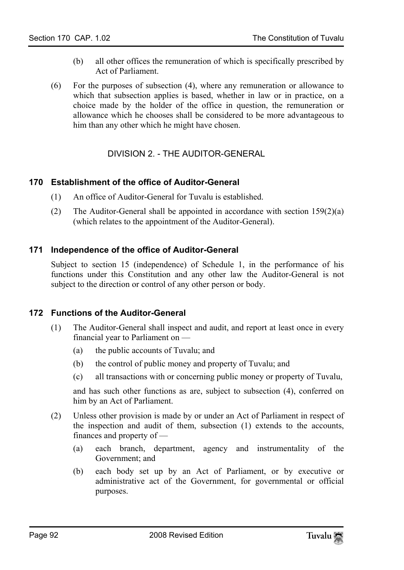- (b) all other offices the remuneration of which is specifically prescribed by Act of Parliament.
- (6) For the purposes of subsection (4), where any remuneration or allowance to which that subsection applies is based, whether in law or in practice, on a choice made by the holder of the office in question, the remuneration or allowance which he chooses shall be considered to be more advantageous to him than any other which he might have chosen.

DIVISION 2. - THE AUDITOR-GENERAL

# **170 Establishment of the office of Auditor-General**

- (1) An office of Auditor-General for Tuvalu is established.
- (2) The Auditor-General shall be appointed in accordance with section  $159(2)(a)$ (which relates to the appointment of the Auditor-General).

# **171 Independence of the office of Auditor-General**

Subject to section 15 (independence) of Schedule 1, in the performance of his functions under this Constitution and any other law the Auditor-General is not subject to the direction or control of any other person or body.

# **172 Functions of the Auditor-General**

- (1) The Auditor-General shall inspect and audit, and report at least once in every financial year to Parliament on —
	- (a) the public accounts of Tuvalu; and
	- (b) the control of public money and property of Tuvalu; and
	- (c) all transactions with or concerning public money or property of Tuvalu,

and has such other functions as are, subject to subsection (4), conferred on him by an Act of Parliament.

- (2) Unless other provision is made by or under an Act of Parliament in respect of the inspection and audit of them, subsection (1) extends to the accounts, finances and property of —
	- (a) each branch, department, agency and instrumentality of the Government; and
	- (b) each body set up by an Act of Parliament, or by executive or administrative act of the Government, for governmental or official purposes.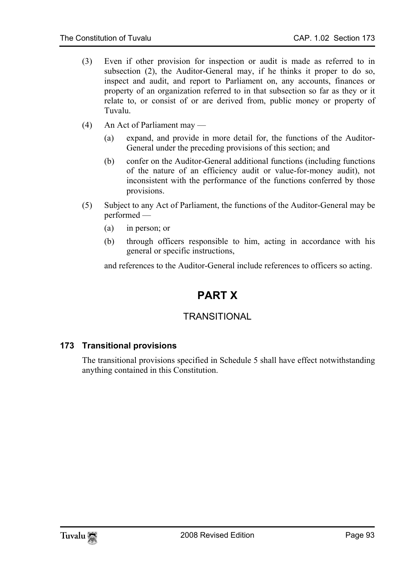- (3) Even if other provision for inspection or audit is made as referred to in subsection (2), the Auditor-General may, if he thinks it proper to do so, inspect and audit, and report to Parliament on, any accounts, finances or property of an organization referred to in that subsection so far as they or it relate to, or consist of or are derived from, public money or property of Tuvalu.
- (4) An Act of Parliament may
	- (a) expand, and provide in more detail for, the functions of the Auditor-General under the preceding provisions of this section; and
	- (b) confer on the Auditor-General additional functions (including functions of the nature of an efficiency audit or value-for-money audit), not inconsistent with the performance of the functions conferred by those provisions.
- (5) Subject to any Act of Parliament, the functions of the Auditor-General may be performed —
	- (a) in person; or
	- (b) through officers responsible to him, acting in accordance with his general or specific instructions,

and references to the Auditor-General include references to officers so acting.

# **PART X**

# TRANSITIONAL

# **173 Transitional provisions**

The transitional provisions specified in Schedule 5 shall have effect notwithstanding anything contained in this Constitution.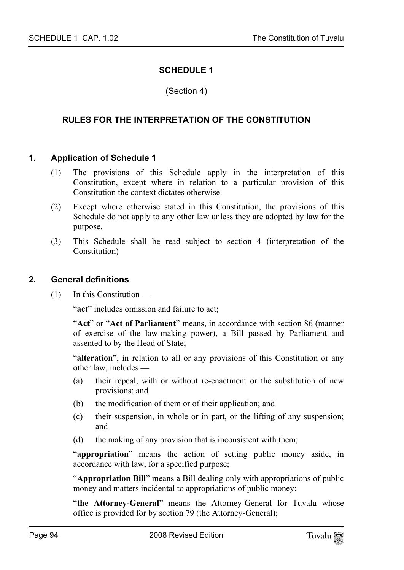# **SCHEDULE 1**

# (Section 4)

# **RULES FOR THE INTERPRETATION OF THE CONSTITUTION**

# **1. Application of Schedule 1**

- (1) The provisions of this Schedule apply in the interpretation of this Constitution, except where in relation to a particular provision of this Constitution the context dictates otherwise.
- (2) Except where otherwise stated in this Constitution, the provisions of this Schedule do not apply to any other law unless they are adopted by law for the purpose.
- (3) This Schedule shall be read subject to section 4 (interpretation of the Constitution)

#### **2. General definitions**

(1) In this Constitution —

"act" includes omission and failure to act;

"**Act**" or "**Act of Parliament**" means, in accordance with section 86 (manner of exercise of the law-making power), a Bill passed by Parliament and assented to by the Head of State;

"alteration", in relation to all or any provisions of this Constitution or any other law, includes —

- (a) their repeal, with or without re-enactment or the substitution of new provisions; and
- (b) the modification of them or of their application; and
- (c) their suspension, in whole or in part, or the lifting of any suspension; and
- (d) the making of any provision that is inconsistent with them;

"**appropriation**" means the action of setting public money aside, in accordance with law, for a specified purpose;

"**Appropriation Bill**" means a Bill dealing only with appropriations of public money and matters incidental to appropriations of public money;

"**the Attorney-General**" means the Attorney-General for Tuvalu whose office is provided for by section 79 (the Attorney-General);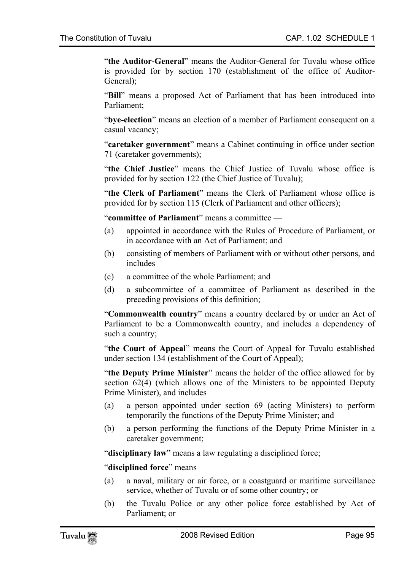"**the Auditor-General**" means the Auditor-General for Tuvalu whose office is provided for by section 170 (establishment of the office of Auditor-General);

"**Bill**" means a proposed Act of Parliament that has been introduced into Parliament;

"**bye-election**" means an election of a member of Parliament consequent on a casual vacancy;

"**caretaker government**" means a Cabinet continuing in office under section 71 (caretaker governments);

"**the Chief Justice**" means the Chief Justice of Tuvalu whose office is provided for by section 122 (the Chief Justice of Tuvalu);

"**the Clerk of Parliament**" means the Clerk of Parliament whose office is provided for by section 115 (Clerk of Parliament and other officers);

"**committee of Parliament**" means a committee —

- (a) appointed in accordance with the Rules of Procedure of Parliament, or in accordance with an Act of Parliament; and
- (b) consisting of members of Parliament with or without other persons, and includes —
- (c) a committee of the whole Parliament; and
- (d) a subcommittee of a committee of Parliament as described in the preceding provisions of this definition;

"**Commonwealth country**" means a country declared by or under an Act of Parliament to be a Commonwealth country, and includes a dependency of such a country;

"**the Court of Appeal**" means the Court of Appeal for Tuvalu established under section 134 (establishment of the Court of Appeal);

"**the Deputy Prime Minister**" means the holder of the office allowed for by section 62(4) (which allows one of the Ministers to be appointed Deputy Prime Minister), and includes —

- (a) a person appointed under section 69 (acting Ministers) to perform temporarily the functions of the Deputy Prime Minister; and
- (b) a person performing the functions of the Deputy Prime Minister in a caretaker government;

"**disciplinary law**" means a law regulating a disciplined force;

"**disciplined force**" means —

- (a) a naval, military or air force, or a coastguard or maritime surveillance service, whether of Tuvalu or of some other country; or
- (b) the Tuvalu Police or any other police force established by Act of Parliament; or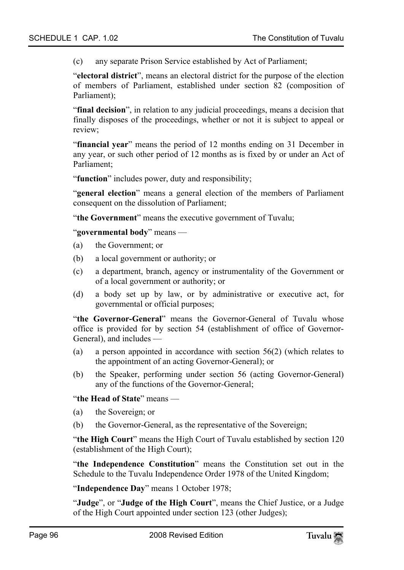(c) any separate Prison Service established by Act of Parliament;

"**electoral district**", means an electoral district for the purpose of the election of members of Parliament, established under section 82 (composition of Parliament);

"**final decision**", in relation to any judicial proceedings, means a decision that finally disposes of the proceedings, whether or not it is subject to appeal or review;

"**financial year**" means the period of 12 months ending on 31 December in any year, or such other period of 12 months as is fixed by or under an Act of Parliament;

"**function**" includes power, duty and responsibility;

"**general election**" means a general election of the members of Parliament consequent on the dissolution of Parliament;

"**the Government**" means the executive government of Tuvalu;

"**governmental body**" means —

- (a) the Government; or
- (b) a local government or authority; or
- (c) a department, branch, agency or instrumentality of the Government or of a local government or authority; or
- (d) a body set up by law, or by administrative or executive act, for governmental or official purposes;

"**the Governor-General**" means the Governor-General of Tuvalu whose office is provided for by section 54 (establishment of office of Governor-General), and includes —

- (a) a person appointed in accordance with section 56(2) (which relates to the appointment of an acting Governor-General); or
- (b) the Speaker, performing under section 56 (acting Governor-General) any of the functions of the Governor-General;

"**the Head of State**" means —

- (a) the Sovereign; or
- (b) the Governor-General, as the representative of the Sovereign;

"**the High Court**" means the High Court of Tuvalu established by section 120 (establishment of the High Court);

"**the Independence Constitution**" means the Constitution set out in the Schedule to the Tuvalu Independence Order 1978 of the United Kingdom;

"**Independence Day**" means 1 October 1978;

"**Judge**", or "**Judge of the High Court**", means the Chief Justice, or a Judge of the High Court appointed under section 123 (other Judges);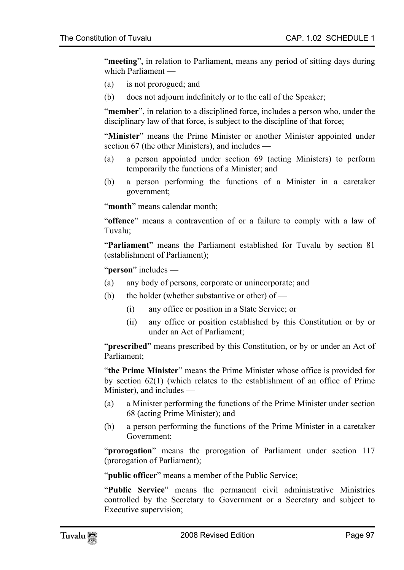"**meeting**", in relation to Parliament, means any period of sitting days during which Parliament —

- (a) is not prorogued; and
- (b) does not adjourn indefinitely or to the call of the Speaker;

"**member**", in relation to a disciplined force, includes a person who, under the disciplinary law of that force, is subject to the discipline of that force;

"**Minister**" means the Prime Minister or another Minister appointed under section 67 (the other Ministers), and includes —

- (a) a person appointed under section 69 (acting Ministers) to perform temporarily the functions of a Minister; and
- (b) a person performing the functions of a Minister in a caretaker government;

"month" means calendar month;

"**offence**" means a contravention of or a failure to comply with a law of Tuvalu;

"**Parliament**" means the Parliament established for Tuvalu by section 81 (establishment of Parliament);

"**person**" includes —

- (a) any body of persons, corporate or unincorporate; and
- (b) the holder (whether substantive or other) of
	- (i) any office or position in a State Service; or
	- (ii) any office or position established by this Constitution or by or under an Act of Parliament;

"**prescribed**" means prescribed by this Constitution, or by or under an Act of Parliament;

"**the Prime Minister**" means the Prime Minister whose office is provided for by section 62(1) (which relates to the establishment of an office of Prime Minister), and includes —

- (a) a Minister performing the functions of the Prime Minister under section 68 (acting Prime Minister); and
- (b) a person performing the functions of the Prime Minister in a caretaker Government;

"**prorogation**" means the prorogation of Parliament under section 117 (prorogation of Parliament);

"**public officer**" means a member of the Public Service;

"**Public Service**" means the permanent civil administrative Ministries controlled by the Secretary to Government or a Secretary and subject to Executive supervision;

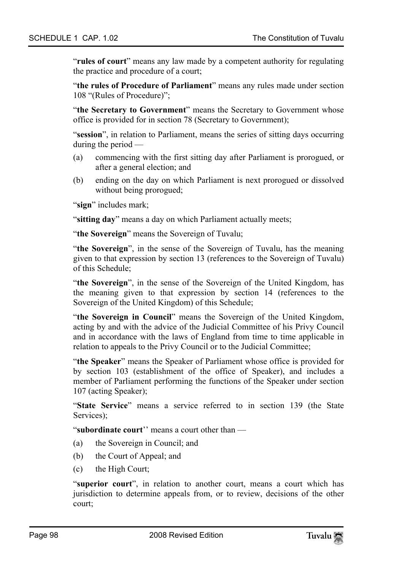"**rules of court**" means any law made by a competent authority for regulating the practice and procedure of a court;

"**the rules of Procedure of Parliament**" means any rules made under section 108 "(Rules of Procedure)";

"**the Secretary to Government**" means the Secretary to Government whose office is provided for in section 78 (Secretary to Government);

"**session**", in relation to Parliament, means the series of sitting days occurring during the period —

- (a) commencing with the first sitting day after Parliament is prorogued, or after a general election; and
- (b) ending on the day on which Parliament is next prorogued or dissolved without being prorogued;

"sign" includes mark;

"**sitting day**" means a day on which Parliament actually meets;

"**the Sovereign**" means the Sovereign of Tuvalu;

"**the Sovereign**", in the sense of the Sovereign of Tuvalu, has the meaning given to that expression by section 13 (references to the Sovereign of Tuvalu) of this Schedule;

"**the Sovereign**", in the sense of the Sovereign of the United Kingdom, has the meaning given to that expression by section 14 (references to the Sovereign of the United Kingdom) of this Schedule;

"**the Sovereign in Council**" means the Sovereign of the United Kingdom, acting by and with the advice of the Judicial Committee of his Privy Council and in accordance with the laws of England from time to time applicable in relation to appeals to the Privy Council or to the Judicial Committee;

"**the Speaker**" means the Speaker of Parliament whose office is provided for by section 103 (establishment of the office of Speaker), and includes a member of Parliament performing the functions of the Speaker under section 107 (acting Speaker);

"**State Service**" means a service referred to in section 139 (the State Services):

"**subordinate court**'' means a court other than —

- (a) the Sovereign in Council; and
- (b) the Court of Appeal; and
- (c) the High Court;

"**superior court**", in relation to another court, means a court which has jurisdiction to determine appeals from, or to review, decisions of the other court;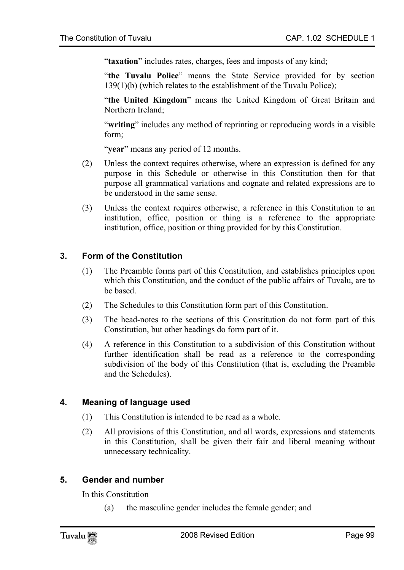"**taxation**" includes rates, charges, fees and imposts of any kind;

"**the Tuvalu Police**" means the State Service provided for by section 139(1)(b) (which relates to the establishment of the Tuvalu Police);

"**the United Kingdom**" means the United Kingdom of Great Britain and Northern Ireland;

"**writing**" includes any method of reprinting or reproducing words in a visible form;

"**year**" means any period of 12 months.

- (2) Unless the context requires otherwise, where an expression is defined for any purpose in this Schedule or otherwise in this Constitution then for that purpose all grammatical variations and cognate and related expressions are to be understood in the same sense.
- (3) Unless the context requires otherwise, a reference in this Constitution to an institution, office, position or thing is a reference to the appropriate institution, office, position or thing provided for by this Constitution.

# **3. Form of the Constitution**

- (1) The Preamble forms part of this Constitution, and establishes principles upon which this Constitution, and the conduct of the public affairs of Tuvalu, are to be based.
- (2) The Schedules to this Constitution form part of this Constitution.
- (3) The head-notes to the sections of this Constitution do not form part of this Constitution, but other headings do form part of it.
- (4) A reference in this Constitution to a subdivision of this Constitution without further identification shall be read as a reference to the corresponding subdivision of the body of this Constitution (that is, excluding the Preamble and the Schedules).

# **4. Meaning of language used**

- (1) This Constitution is intended to be read as a whole.
- (2) All provisions of this Constitution, and all words, expressions and statements in this Constitution, shall be given their fair and liberal meaning without unnecessary technicality.

# **5. Gender and number**

In this Constitution —

(a) the masculine gender includes the female gender; and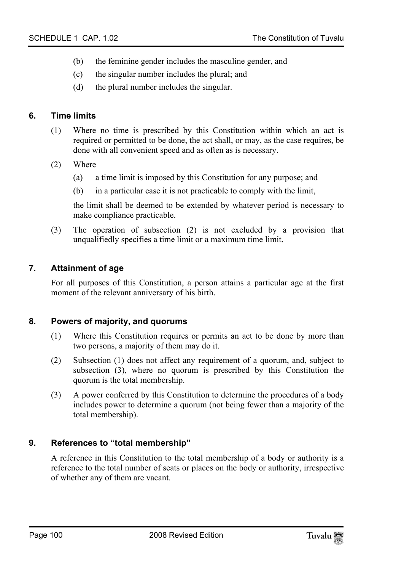- (b) the feminine gender includes the masculine gender, and
- (c) the singular number includes the plural; and
- (d) the plural number includes the singular.

# **6. Time limits**

- (1) Where no time is prescribed by this Constitution within which an act is required or permitted to be done, the act shall, or may, as the case requires, be done with all convenient speed and as often as is necessary.
- $(2)$  Where
	- (a) a time limit is imposed by this Constitution for any purpose; and
	- (b) in a particular case it is not practicable to comply with the limit,

the limit shall be deemed to be extended by whatever period is necessary to make compliance practicable.

(3) The operation of subsection (2) is not excluded by a provision that unqualifiedly specifies a time limit or a maximum time limit.

# **7. Attainment of age**

For all purposes of this Constitution, a person attains a particular age at the first moment of the relevant anniversary of his birth.

# **8. Powers of majority, and quorums**

- (1) Where this Constitution requires or permits an act to be done by more than two persons, a majority of them may do it.
- (2) Subsection (1) does not affect any requirement of a quorum, and, subject to subsection (3), where no quorum is prescribed by this Constitution the quorum is the total membership.
- (3) A power conferred by this Constitution to determine the procedures of a body includes power to determine a quorum (not being fewer than a majority of the total membership).

# **9. References to "total membership"**

A reference in this Constitution to the total membership of a body or authority is a reference to the total number of seats or places on the body or authority, irrespective of whether any of them are vacant.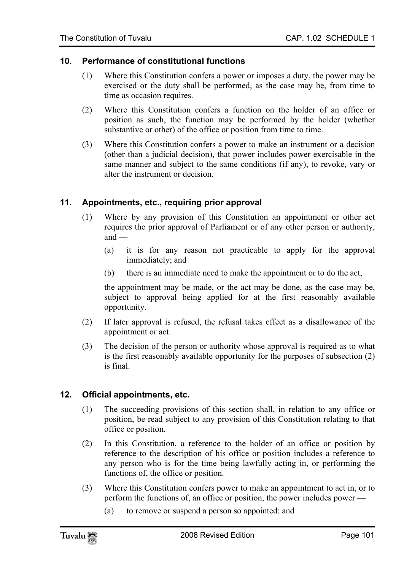# **10. Performance of constitutional functions**

- (1) Where this Constitution confers a power or imposes a duty, the power may be exercised or the duty shall be performed, as the case may be, from time to time as occasion requires.
- (2) Where this Constitution confers a function on the holder of an office or position as such, the function may be performed by the holder (whether substantive or other) of the office or position from time to time.
- (3) Where this Constitution confers a power to make an instrument or a decision (other than a judicial decision), that power includes power exercisable in the same manner and subject to the same conditions (if any), to revoke, vary or alter the instrument or decision.

# **11. Appointments, etc., requiring prior approval**

- (1) Where by any provision of this Constitution an appointment or other act requires the prior approval of Parliament or of any other person or authority, and —
	- (a) it is for any reason not practicable to apply for the approval immediately; and
	- (b) there is an immediate need to make the appointment or to do the act,

the appointment may be made, or the act may be done, as the case may be, subject to approval being applied for at the first reasonably available opportunity.

- (2) If later approval is refused, the refusal takes effect as a disallowance of the appointment or act.
- (3) The decision of the person or authority whose approval is required as to what is the first reasonably available opportunity for the purposes of subsection (2) is final.

#### **12. Official appointments, etc.**

- (1) The succeeding provisions of this section shall, in relation to any office or position, be read subject to any provision of this Constitution relating to that office or position.
- (2) In this Constitution, a reference to the holder of an office or position by reference to the description of his office or position includes a reference to any person who is for the time being lawfully acting in, or performing the functions of, the office or position.
- (3) Where this Constitution confers power to make an appointment to act in, or to perform the functions of, an office or position, the power includes power —
	- (a) to remove or suspend a person so appointed: and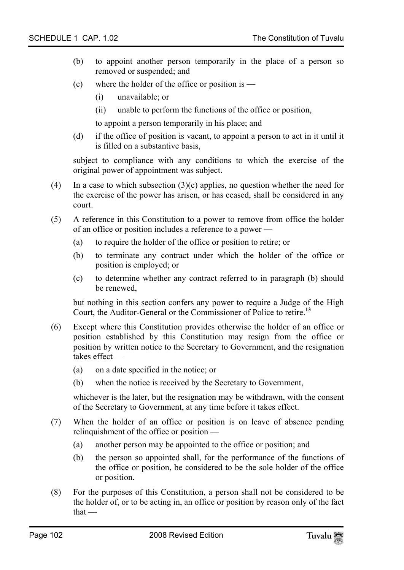- (b) to appoint another person temporarily in the place of a person so removed or suspended; and
- (c) where the holder of the office or position is  $-$ 
	- (i) unavailable; or
	- (ii) unable to perform the functions of the office or position,

to appoint a person temporarily in his place; and

(d) if the office of position is vacant, to appoint a person to act in it until it is filled on a substantive basis,

subject to compliance with any conditions to which the exercise of the original power of appointment was subject.

- (4) In a case to which subsection  $(3)(c)$  applies, no question whether the need for the exercise of the power has arisen, or has ceased, shall be considered in any court.
- (5) A reference in this Constitution to a power to remove from office the holder of an office or position includes a reference to a power —
	- (a) to require the holder of the office or position to retire; or
	- (b) to terminate any contract under which the holder of the office or position is employed; or
	- (c) to determine whether any contract referred to in paragraph (b) should be renewed,

but nothing in this section confers any power to require a Judge of the High Court, the Auditor-General or the Commissioner of Police to retire.**<sup>13</sup>**

- (6) Except where this Constitution provides otherwise the holder of an office or position established by this Constitution may resign from the office or position by written notice to the Secretary to Government, and the resignation takes effect —
	- (a) on a date specified in the notice; or
	- (b) when the notice is received by the Secretary to Government,

whichever is the later, but the resignation may be withdrawn, with the consent of the Secretary to Government, at any time before it takes effect.

- (7) When the holder of an office or position is on leave of absence pending relinquishment of the office or position —
	- (a) another person may be appointed to the office or position; and
	- (b) the person so appointed shall, for the performance of the functions of the office or position, be considered to be the sole holder of the office or position.
- (8) For the purposes of this Constitution, a person shall not be considered to be the holder of, or to be acting in, an office or position by reason only of the fact that —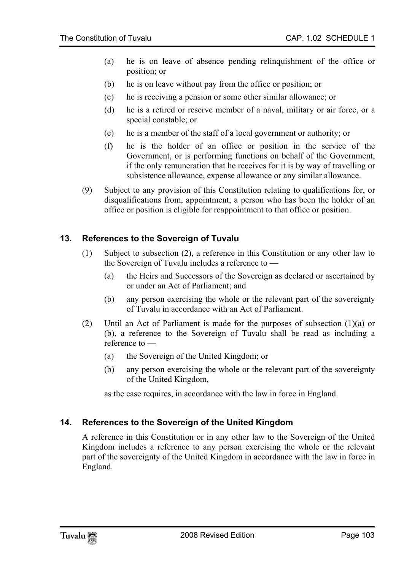- (a) he is on leave of absence pending relinquishment of the office or position; or
- (b) he is on leave without pay from the office or position; or
- (c) he is receiving a pension or some other similar allowance; or
- (d) he is a retired or reserve member of a naval, military or air force, or a special constable; or
- (e) he is a member of the staff of a local government or authority; or
- (f) he is the holder of an office or position in the service of the Government, or is performing functions on behalf of the Government, if the only remuneration that he receives for it is by way of travelling or subsistence allowance, expense allowance or any similar allowance.
- (9) Subject to any provision of this Constitution relating to qualifications for, or disqualifications from, appointment, a person who has been the holder of an office or position is eligible for reappointment to that office or position.

# **13. References to the Sovereign of Tuvalu**

- (1) Subject to subsection (2), a reference in this Constitution or any other law to the Sovereign of Tuvalu includes a reference to —
	- (a) the Heirs and Successors of the Sovereign as declared or ascertained by or under an Act of Parliament; and
	- (b) any person exercising the whole or the relevant part of the sovereignty of Tuvalu in accordance with an Act of Parliament.
- (2) Until an Act of Parliament is made for the purposes of subsection (1)(a) or (b), a reference to the Sovereign of Tuvalu shall be read as including a reference to —
	- (a) the Sovereign of the United Kingdom; or
	- (b) any person exercising the whole or the relevant part of the sovereignty of the United Kingdom,

as the case requires, in accordance with the law in force in England.

# **14. References to the Sovereign of the United Kingdom**

A reference in this Constitution or in any other law to the Sovereign of the United Kingdom includes a reference to any person exercising the whole or the relevant part of the sovereignty of the United Kingdom in accordance with the law in force in England.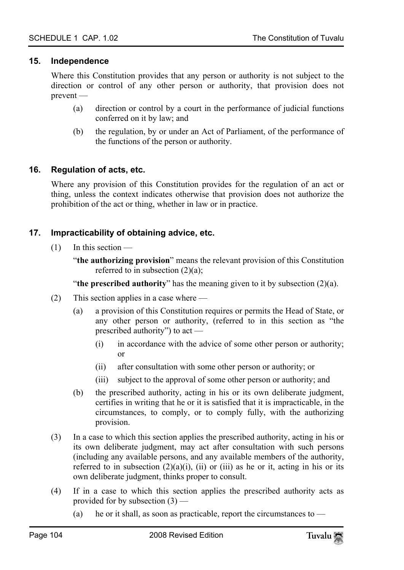### **15. Independence**

Where this Constitution provides that any person or authority is not subject to the direction or control of any other person or authority, that provision does not prevent —

- (a) direction or control by a court in the performance of judicial functions conferred on it by law; and
- (b) the regulation, by or under an Act of Parliament, of the performance of the functions of the person or authority.

# **16. Regulation of acts, etc.**

Where any provision of this Constitution provides for the regulation of an act or thing, unless the context indicates otherwise that provision does not authorize the prohibition of the act or thing, whether in law or in practice.

# **17. Impracticability of obtaining advice, etc.**

 $(1)$  In this section —

"**the prescribed authority**" has the meaning given to it by subsection (2)(a).

- (2) This section applies in a case where
	- (a) a provision of this Constitution requires or permits the Head of State, or any other person or authority, (referred to in this section as "the prescribed authority") to act —
		- (i) in accordance with the advice of some other person or authority; or
		- (ii) after consultation with some other person or authority; or
		- (iii) subject to the approval of some other person or authority; and
	- (b) the prescribed authority, acting in his or its own deliberate judgment, certifies in writing that he or it is satisfied that it is impracticable, in the circumstances, to comply, or to comply fully, with the authorizing provision.
- (3) In a case to which this section applies the prescribed authority, acting in his or its own deliberate judgment, may act after consultation with such persons (including any available persons, and any available members of the authority, referred to in subsection  $(2)(a)(i)$ ,  $(ii)$  or  $(iii)$  as he or it, acting in his or its own deliberate judgment, thinks proper to consult.
- (4) If in a case to which this section applies the prescribed authority acts as provided for by subsection (3) —
	- (a) he or it shall, as soon as practicable, report the circumstances to  $-$

<sup>&</sup>quot;**the authorizing provision**" means the relevant provision of this Constitution referred to in subsection  $(2)(a)$ ;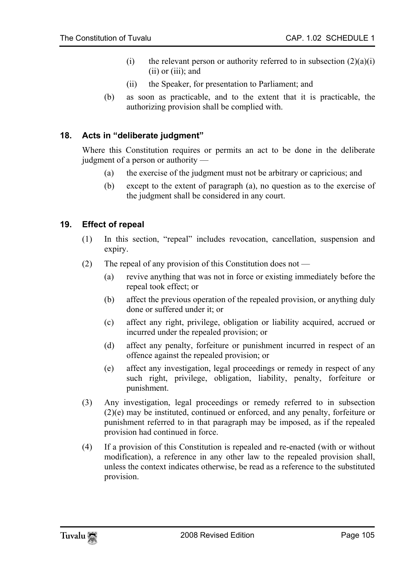- (i) the relevant person or authority referred to in subsection  $(2)(a)(i)$ (ii) or (iii); and
- (ii) the Speaker, for presentation to Parliament; and
- (b) as soon as practicable, and to the extent that it is practicable, the authorizing provision shall be complied with.

# **18. Acts in "deliberate judgment"**

Where this Constitution requires or permits an act to be done in the deliberate judgment of a person or authority —

- (a) the exercise of the judgment must not be arbitrary or capricious; and
- (b) except to the extent of paragraph (a), no question as to the exercise of the judgment shall be considered in any court.

# **19. Effect of repeal**

- (1) In this section, "repeal" includes revocation, cancellation, suspension and expiry.
- (2) The repeal of any provision of this Constitution does not
	- (a) revive anything that was not in force or existing immediately before the repeal took effect; or
	- (b) affect the previous operation of the repealed provision, or anything duly done or suffered under it; or
	- (c) affect any right, privilege, obligation or liability acquired, accrued or incurred under the repealed provision; or
	- (d) affect any penalty, forfeiture or punishment incurred in respect of an offence against the repealed provision; or
	- (e) affect any investigation, legal proceedings or remedy in respect of any such right, privilege, obligation, liability, penalty, forfeiture or punishment.
- (3) Any investigation, legal proceedings or remedy referred to in subsection (2)(e) may be instituted, continued or enforced, and any penalty, forfeiture or punishment referred to in that paragraph may be imposed, as if the repealed provision had continued in force.
- (4) If a provision of this Constitution is repealed and re-enacted (with or without modification), a reference in any other law to the repealed provision shall, unless the context indicates otherwise, be read as a reference to the substituted provision.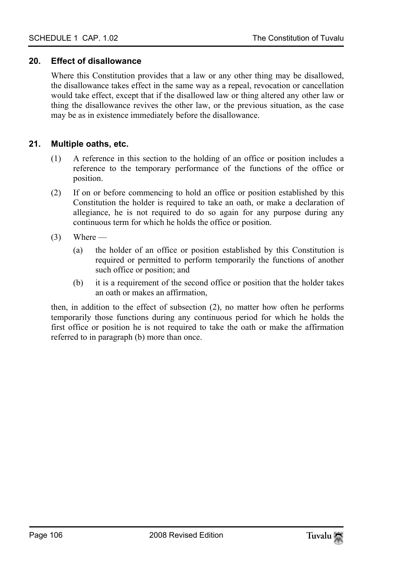# **20. Effect of disallowance**

Where this Constitution provides that a law or any other thing may be disallowed, the disallowance takes effect in the same way as a repeal, revocation or cancellation would take effect, except that if the disallowed law or thing altered any other law or thing the disallowance revives the other law, or the previous situation, as the case may be as in existence immediately before the disallowance.

# **21. Multiple oaths, etc.**

- (1) A reference in this section to the holding of an office or position includes a reference to the temporary performance of the functions of the office or position.
- (2) If on or before commencing to hold an office or position established by this Constitution the holder is required to take an oath, or make a declaration of allegiance, he is not required to do so again for any purpose during any continuous term for which he holds the office or position.
- $(3)$  Where
	- (a) the holder of an office or position established by this Constitution is required or permitted to perform temporarily the functions of another such office or position; and
	- (b) it is a requirement of the second office or position that the holder takes an oath or makes an affirmation,

then, in addition to the effect of subsection (2), no matter how often he performs temporarily those functions during any continuous period for which he holds the first office or position he is not required to take the oath or make the affirmation referred to in paragraph (b) more than once.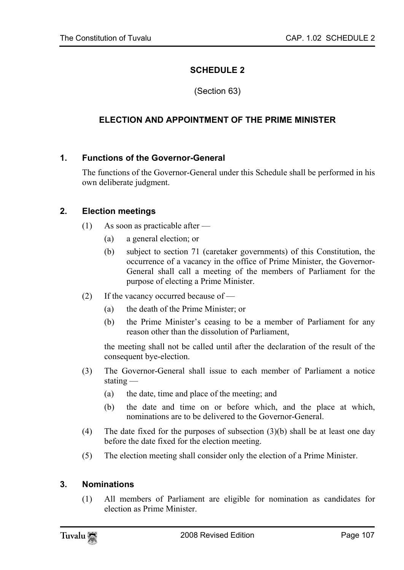# **SCHEDULE 2**

(Section 63)

# **ELECTION AND APPOINTMENT OF THE PRIME MINISTER**

# **1. Functions of the Governor-General**

The functions of the Governor-General under this Schedule shall be performed in his own deliberate judgment.

# **2. Election meetings**

- (1) As soon as practicable after
	- (a) a general election; or
	- (b) subject to section 71 (caretaker governments) of this Constitution, the occurrence of a vacancy in the office of Prime Minister, the Governor-General shall call a meeting of the members of Parliament for the purpose of electing a Prime Minister.
- (2) If the vacancy occurred because of
	- (a) the death of the Prime Minister; or
	- (b) the Prime Minister's ceasing to be a member of Parliament for any reason other than the dissolution of Parliament,

the meeting shall not be called until after the declaration of the result of the consequent bye-election.

- (3) The Governor-General shall issue to each member of Parliament a notice stating —
	- (a) the date, time and place of the meeting; and
	- (b) the date and time on or before which, and the place at which, nominations are to be delivered to the Governor-General.
- (4) The date fixed for the purposes of subsection  $(3)(b)$  shall be at least one day before the date fixed for the election meeting.
- (5) The election meeting shall consider only the election of a Prime Minister.

# **3. Nominations**

(1) All members of Parliament are eligible for nomination as candidates for election as Prime Minister.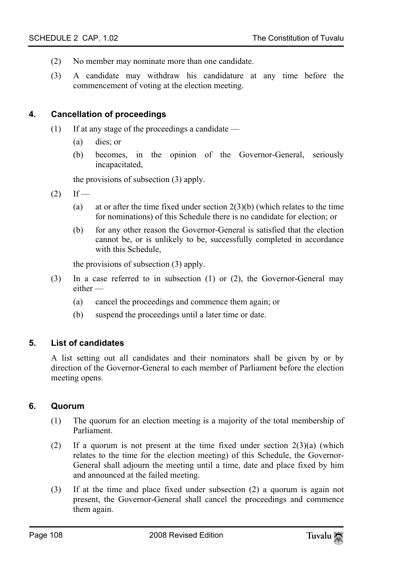- (2) No member may nominate more than one candidate.
- (3) A candidate may withdraw his candidature at any time before the commencement of voting at the election meeting.

# **4. Cancellation of proceedings**

- $(1)$  If at any stage of the proceedings a candidate
	- (a) dies; or
	- (b) becomes, in the opinion of the Governor-General, seriously incapacitated,

the provisions of subsection (3) apply.

- $(2)$  If
	- (a) at or after the time fixed under section  $2(3)(b)$  (which relates to the time for nominations) of this Schedule there is no candidate for election; or
	- (b) for any other reason the Governor-General is satisfied that the election cannot be, or is unlikely to be, successfully completed in accordance with this Schedule,

the provisions of subsection (3) apply.

- (3) In a case referred to in subsection (1) or (2), the Governor-General may either —
	- (a) cancel the proceedings and commence them again; or
	- (b) suspend the proceedings until a later time or date.

# **5. List of candidates**

A list setting out all candidates and their nominators shall be given by or by direction of the Governor-General to each member of Parliament before the election meeting opens.

# **6. Quorum**

- (1) The quorum for an election meeting is a majority of the total membership of Parliament.
- (2) If a quorum is not present at the time fixed under section  $2(3)(a)$  (which relates to the time for the election meeting) of this Schedule, the Governor-General shall adjourn the meeting until a time, date and place fixed by him and announced at the failed meeting.
- (3) If at the time and place fixed under subsection (2) a quorum is again not present, the Governor-General shall cancel the proceedings and commence them again.

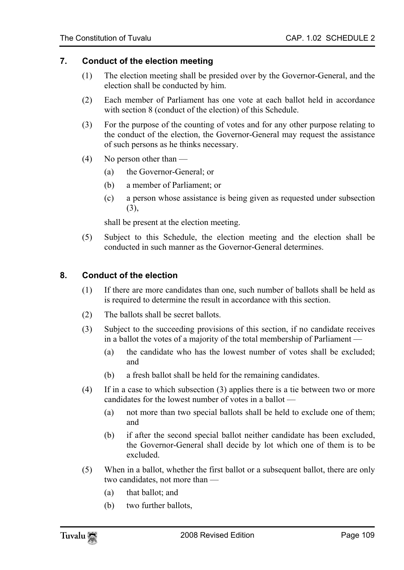### **7. Conduct of the election meeting**

- (1) The election meeting shall be presided over by the Governor-General, and the election shall be conducted by him.
- (2) Each member of Parliament has one vote at each ballot held in accordance with section 8 (conduct of the election) of this Schedule.
- (3) For the purpose of the counting of votes and for any other purpose relating to the conduct of the election, the Governor-General may request the assistance of such persons as he thinks necessary.
- (4) No person other than
	- (a) the Governor-General; or
	- (b) a member of Parliament; or
	- (c) a person whose assistance is being given as requested under subsection (3),

shall be present at the election meeting.

(5) Subject to this Schedule, the election meeting and the election shall be conducted in such manner as the Governor-General determines.

#### **8. Conduct of the election**

- (1) If there are more candidates than one, such number of ballots shall be held as is required to determine the result in accordance with this section.
- (2) The ballots shall be secret ballots.
- (3) Subject to the succeeding provisions of this section, if no candidate receives in a ballot the votes of a majority of the total membership of Parliament —
	- (a) the candidate who has the lowest number of votes shall be excluded; and
	- (b) a fresh ballot shall be held for the remaining candidates.
- (4) If in a case to which subsection (3) applies there is a tie between two or more candidates for the lowest number of votes in a ballot —
	- (a) not more than two special ballots shall be held to exclude one of them; and
	- (b) if after the second special ballot neither candidate has been excluded, the Governor-General shall decide by lot which one of them is to be excluded.
- (5) When in a ballot, whether the first ballot or a subsequent ballot, there are only two candidates, not more than —
	- (a) that ballot; and
	- (b) two further ballots,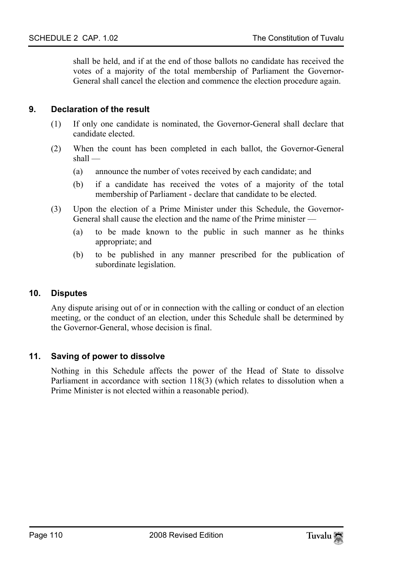shall be held, and if at the end of those ballots no candidate has received the votes of a majority of the total membership of Parliament the Governor-General shall cancel the election and commence the election procedure again.

### **9. Declaration of the result**

- (1) If only one candidate is nominated, the Governor-General shall declare that candidate elected.
- (2) When the count has been completed in each ballot, the Governor-General shall —
	- (a) announce the number of votes received by each candidate; and
	- (b) if a candidate has received the votes of a majority of the total membership of Parliament - declare that candidate to be elected.
- (3) Upon the election of a Prime Minister under this Schedule, the Governor-General shall cause the election and the name of the Prime minister —
	- (a) to be made known to the public in such manner as he thinks appropriate; and
	- (b) to be published in any manner prescribed for the publication of subordinate legislation.

### **10. Disputes**

Any dispute arising out of or in connection with the calling or conduct of an election meeting, or the conduct of an election, under this Schedule shall be determined by the Governor-General, whose decision is final.

### **11. Saving of power to dissolve**

Nothing in this Schedule affects the power of the Head of State to dissolve Parliament in accordance with section 118(3) (which relates to dissolution when a Prime Minister is not elected within a reasonable period).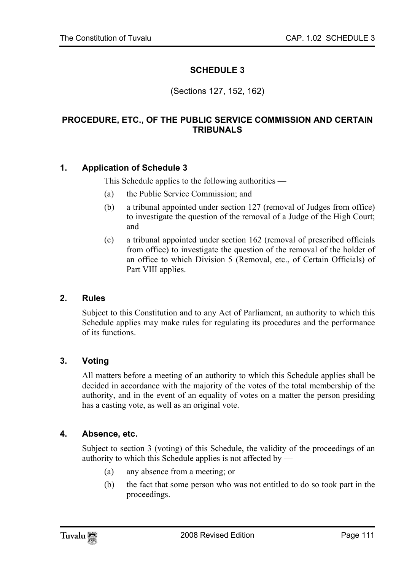## **SCHEDULE 3**

### (Sections 127, 152, 162)

## **PROCEDURE, ETC., OF THE PUBLIC SERVICE COMMISSION AND CERTAIN TRIBUNALS**

### **1. Application of Schedule 3**

This Schedule applies to the following authorities —

- (a) the Public Service Commission; and
- (b) a tribunal appointed under section 127 (removal of Judges from office) to investigate the question of the removal of a Judge of the High Court; and
- (c) a tribunal appointed under section 162 (removal of prescribed officials from office) to investigate the question of the removal of the holder of an office to which Division 5 (Removal, etc., of Certain Officials) of Part VIII applies.

### **2. Rules**

Subject to this Constitution and to any Act of Parliament, an authority to which this Schedule applies may make rules for regulating its procedures and the performance of its functions.

### **3. Voting**

All matters before a meeting of an authority to which this Schedule applies shall be decided in accordance with the majority of the votes of the total membership of the authority, and in the event of an equality of votes on a matter the person presiding has a casting vote, as well as an original vote.

### **4. Absence, etc.**

Subject to section 3 (voting) of this Schedule, the validity of the proceedings of an authority to which this Schedule applies is not affected by  $-$ 

- (a) any absence from a meeting; or
- (b) the fact that some person who was not entitled to do so took part in the proceedings.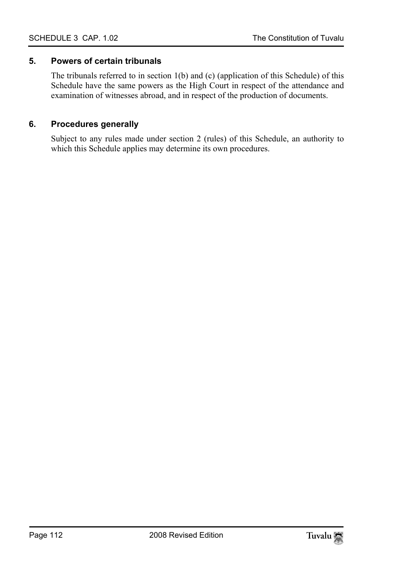### **5. Powers of certain tribunals**

The tribunals referred to in section 1(b) and (c) (application of this Schedule) of this Schedule have the same powers as the High Court in respect of the attendance and examination of witnesses abroad, and in respect of the production of documents.

#### **6. Procedures generally**

Subject to any rules made under section 2 (rules) of this Schedule, an authority to which this Schedule applies may determine its own procedures.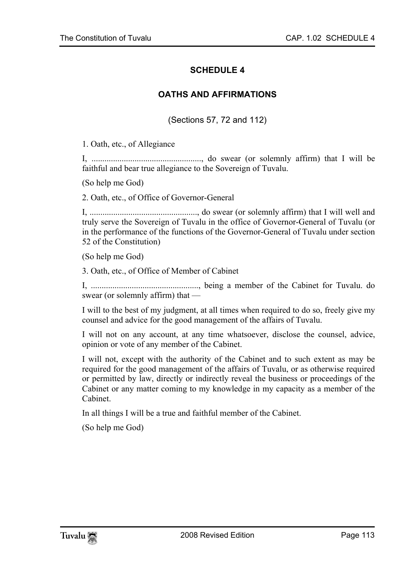# **SCHEDULE 4**

# **OATHS AND AFFIRMATIONS**

(Sections 57, 72 and 112)

1. Oath, etc., of Allegiance

I, ..................................................., do swear (or solemnly affirm) that I will be faithful and bear true allegiance to the Sovereign of Tuvalu.

(So help me God)

2. Oath, etc., of Office of Governor-General

I, .................................................., do swear (or solemnly affirm) that I will well and truly serve the Sovereign of Tuvalu in the office of Governor-General of Tuvalu (or in the performance of the functions of the Governor-General of Tuvalu under section 52 of the Constitution)

(So help me God)

3. Oath, etc., of Office of Member of Cabinet

I, .................................................., being a member of the Cabinet for Tuvalu. do swear (or solemnly affirm) that —

I will to the best of my judgment, at all times when required to do so, freely give my counsel and advice for the good management of the affairs of Tuvalu.

I will not on any account, at any time whatsoever, disclose the counsel, advice, opinion or vote of any member of the Cabinet.

I will not, except with the authority of the Cabinet and to such extent as may be required for the good management of the affairs of Tuvalu, or as otherwise required or permitted by law, directly or indirectly reveal the business or proceedings of the Cabinet or any matter coming to my knowledge in my capacity as a member of the Cabinet.

In all things I will be a true and faithful member of the Cabinet.

(So help me God)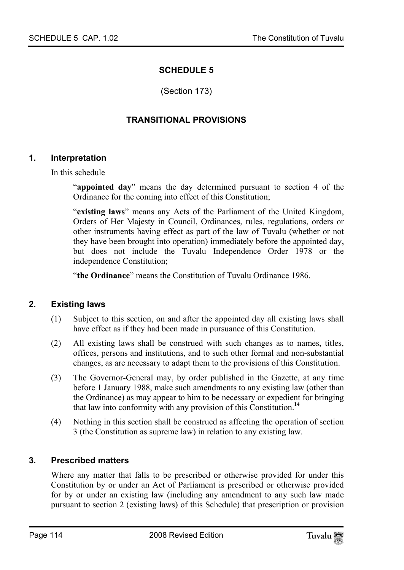## **SCHEDULE 5**

(Section 173)

## **TRANSITIONAL PROVISIONS**

#### **1. Interpretation**

In this schedule —

"**appointed day**" means the day determined pursuant to section 4 of the Ordinance for the coming into effect of this Constitution;

"**existing laws**" means any Acts of the Parliament of the United Kingdom, Orders of Her Majesty in Council, Ordinances, rules, regulations, orders or other instruments having effect as part of the law of Tuvalu (whether or not they have been brought into operation) immediately before the appointed day, but does not include the Tuvalu Independence Order 1978 or the independence Constitution;

"**the Ordinance**" means the Constitution of Tuvalu Ordinance 1986.

### **2. Existing laws**

- (1) Subject to this section, on and after the appointed day all existing laws shall have effect as if they had been made in pursuance of this Constitution.
- (2) All existing laws shall be construed with such changes as to names, titles, offices, persons and institutions, and to such other formal and non-substantial changes, as are necessary to adapt them to the provisions of this Constitution.
- (3) The Governor-General may, by order published in the Gazette, at any time before 1 January 1988, make such amendments to any existing law (other than the Ordinance) as may appear to him to be necessary or expedient for bringing that law into conformity with any provision of this Constitution.**<sup>14</sup>**
- (4) Nothing in this section shall be construed as affecting the operation of section 3 (the Constitution as supreme law) in relation to any existing law.

### **3. Prescribed matters**

Where any matter that falls to be prescribed or otherwise provided for under this Constitution by or under an Act of Parliament is prescribed or otherwise provided for by or under an existing law (including any amendment to any such law made pursuant to section 2 (existing laws) of this Schedule) that prescription or provision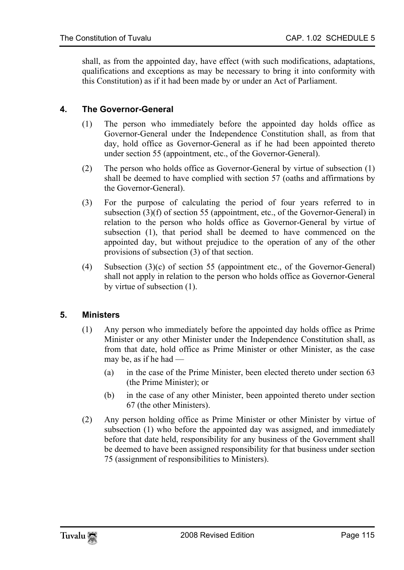shall, as from the appointed day, have effect (with such modifications, adaptations, qualifications and exceptions as may be necessary to bring it into conformity with this Constitution) as if it had been made by or under an Act of Parliament.

## **4. The Governor-General**

- (1) The person who immediately before the appointed day holds office as Governor-General under the Independence Constitution shall, as from that day, hold office as Governor-General as if he had been appointed thereto under section 55 (appointment, etc., of the Governor-General).
- (2) The person who holds office as Governor-General by virtue of subsection (1) shall be deemed to have complied with section 57 (oaths and affirmations by the Governor-General).
- (3) For the purpose of calculating the period of four years referred to in subsection (3)(f) of section 55 (appointment, etc., of the Governor-General) in relation to the person who holds office as Governor-General by virtue of subsection (1), that period shall be deemed to have commenced on the appointed day, but without prejudice to the operation of any of the other provisions of subsection (3) of that section.
- (4) Subsection (3)(c) of section 55 (appointment etc., of the Governor-General) shall not apply in relation to the person who holds office as Governor-General by virtue of subsection (1).

### **5. Ministers**

- (1) Any person who immediately before the appointed day holds office as Prime Minister or any other Minister under the Independence Constitution shall, as from that date, hold office as Prime Minister or other Minister, as the case may be, as if he had —
	- (a) in the case of the Prime Minister, been elected thereto under section 63 (the Prime Minister); or
	- (b) in the case of any other Minister, been appointed thereto under section 67 (the other Ministers).
- (2) Any person holding office as Prime Minister or other Minister by virtue of subsection (1) who before the appointed day was assigned, and immediately before that date held, responsibility for any business of the Government shall be deemed to have been assigned responsibility for that business under section 75 (assignment of responsibilities to Ministers).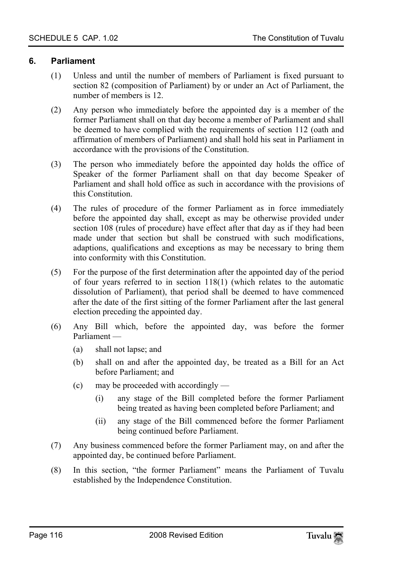### **6. Parliament**

- (1) Unless and until the number of members of Parliament is fixed pursuant to section 82 (composition of Parliament) by or under an Act of Parliament, the number of members is 12.
- (2) Any person who immediately before the appointed day is a member of the former Parliament shall on that day become a member of Parliament and shall be deemed to have complied with the requirements of section 112 (oath and affirmation of members of Parliament) and shall hold his seat in Parliament in accordance with the provisions of the Constitution.
- (3) The person who immediately before the appointed day holds the office of Speaker of the former Parliament shall on that day become Speaker of Parliament and shall hold office as such in accordance with the provisions of this Constitution.
- (4) The rules of procedure of the former Parliament as in force immediately before the appointed day shall, except as may be otherwise provided under section 108 (rules of procedure) have effect after that day as if they had been made under that section but shall be construed with such modifications, adaptions, qualifications and exceptions as may be necessary to bring them into conformity with this Constitution.
- (5) For the purpose of the first determination after the appointed day of the period of four years referred to in section 118(1) (which relates to the automatic dissolution of Parliament), that period shall be deemed to have commenced after the date of the first sitting of the former Parliament after the last general election preceding the appointed day.
- (6) Any Bill which, before the appointed day, was before the former Parliament —
	- (a) shall not lapse; and
	- (b) shall on and after the appointed day, be treated as a Bill for an Act before Parliament; and
	- (c) may be proceeded with accordingly
		- (i) any stage of the Bill completed before the former Parliament being treated as having been completed before Parliament; and
		- (ii) any stage of the Bill commenced before the former Parliament being continued before Parliament.
- (7) Any business commenced before the former Parliament may, on and after the appointed day, be continued before Parliament.
- (8) In this section, "the former Parliament" means the Parliament of Tuvalu established by the Independence Constitution.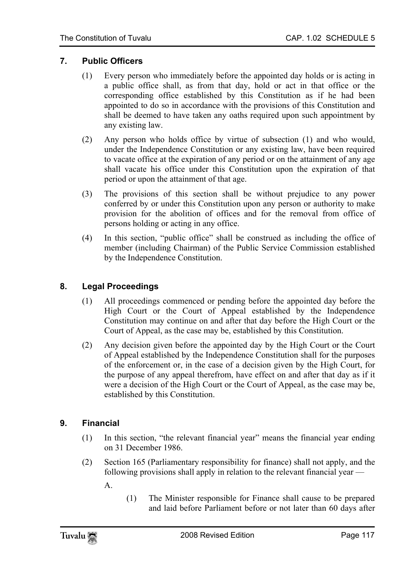# **7. Public Officers**

- (1) Every person who immediately before the appointed day holds or is acting in a public office shall, as from that day, hold or act in that office or the corresponding office established by this Constitution as if he had been appointed to do so in accordance with the provisions of this Constitution and shall be deemed to have taken any oaths required upon such appointment by any existing law.
- (2) Any person who holds office by virtue of subsection (1) and who would, under the Independence Constitution or any existing law, have been required to vacate office at the expiration of any period or on the attainment of any age shall vacate his office under this Constitution upon the expiration of that period or upon the attainment of that age.
- (3) The provisions of this section shall be without prejudice to any power conferred by or under this Constitution upon any person or authority to make provision for the abolition of offices and for the removal from office of persons holding or acting in any office.
- (4) In this section, "public office" shall be construed as including the office of member (including Chairman) of the Public Service Commission established by the Independence Constitution.

# **8. Legal Proceedings**

- (1) All proceedings commenced or pending before the appointed day before the High Court or the Court of Appeal established by the Independence Constitution may continue on and after that day before the High Court or the Court of Appeal, as the case may be, established by this Constitution.
- (2) Any decision given before the appointed day by the High Court or the Court of Appeal established by the Independence Constitution shall for the purposes of the enforcement or, in the case of a decision given by the High Court, for the purpose of any appeal therefrom, have effect on and after that day as if it were a decision of the High Court or the Court of Appeal, as the case may be, established by this Constitution.

# **9. Financial**

- (1) In this section, "the relevant financial year" means the financial year ending on 31 December 1986.
- (2) Section 165 (Parliamentary responsibility for finance) shall not apply, and the following provisions shall apply in relation to the relevant financial year —
	- A.
- (1) The Minister responsible for Finance shall cause to be prepared and laid before Parliament before or not later than 60 days after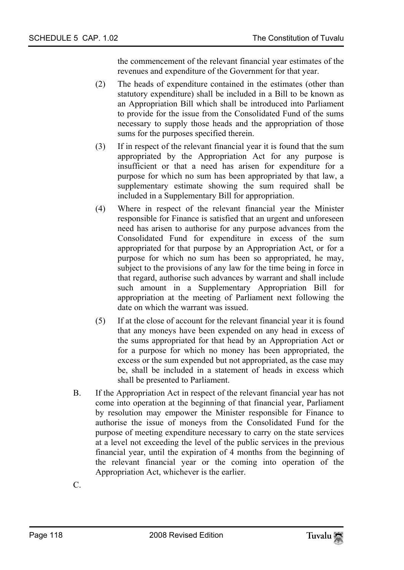the commencement of the relevant financial year estimates of the revenues and expenditure of the Government for that year.

- (2) The heads of expenditure contained in the estimates (other than statutory expenditure) shall be included in a Bill to be known as an Appropriation Bill which shall be introduced into Parliament to provide for the issue from the Consolidated Fund of the sums necessary to supply those heads and the appropriation of those sums for the purposes specified therein.
- (3) If in respect of the relevant financial year it is found that the sum appropriated by the Appropriation Act for any purpose is insufficient or that a need has arisen for expenditure for a purpose for which no sum has been appropriated by that law, a supplementary estimate showing the sum required shall be included in a Supplementary Bill for appropriation.
- (4) Where in respect of the relevant financial year the Minister responsible for Finance is satisfied that an urgent and unforeseen need has arisen to authorise for any purpose advances from the Consolidated Fund for expenditure in excess of the sum appropriated for that purpose by an Appropriation Act, or for a purpose for which no sum has been so appropriated, he may, subject to the provisions of any law for the time being in force in that regard, authorise such advances by warrant and shall include such amount in a Supplementary Appropriation Bill for appropriation at the meeting of Parliament next following the date on which the warrant was issued.
- (5) If at the close of account for the relevant financial year it is found that any moneys have been expended on any head in excess of the sums appropriated for that head by an Appropriation Act or for a purpose for which no money has been appropriated, the excess or the sum expended but not appropriated, as the case may be, shall be included in a statement of heads in excess which shall be presented to Parliament.
- B. If the Appropriation Act in respect of the relevant financial year has not come into operation at the beginning of that financial year, Parliament by resolution may empower the Minister responsible for Finance to authorise the issue of moneys from the Consolidated Fund for the purpose of meeting expenditure necessary to carry on the state services at a level not exceeding the level of the public services in the previous financial year, until the expiration of 4 months from the beginning of the relevant financial year or the coming into operation of the Appropriation Act, whichever is the earlier.
- C.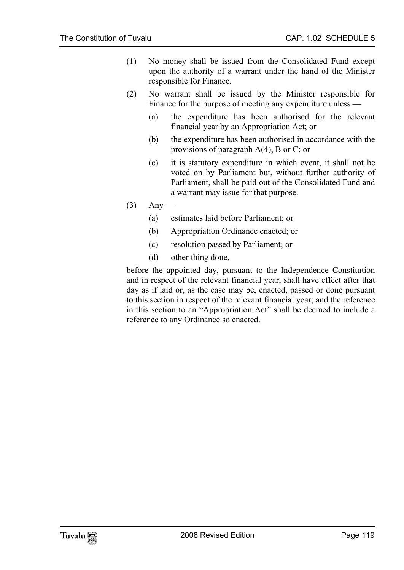- (1) No money shall be issued from the Consolidated Fund except upon the authority of a warrant under the hand of the Minister responsible for Finance.
- (2) No warrant shall be issued by the Minister responsible for Finance for the purpose of meeting any expenditure unless —
	- (a) the expenditure has been authorised for the relevant financial year by an Appropriation Act; or
	- (b) the expenditure has been authorised in accordance with the provisions of paragraph A(4), B or C; or
	- (c) it is statutory expenditure in which event, it shall not be voted on by Parliament but, without further authority of Parliament, shall be paid out of the Consolidated Fund and a warrant may issue for that purpose.
- $(3)$  Any
	- (a) estimates laid before Parliament; or
	- (b) Appropriation Ordinance enacted; or
	- (c) resolution passed by Parliament; or
	- (d) other thing done,

before the appointed day, pursuant to the Independence Constitution and in respect of the relevant financial year, shall have effect after that day as if laid or, as the case may be, enacted, passed or done pursuant to this section in respect of the relevant financial year; and the reference in this section to an "Appropriation Act" shall be deemed to include a reference to any Ordinance so enacted.